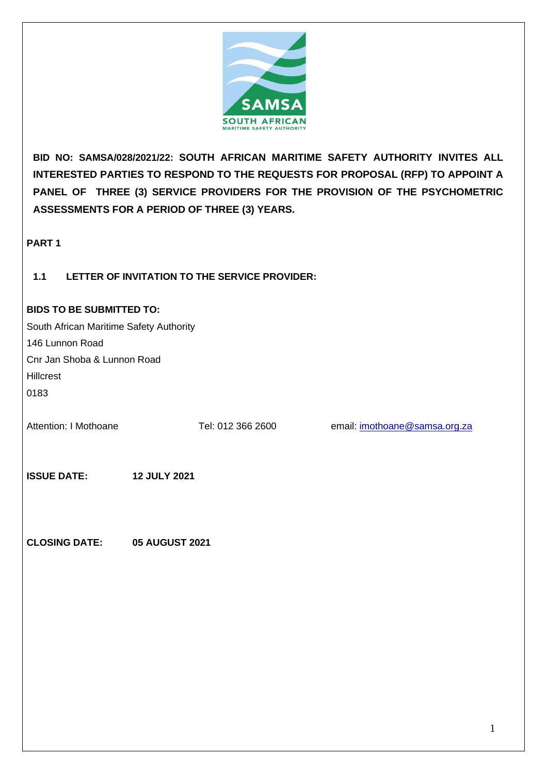

**BID NO: SAMSA/028/2021/22: SOUTH AFRICAN MARITIME SAFETY AUTHORITY INVITES ALL INTERESTED PARTIES TO RESPOND TO THE REQUESTS FOR PROPOSAL (RFP) TO APPOINT A PANEL OF THREE (3) SERVICE PROVIDERS FOR THE PROVISION OF THE PSYCHOMETRIC ASSESSMENTS FOR A PERIOD OF THREE (3) YEARS.**

**PART 1**

## **1.1 LETTER OF INVITATION TO THE SERVICE PROVIDER:**

#### **BIDS TO BE SUBMITTED TO:**

| South African Maritime Safety Authority   |                   |                               |
|-------------------------------------------|-------------------|-------------------------------|
| 146 Lunnon Road                           |                   |                               |
| Cnr Jan Shoba & Lunnon Road               |                   |                               |
| Hillcrest                                 |                   |                               |
| 0183                                      |                   |                               |
| Attention: I Mothoane                     | Tel: 012 366 2600 | email: imothoane@samsa.org.za |
| <b>ISSUE DATE:</b><br><b>12 JULY 2021</b> |                   |                               |
|                                           |                   |                               |

**CLOSING DATE: 05 AUGUST 2021**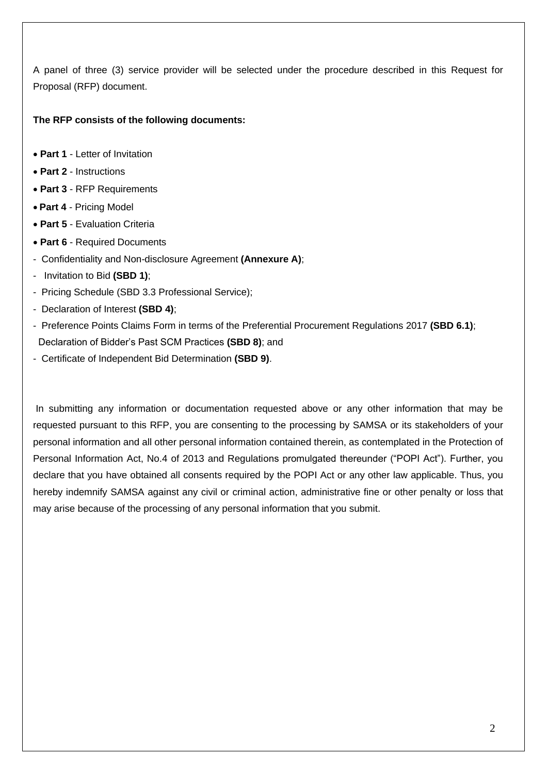A panel of three (3) service provider will be selected under the procedure described in this Request for Proposal (RFP) document.

## **The RFP consists of the following documents:**

- **Part 1** Letter of Invitation
- **Part 2** Instructions
- **Part 3** RFP Requirements
- **Part 4**  Pricing Model
- **Part 5** Evaluation Criteria
- **Part 6** Required Documents
- Confidentiality and Non-disclosure Agreement **(Annexure A)**;
- Invitation to Bid **(SBD 1)**;
- Pricing Schedule (SBD 3.3 Professional Service);
- Declaration of Interest **(SBD 4)**;
- Preference Points Claims Form in terms of the Preferential Procurement Regulations 2017 **(SBD 6.1)**; Declaration of Bidder's Past SCM Practices **(SBD 8)**; and
- Certificate of Independent Bid Determination **(SBD 9)**.

In submitting any information or documentation requested above or any other information that may be requested pursuant to this RFP, you are consenting to the processing by SAMSA or its stakeholders of your personal information and all other personal information contained therein, as contemplated in the Protection of Personal Information Act, No.4 of 2013 and Regulations promulgated thereunder ("POPI Act"). Further, you declare that you have obtained all consents required by the POPI Act or any other law applicable. Thus, you hereby indemnify SAMSA against any civil or criminal action, administrative fine or other penalty or loss that may arise because of the processing of any personal information that you submit.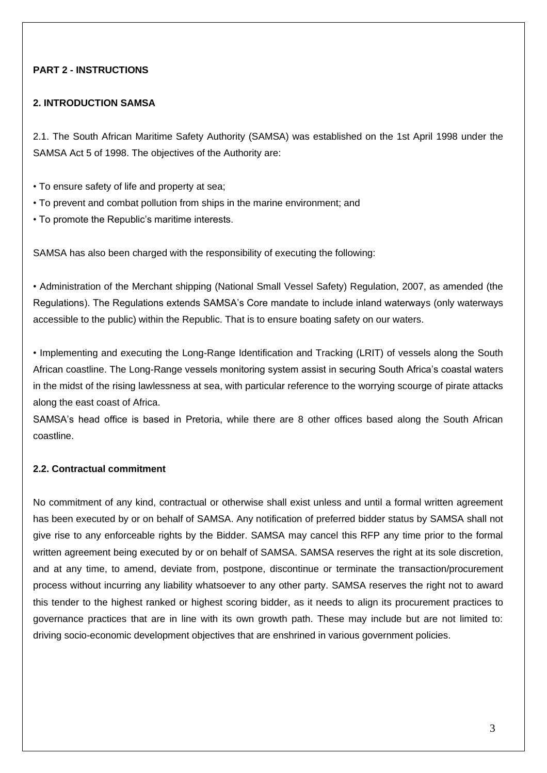## **PART 2 - INSTRUCTIONS**

#### **2. INTRODUCTION SAMSA**

2.1. The South African Maritime Safety Authority (SAMSA) was established on the 1st April 1998 under the SAMSA Act 5 of 1998. The objectives of the Authority are:

- To ensure safety of life and property at sea;
- To prevent and combat pollution from ships in the marine environment; and
- To promote the Republic's maritime interests.

SAMSA has also been charged with the responsibility of executing the following:

• Administration of the Merchant shipping (National Small Vessel Safety) Regulation, 2007, as amended (the Regulations). The Regulations extends SAMSA's Core mandate to include inland waterways (only waterways accessible to the public) within the Republic. That is to ensure boating safety on our waters.

• Implementing and executing the Long-Range Identification and Tracking (LRIT) of vessels along the South African coastline. The Long-Range vessels monitoring system assist in securing South Africa's coastal waters in the midst of the rising lawlessness at sea, with particular reference to the worrying scourge of pirate attacks along the east coast of Africa.

SAMSA's head office is based in Pretoria, while there are 8 other offices based along the South African coastline.

#### **2.2. Contractual commitment**

No commitment of any kind, contractual or otherwise shall exist unless and until a formal written agreement has been executed by or on behalf of SAMSA. Any notification of preferred bidder status by SAMSA shall not give rise to any enforceable rights by the Bidder. SAMSA may cancel this RFP any time prior to the formal written agreement being executed by or on behalf of SAMSA. SAMSA reserves the right at its sole discretion, and at any time, to amend, deviate from, postpone, discontinue or terminate the transaction/procurement process without incurring any liability whatsoever to any other party. SAMSA reserves the right not to award this tender to the highest ranked or highest scoring bidder, as it needs to align its procurement practices to governance practices that are in line with its own growth path. These may include but are not limited to: driving socio-economic development objectives that are enshrined in various government policies.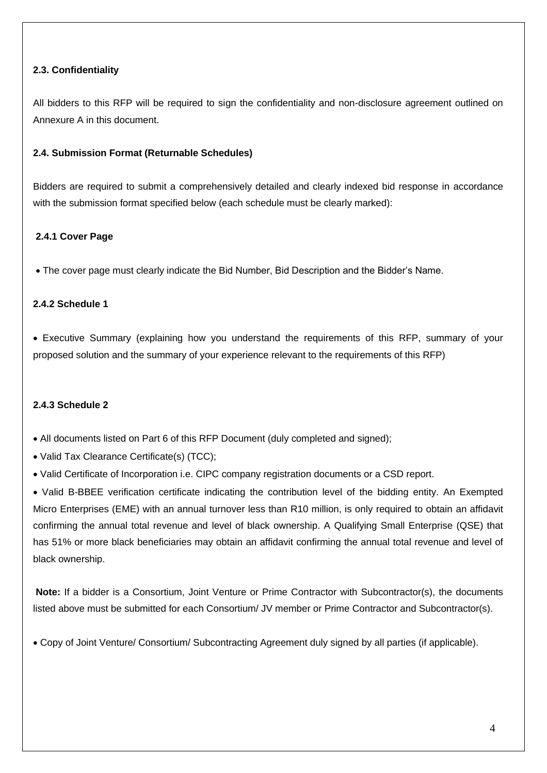## **2.3. Confidentiality**

All bidders to this RFP will be required to sign the confidentiality and non-disclosure agreement outlined on Annexure A in this document.

#### **2.4. Submission Format (Returnable Schedules)**

Bidders are required to submit a comprehensively detailed and clearly indexed bid response in accordance with the submission format specified below (each schedule must be clearly marked):

#### **2.4.1 Cover Page**

• The cover page must clearly indicate the Bid Number, Bid Description and the Bidder's Name.

#### **2.4.2 Schedule 1**

• Executive Summary (explaining how you understand the requirements of this RFP, summary of your proposed solution and the summary of your experience relevant to the requirements of this RFP)

#### **2.4.3 Schedule 2**

• All documents listed on Part 6 of this RFP Document (duly completed and signed);

- Valid Tax Clearance Certificate(s) (TCC);
- Valid Certificate of Incorporation i.e. CIPC company registration documents or a CSD report.

• Valid B-BBEE verification certificate indicating the contribution level of the bidding entity. An Exempted Micro Enterprises (EME) with an annual turnover less than R10 million, is only required to obtain an affidavit confirming the annual total revenue and level of black ownership. A Qualifying Small Enterprise (QSE) that has 51% or more black beneficiaries may obtain an affidavit confirming the annual total revenue and level of black ownership.

**Note:** If a bidder is a Consortium, Joint Venture or Prime Contractor with Subcontractor(s), the documents listed above must be submitted for each Consortium/ JV member or Prime Contractor and Subcontractor(s).

• Copy of Joint Venture/ Consortium/ Subcontracting Agreement duly signed by all parties (if applicable).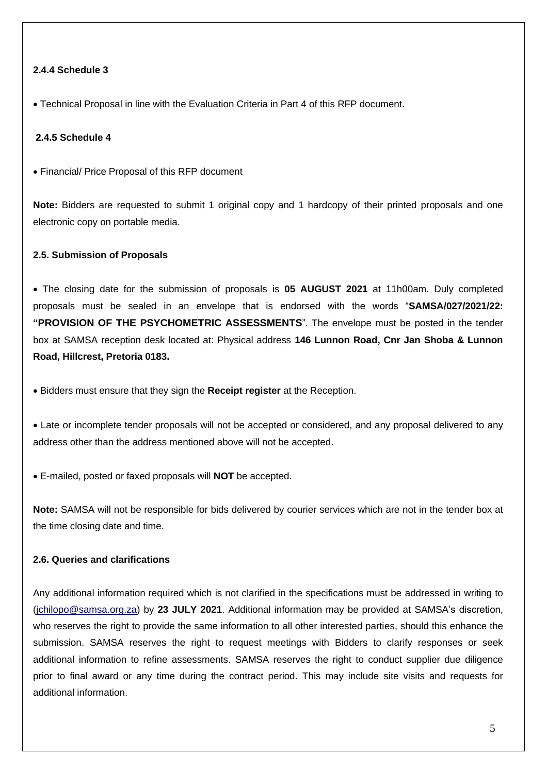### **2.4.4 Schedule 3**

• Technical Proposal in line with the Evaluation Criteria in Part 4 of this RFP document.

#### **2.4.5 Schedule 4**

• Financial/ Price Proposal of this RFP document

**Note:** Bidders are requested to submit 1 original copy and 1 hardcopy of their printed proposals and one electronic copy on portable media.

#### **2.5. Submission of Proposals**

• The closing date for the submission of proposals is **05 AUGUST 2021** at 11h00am. Duly completed proposals must be sealed in an envelope that is endorsed with the words "**SAMSA/027/2021/22: "PROVISION OF THE PSYCHOMETRIC ASSESSMENTS**". The envelope must be posted in the tender box at SAMSA reception desk located at: Physical address **146 Lunnon Road, Cnr Jan Shoba & Lunnon Road, Hillcrest, Pretoria 0183.**

• Bidders must ensure that they sign the **Receipt register** at the Reception.

• Late or incomplete tender proposals will not be accepted or considered, and any proposal delivered to any address other than the address mentioned above will not be accepted.

• E-mailed, posted or faxed proposals will **NOT** be accepted.

**Note:** SAMSA will not be responsible for bids delivered by courier services which are not in the tender box at the time closing date and time.

#### **2.6. Queries and clarifications**

Any additional information required which is not clarified in the specifications must be addressed in writing to [\(jchilopo@samsa.org.za\)](mailto:jchilopo@samsa.org.za) by **23 JULY 2021**. Additional information may be provided at SAMSA's discretion, who reserves the right to provide the same information to all other interested parties, should this enhance the submission. SAMSA reserves the right to request meetings with Bidders to clarify responses or seek additional information to refine assessments. SAMSA reserves the right to conduct supplier due diligence prior to final award or any time during the contract period. This may include site visits and requests for additional information.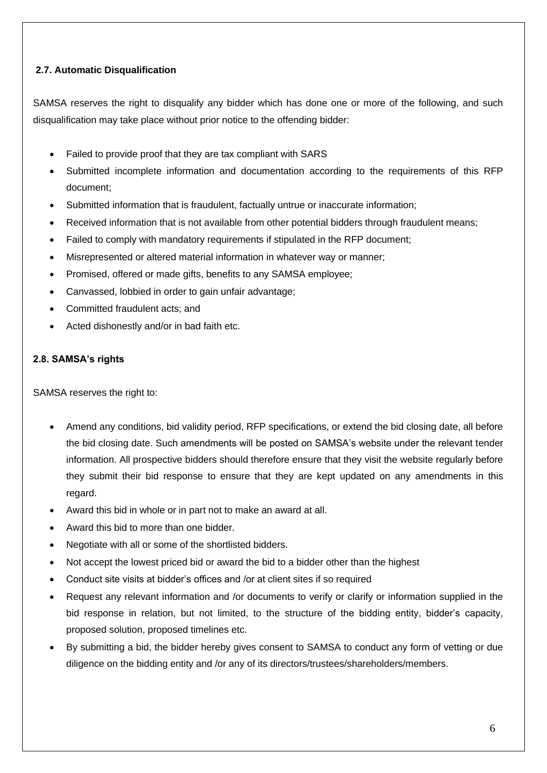## **2.7. Automatic Disqualification**

SAMSA reserves the right to disqualify any bidder which has done one or more of the following, and such disqualification may take place without prior notice to the offending bidder:

- Failed to provide proof that they are tax compliant with SARS
- Submitted incomplete information and documentation according to the requirements of this RFP document;
- Submitted information that is fraudulent, factually untrue or inaccurate information;
- Received information that is not available from other potential bidders through fraudulent means;
- Failed to comply with mandatory requirements if stipulated in the RFP document;
- Misrepresented or altered material information in whatever way or manner;
- Promised, offered or made gifts, benefits to any SAMSA employee;
- Canvassed, lobbied in order to gain unfair advantage;
- Committed fraudulent acts; and
- Acted dishonestly and/or in bad faith etc.

## **2.8. SAMSA's rights**

SAMSA reserves the right to:

- Amend any conditions, bid validity period, RFP specifications, or extend the bid closing date, all before the bid closing date. Such amendments will be posted on SAMSA's website under the relevant tender information. All prospective bidders should therefore ensure that they visit the website regularly before they submit their bid response to ensure that they are kept updated on any amendments in this regard.
- Award this bid in whole or in part not to make an award at all.
- Award this bid to more than one bidder.
- Negotiate with all or some of the shortlisted bidders.
- Not accept the lowest priced bid or award the bid to a bidder other than the highest
- Conduct site visits at bidder's offices and /or at client sites if so required
- Request any relevant information and /or documents to verify or clarify or information supplied in the bid response in relation, but not limited, to the structure of the bidding entity, bidder's capacity, proposed solution, proposed timelines etc.
- By submitting a bid, the bidder hereby gives consent to SAMSA to conduct any form of vetting or due diligence on the bidding entity and /or any of its directors/trustees/shareholders/members.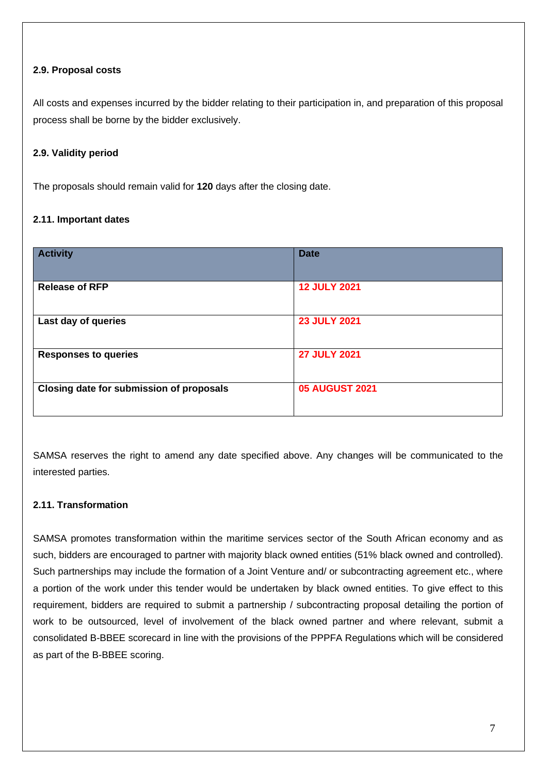## **2.9. Proposal costs**

All costs and expenses incurred by the bidder relating to their participation in, and preparation of this proposal process shall be borne by the bidder exclusively.

## **2.9. Validity period**

The proposals should remain valid for **120** days after the closing date.

## **2.11. Important dates**

| <b>Activity</b>                          | <b>Date</b>           |
|------------------------------------------|-----------------------|
| <b>Release of RFP</b>                    | <b>12 JULY 2021</b>   |
| Last day of queries                      | <b>23 JULY 2021</b>   |
| <b>Responses to queries</b>              | <b>27 JULY 2021</b>   |
| Closing date for submission of proposals | <b>05 AUGUST 2021</b> |

SAMSA reserves the right to amend any date specified above. Any changes will be communicated to the interested parties.

## **2.11. Transformation**

SAMSA promotes transformation within the maritime services sector of the South African economy and as such, bidders are encouraged to partner with majority black owned entities (51% black owned and controlled). Such partnerships may include the formation of a Joint Venture and/ or subcontracting agreement etc., where a portion of the work under this tender would be undertaken by black owned entities. To give effect to this requirement, bidders are required to submit a partnership / subcontracting proposal detailing the portion of work to be outsourced, level of involvement of the black owned partner and where relevant, submit a consolidated B-BBEE scorecard in line with the provisions of the PPPFA Regulations which will be considered as part of the B-BBEE scoring.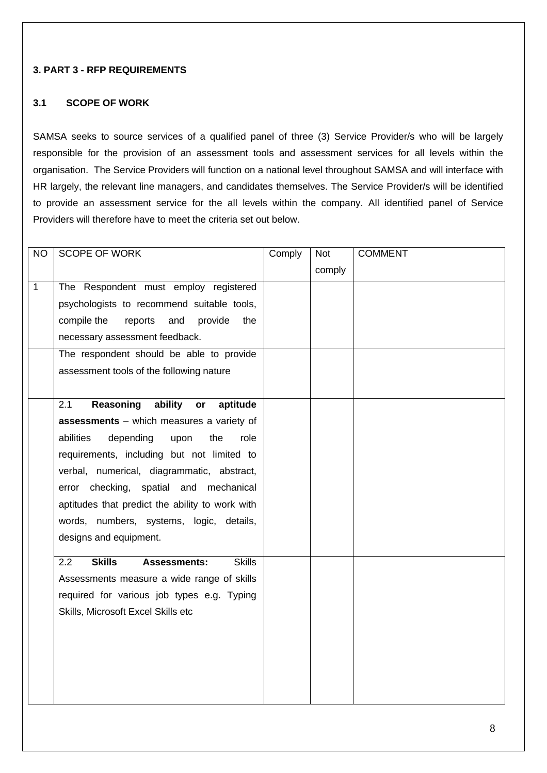#### **3. PART 3 - RFP REQUIREMENTS**

#### **3.1 SCOPE OF WORK**

SAMSA seeks to source services of a qualified panel of three (3) Service Provider/s who will be largely responsible for the provision of an assessment tools and assessment services for all levels within the organisation. The Service Providers will function on a national level throughout SAMSA and will interface with HR largely, the relevant line managers, and candidates themselves. The Service Provider/s will be identified to provide an assessment service for the all levels within the company. All identified panel of Service Providers will therefore have to meet the criteria set out below.

| <b>NO</b>    | SCOPE OF WORK                                                | Comply | <b>Not</b> | <b>COMMENT</b> |
|--------------|--------------------------------------------------------------|--------|------------|----------------|
|              |                                                              |        | comply     |                |
| $\mathbf{1}$ | The Respondent must employ registered                        |        |            |                |
|              | psychologists to recommend suitable tools,                   |        |            |                |
|              | compile the<br>reports<br>and<br>provide<br>the              |        |            |                |
|              | necessary assessment feedback.                               |        |            |                |
|              | The respondent should be able to provide                     |        |            |                |
|              | assessment tools of the following nature                     |        |            |                |
|              |                                                              |        |            |                |
|              | Reasoning<br>ability<br>2.1<br>aptitude<br>or                |        |            |                |
|              | assessments - which measures a variety of                    |        |            |                |
|              | depending<br>abilities<br>upon<br>the<br>role                |        |            |                |
|              | requirements, including but not limited to                   |        |            |                |
|              | verbal, numerical, diagrammatic, abstract,                   |        |            |                |
|              | error checking, spatial and mechanical                       |        |            |                |
|              | aptitudes that predict the ability to work with              |        |            |                |
|              | words, numbers, systems, logic, details,                     |        |            |                |
|              | designs and equipment.                                       |        |            |                |
|              | <b>Skills</b><br>2.2<br><b>Skills</b><br><b>Assessments:</b> |        |            |                |
|              | Assessments measure a wide range of skills                   |        |            |                |
|              | required for various job types e.g. Typing                   |        |            |                |
|              | Skills, Microsoft Excel Skills etc                           |        |            |                |
|              |                                                              |        |            |                |
|              |                                                              |        |            |                |
|              |                                                              |        |            |                |
|              |                                                              |        |            |                |
|              |                                                              |        |            |                |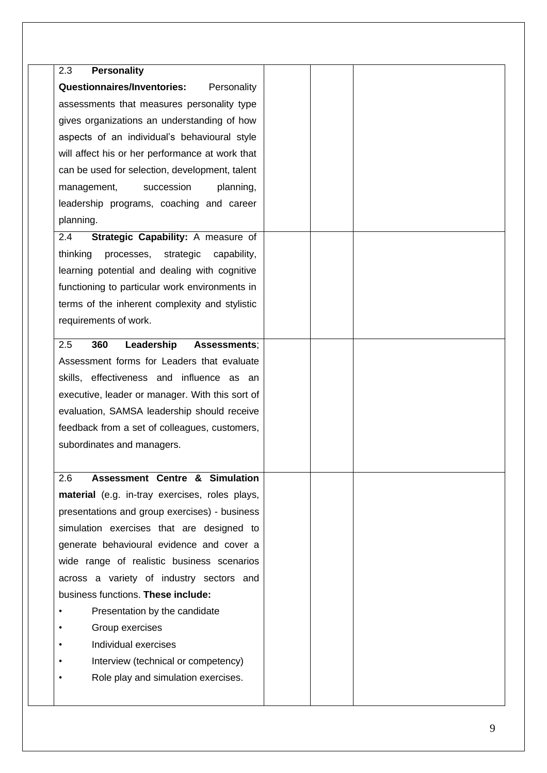| 2.3                                                |  |
|----------------------------------------------------|--|
| <b>Personality</b>                                 |  |
| <b>Questionnaires/Inventories:</b><br>Personality  |  |
| assessments that measures personality type         |  |
| gives organizations an understanding of how        |  |
| aspects of an individual's behavioural style       |  |
| will affect his or her performance at work that    |  |
| can be used for selection, development, talent     |  |
| management,<br>succession<br>planning,             |  |
| leadership programs, coaching and career           |  |
| planning.                                          |  |
| Strategic Capability: A measure of<br>2.4          |  |
| thinking<br>strategic<br>processes,<br>capability, |  |
| learning potential and dealing with cognitive      |  |
| functioning to particular work environments in     |  |
| terms of the inherent complexity and stylistic     |  |
| requirements of work.                              |  |
|                                                    |  |
| Leadership<br>360<br>2.5<br>Assessments;           |  |
| Assessment forms for Leaders that evaluate         |  |
| skills, effectiveness and influence as an          |  |
| executive, leader or manager. With this sort of    |  |
| evaluation, SAMSA leadership should receive        |  |
| feedback from a set of colleagues, customers,      |  |
| subordinates and managers.                         |  |
|                                                    |  |
| <b>Assessment Centre &amp; Simulation</b><br>2.6   |  |
| material (e.g. in-tray exercises, roles plays,     |  |
| presentations and group exercises) - business      |  |
| simulation exercises that are designed to          |  |
| generate behavioural evidence and cover a          |  |
| wide range of realistic business scenarios         |  |
| across a variety of industry sectors and           |  |
| business functions. These include:                 |  |
| Presentation by the candidate                      |  |
| Group exercises                                    |  |
| Individual exercises                               |  |
| Interview (technical or competency)                |  |
| Role play and simulation exercises.                |  |
|                                                    |  |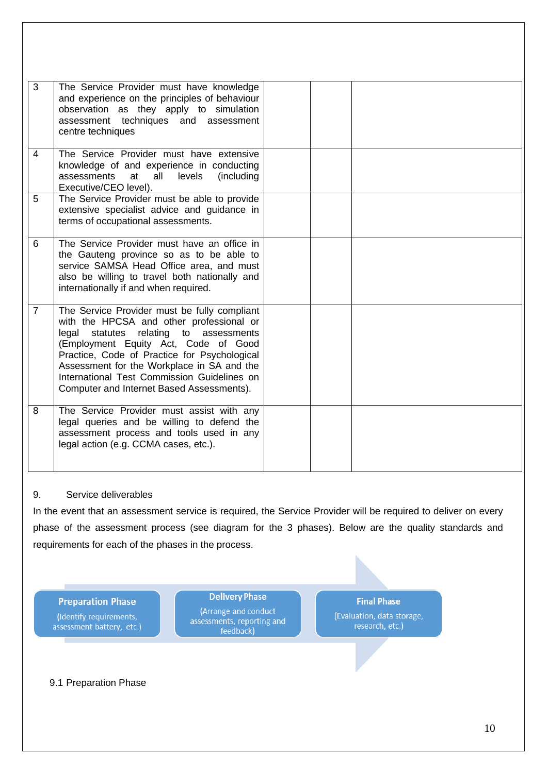| 3              | The Service Provider must have knowledge<br>and experience on the principles of behaviour<br>observation as they apply to simulation<br>assessment techniques and assessment<br>centre techniques                                                                                                                                                                          |  |  |
|----------------|----------------------------------------------------------------------------------------------------------------------------------------------------------------------------------------------------------------------------------------------------------------------------------------------------------------------------------------------------------------------------|--|--|
| 4              | The Service Provider must have extensive<br>knowledge of and experience in conducting<br>assessments<br>levels<br>at<br>all<br>(including)<br>Executive/CEO level).                                                                                                                                                                                                        |  |  |
| 5              | The Service Provider must be able to provide<br>extensive specialist advice and guidance in<br>terms of occupational assessments.                                                                                                                                                                                                                                          |  |  |
| 6              | The Service Provider must have an office in<br>the Gauteng province so as to be able to<br>service SAMSA Head Office area, and must<br>also be willing to travel both nationally and<br>internationally if and when required.                                                                                                                                              |  |  |
| $\overline{7}$ | The Service Provider must be fully compliant<br>with the HPCSA and other professional or<br>relating to assessments<br>legal<br>statutes<br>(Employment Equity Act, Code of Good<br>Practice, Code of Practice for Psychological<br>Assessment for the Workplace in SA and the<br>International Test Commission Guidelines on<br>Computer and Internet Based Assessments). |  |  |
| 8              | The Service Provider must assist with any<br>legal queries and be willing to defend the<br>assessment process and tools used in any<br>legal action (e.g. CCMA cases, etc.).                                                                                                                                                                                               |  |  |

## 9. Service deliverables

In the event that an assessment service is required, the Service Provider will be required to deliver on every phase of the assessment process (see diagram for the 3 phases). Below are the quality standards and requirements for each of the phases in the process.

**Preparation Phase** (Identify requirements, assessment battery, etc.)

**Delivery Phase** (Arrange and conduct assessments, reporting and feedback)

**Final Phase** 

(Evaluation, data storage, research, etc.)

9.1 Preparation Phase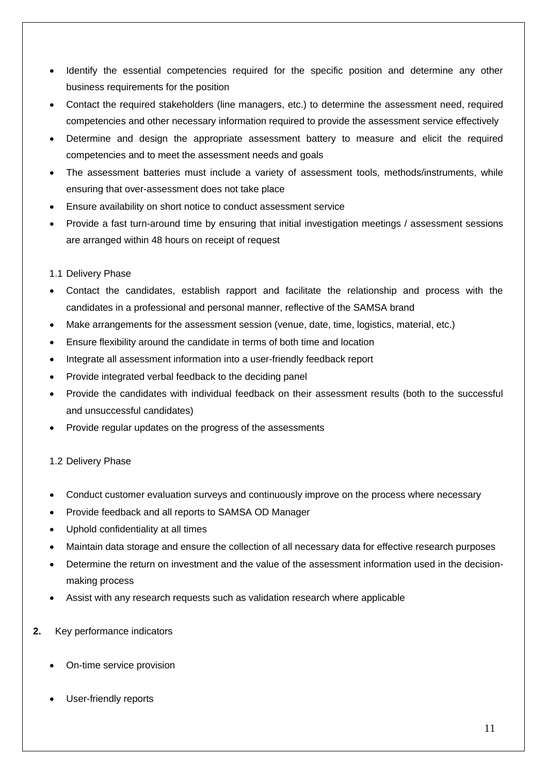- Identify the essential competencies required for the specific position and determine any other business requirements for the position
- Contact the required stakeholders (line managers, etc.) to determine the assessment need, required competencies and other necessary information required to provide the assessment service effectively
- Determine and design the appropriate assessment battery to measure and elicit the required competencies and to meet the assessment needs and goals
- The assessment batteries must include a variety of assessment tools, methods/instruments, while ensuring that over-assessment does not take place
- Ensure availability on short notice to conduct assessment service
- Provide a fast turn-around time by ensuring that initial investigation meetings / assessment sessions are arranged within 48 hours on receipt of request

## 1.1 Delivery Phase

- Contact the candidates, establish rapport and facilitate the relationship and process with the candidates in a professional and personal manner, reflective of the SAMSA brand
- Make arrangements for the assessment session (venue, date, time, logistics, material, etc.)
- Ensure flexibility around the candidate in terms of both time and location
- Integrate all assessment information into a user-friendly feedback report
- Provide integrated verbal feedback to the deciding panel
- Provide the candidates with individual feedback on their assessment results (both to the successful and unsuccessful candidates)
- Provide regular updates on the progress of the assessments

## 1.2 Delivery Phase

- Conduct customer evaluation surveys and continuously improve on the process where necessary
- Provide feedback and all reports to SAMSA OD Manager
- Uphold confidentiality at all times
- Maintain data storage and ensure the collection of all necessary data for effective research purposes
- Determine the return on investment and the value of the assessment information used in the decisionmaking process
- Assist with any research requests such as validation research where applicable
- **2.** Key performance indicators
	- On-time service provision
	- User-friendly reports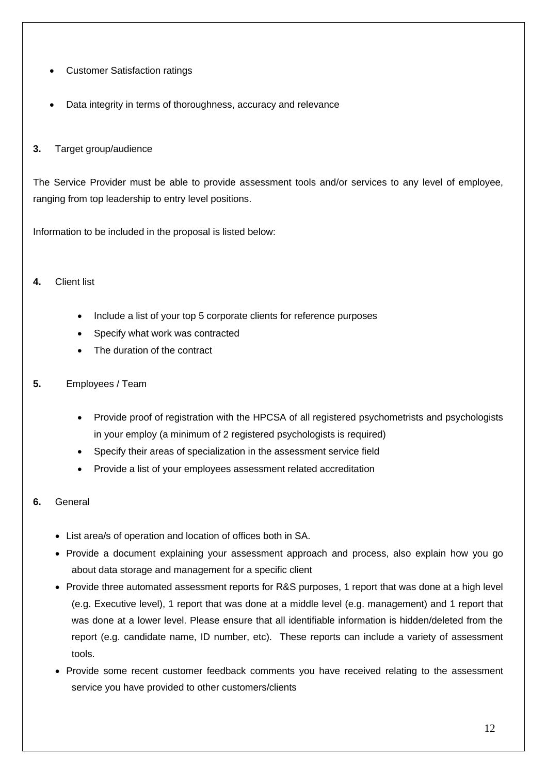- Customer Satisfaction ratings
- Data integrity in terms of thoroughness, accuracy and relevance

## **3.** Target group/audience

The Service Provider must be able to provide assessment tools and/or services to any level of employee, ranging from top leadership to entry level positions.

Information to be included in the proposal is listed below:

## **4.** Client list

- Include a list of your top 5 corporate clients for reference purposes
- Specify what work was contracted
- The duration of the contract

## **5.** Employees / Team

- Provide proof of registration with the HPCSA of all registered psychometrists and psychologists in your employ (a minimum of 2 registered psychologists is required)
- Specify their areas of specialization in the assessment service field
- Provide a list of your employees assessment related accreditation

## **6.** General

- List area/s of operation and location of offices both in SA.
- Provide a document explaining your assessment approach and process, also explain how you go about data storage and management for a specific client
- Provide three automated assessment reports for R&S purposes, 1 report that was done at a high level (e.g. Executive level), 1 report that was done at a middle level (e.g. management) and 1 report that was done at a lower level. Please ensure that all identifiable information is hidden/deleted from the report (e.g. candidate name, ID number, etc). These reports can include a variety of assessment tools.
- Provide some recent customer feedback comments you have received relating to the assessment service you have provided to other customers/clients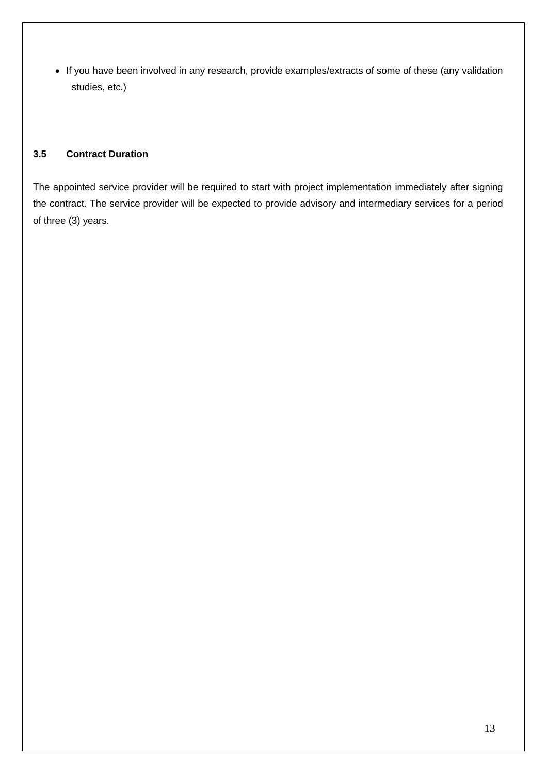• If you have been involved in any research, provide examples/extracts of some of these (any validation studies, etc.)

## **3.5 Contract Duration**

The appointed service provider will be required to start with project implementation immediately after signing the contract. The service provider will be expected to provide advisory and intermediary services for a period of three (3) years.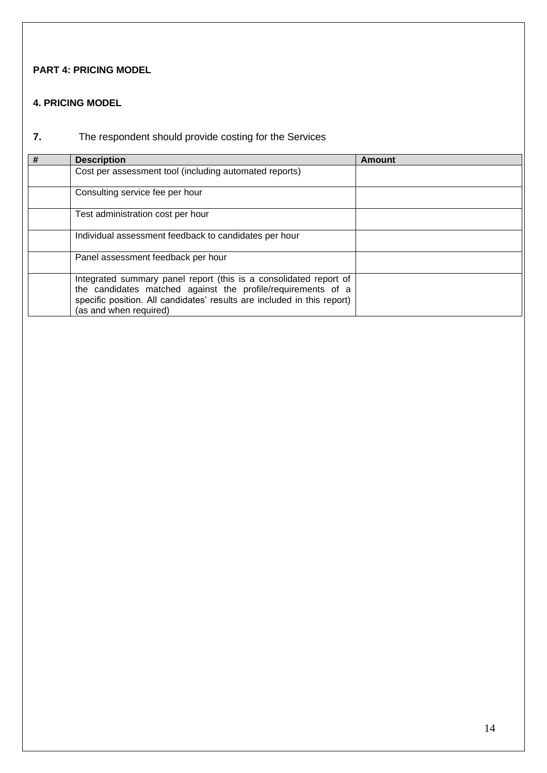## **PART 4: PRICING MODEL**

## **4. PRICING MODEL**

# **7.** The respondent should provide costing for the Services

| # | <b>Description</b>                                                                                                                      | <b>Amount</b> |
|---|-----------------------------------------------------------------------------------------------------------------------------------------|---------------|
|   | Cost per assessment tool (including automated reports)                                                                                  |               |
|   | Consulting service fee per hour                                                                                                         |               |
|   | Test administration cost per hour                                                                                                       |               |
|   | Individual assessment feedback to candidates per hour                                                                                   |               |
|   | Panel assessment feedback per hour                                                                                                      |               |
|   | Integrated summary panel report (this is a consolidated report of                                                                       |               |
|   | the candidates matched against the profile/requirements of a<br>specific position. All candidates' results are included in this report) |               |
|   | (as and when required)                                                                                                                  |               |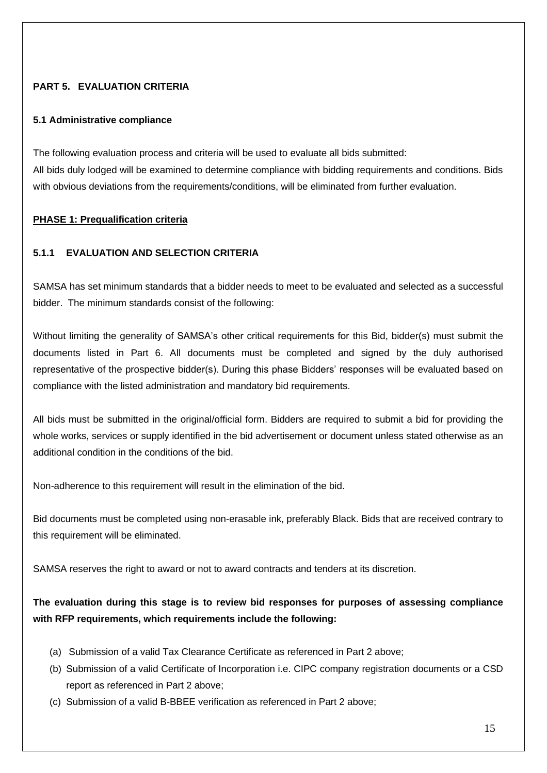## **PART 5. EVALUATION CRITERIA**

#### **5.1 Administrative compliance**

The following evaluation process and criteria will be used to evaluate all bids submitted: All bids duly lodged will be examined to determine compliance with bidding requirements and conditions. Bids with obvious deviations from the requirements/conditions, will be eliminated from further evaluation.

#### **PHASE 1: Prequalification criteria**

## **5.1.1 EVALUATION AND SELECTION CRITERIA**

SAMSA has set minimum standards that a bidder needs to meet to be evaluated and selected as a successful bidder. The minimum standards consist of the following:

Without limiting the generality of SAMSA's other critical requirements for this Bid, bidder(s) must submit the documents listed in Part 6. All documents must be completed and signed by the duly authorised representative of the prospective bidder(s). During this phase Bidders' responses will be evaluated based on compliance with the listed administration and mandatory bid requirements.

All bids must be submitted in the original/official form. Bidders are required to submit a bid for providing the whole works, services or supply identified in the bid advertisement or document unless stated otherwise as an additional condition in the conditions of the bid.

Non-adherence to this requirement will result in the elimination of the bid.

Bid documents must be completed using non-erasable ink, preferably Black. Bids that are received contrary to this requirement will be eliminated.

SAMSA reserves the right to award or not to award contracts and tenders at its discretion.

## **The evaluation during this stage is to review bid responses for purposes of assessing compliance with RFP requirements, which requirements include the following:**

- (a) Submission of a valid Tax Clearance Certificate as referenced in Part 2 above;
- (b) Submission of a valid Certificate of Incorporation i.e. CIPC company registration documents or a CSD report as referenced in Part 2 above;
- (c) Submission of a valid B-BBEE verification as referenced in Part 2 above;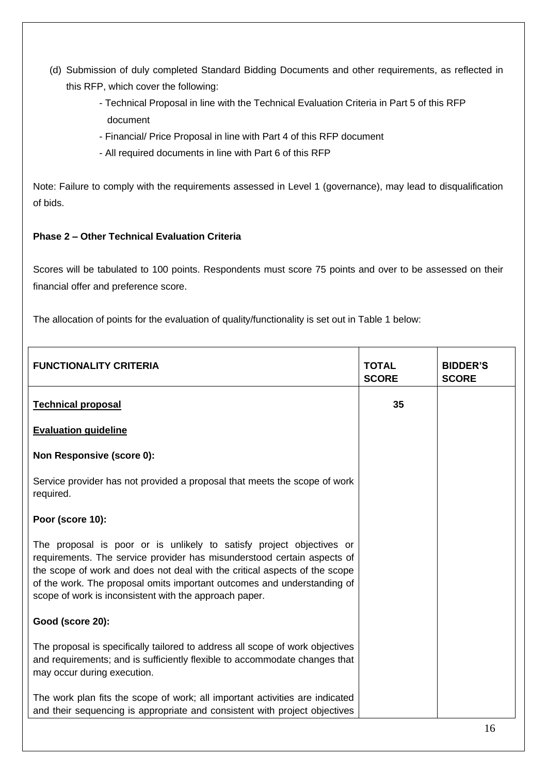- (d) Submission of duly completed Standard Bidding Documents and other requirements, as reflected in this RFP, which cover the following:
	- Technical Proposal in line with the Technical Evaluation Criteria in Part 5 of this RFP document
	- Financial/ Price Proposal in line with Part 4 of this RFP document
	- All required documents in line with Part 6 of this RFP

Note: Failure to comply with the requirements assessed in Level 1 (governance), may lead to disqualification of bids.

## **Phase 2 – Other Technical Evaluation Criteria**

Scores will be tabulated to 100 points. Respondents must score 75 points and over to be assessed on their financial offer and preference score.

The allocation of points for the evaluation of quality/functionality is set out in Table 1 below:

| <b>FUNCTIONALITY CRITERIA</b>                                                                                                                                                                                                                                                                                                                                      | <b>TOTAL</b><br><b>SCORE</b> | <b>BIDDER'S</b><br><b>SCORE</b> |
|--------------------------------------------------------------------------------------------------------------------------------------------------------------------------------------------------------------------------------------------------------------------------------------------------------------------------------------------------------------------|------------------------------|---------------------------------|
| <b>Technical proposal</b>                                                                                                                                                                                                                                                                                                                                          | 35                           |                                 |
| <b>Evaluation guideline</b>                                                                                                                                                                                                                                                                                                                                        |                              |                                 |
| <b>Non Responsive (score 0):</b>                                                                                                                                                                                                                                                                                                                                   |                              |                                 |
| Service provider has not provided a proposal that meets the scope of work<br>required.                                                                                                                                                                                                                                                                             |                              |                                 |
| Poor (score 10):                                                                                                                                                                                                                                                                                                                                                   |                              |                                 |
| The proposal is poor or is unlikely to satisfy project objectives or<br>requirements. The service provider has misunderstood certain aspects of<br>the scope of work and does not deal with the critical aspects of the scope<br>of the work. The proposal omits important outcomes and understanding of<br>scope of work is inconsistent with the approach paper. |                              |                                 |
| Good (score 20):                                                                                                                                                                                                                                                                                                                                                   |                              |                                 |
| The proposal is specifically tailored to address all scope of work objectives<br>and requirements; and is sufficiently flexible to accommodate changes that<br>may occur during execution.                                                                                                                                                                         |                              |                                 |
| The work plan fits the scope of work; all important activities are indicated<br>and their sequencing is appropriate and consistent with project objectives                                                                                                                                                                                                         |                              |                                 |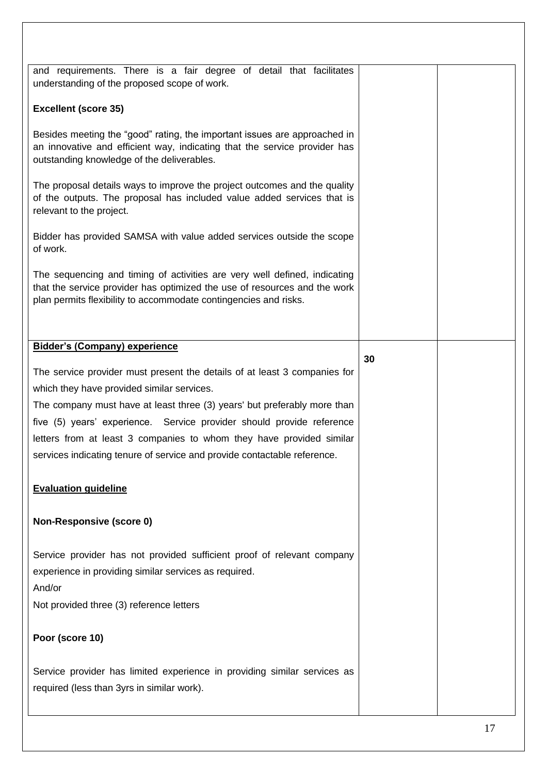| and requirements. There is a fair degree of detail that facilitates<br>understanding of the proposed scope of work.                                                                                                        |    |  |
|----------------------------------------------------------------------------------------------------------------------------------------------------------------------------------------------------------------------------|----|--|
| <b>Excellent (score 35)</b>                                                                                                                                                                                                |    |  |
| Besides meeting the "good" rating, the important issues are approached in<br>an innovative and efficient way, indicating that the service provider has<br>outstanding knowledge of the deliverables.                       |    |  |
| The proposal details ways to improve the project outcomes and the quality<br>of the outputs. The proposal has included value added services that is<br>relevant to the project.                                            |    |  |
| Bidder has provided SAMSA with value added services outside the scope<br>of work.                                                                                                                                          |    |  |
| The sequencing and timing of activities are very well defined, indicating<br>that the service provider has optimized the use of resources and the work<br>plan permits flexibility to accommodate contingencies and risks. |    |  |
|                                                                                                                                                                                                                            |    |  |
| <b>Bidder's (Company) experience</b>                                                                                                                                                                                       |    |  |
|                                                                                                                                                                                                                            | 30 |  |
| The service provider must present the details of at least 3 companies for                                                                                                                                                  |    |  |
| which they have provided similar services.                                                                                                                                                                                 |    |  |
| The company must have at least three (3) years' but preferably more than                                                                                                                                                   |    |  |
| five (5) years' experience. Service provider should provide reference                                                                                                                                                      |    |  |
| letters from at least 3 companies to whom they have provided similar                                                                                                                                                       |    |  |
| services indicating tenure of service and provide contactable reference.                                                                                                                                                   |    |  |
| <b>Evaluation guideline</b>                                                                                                                                                                                                |    |  |
| <b>Non-Responsive (score 0)</b>                                                                                                                                                                                            |    |  |
| Service provider has not provided sufficient proof of relevant company<br>experience in providing similar services as required.<br>And/or                                                                                  |    |  |
| Not provided three (3) reference letters                                                                                                                                                                                   |    |  |
| Poor (score 10)                                                                                                                                                                                                            |    |  |
| Service provider has limited experience in providing similar services as<br>required (less than 3yrs in similar work).                                                                                                     |    |  |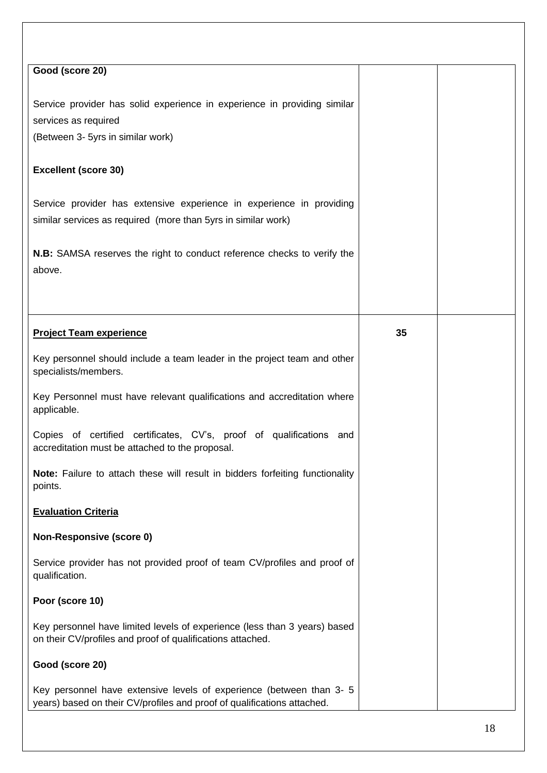| Good (score 20)                                                                                                                                 |    |  |
|-------------------------------------------------------------------------------------------------------------------------------------------------|----|--|
|                                                                                                                                                 |    |  |
| Service provider has solid experience in experience in providing similar                                                                        |    |  |
| services as required                                                                                                                            |    |  |
| (Between 3- 5yrs in similar work)                                                                                                               |    |  |
|                                                                                                                                                 |    |  |
| <b>Excellent (score 30)</b>                                                                                                                     |    |  |
| Service provider has extensive experience in experience in providing                                                                            |    |  |
| similar services as required (more than 5yrs in similar work)                                                                                   |    |  |
|                                                                                                                                                 |    |  |
| N.B: SAMSA reserves the right to conduct reference checks to verify the                                                                         |    |  |
|                                                                                                                                                 |    |  |
| above.                                                                                                                                          |    |  |
|                                                                                                                                                 |    |  |
|                                                                                                                                                 |    |  |
| <b>Project Team experience</b>                                                                                                                  | 35 |  |
| Key personnel should include a team leader in the project team and other<br>specialists/members.                                                |    |  |
| Key Personnel must have relevant qualifications and accreditation where<br>applicable.                                                          |    |  |
| Copies of certified certificates, CV's, proof of qualifications and<br>accreditation must be attached to the proposal.                          |    |  |
| Note: Failure to attach these will result in bidders forfeiting functionality<br>points.                                                        |    |  |
| <b>Evaluation Criteria</b>                                                                                                                      |    |  |
| <b>Non-Responsive (score 0)</b>                                                                                                                 |    |  |
| Service provider has not provided proof of team CV/profiles and proof of<br>qualification.                                                      |    |  |
| Poor (score 10)                                                                                                                                 |    |  |
| Key personnel have limited levels of experience (less than 3 years) based<br>on their CV/profiles and proof of qualifications attached.         |    |  |
| Good (score 20)                                                                                                                                 |    |  |
| Key personnel have extensive levels of experience (between than 3- 5<br>years) based on their CV/profiles and proof of qualifications attached. |    |  |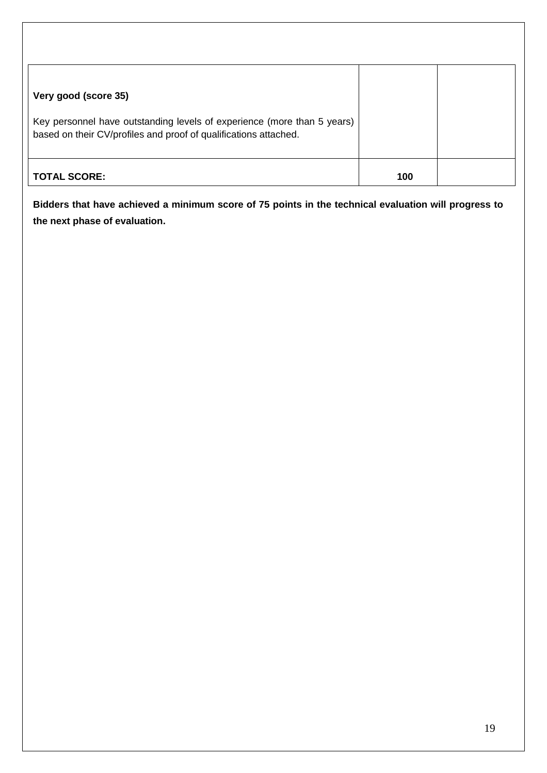| Very good (score 35)                                                                                                                        |     |  |
|---------------------------------------------------------------------------------------------------------------------------------------------|-----|--|
| Key personnel have outstanding levels of experience (more than 5 years)<br>based on their CV/profiles and proof of qualifications attached. |     |  |
| <b>TOTAL SCORE:</b>                                                                                                                         | 100 |  |

**Bidders that have achieved a minimum score of 75 points in the technical evaluation will progress to the next phase of evaluation.**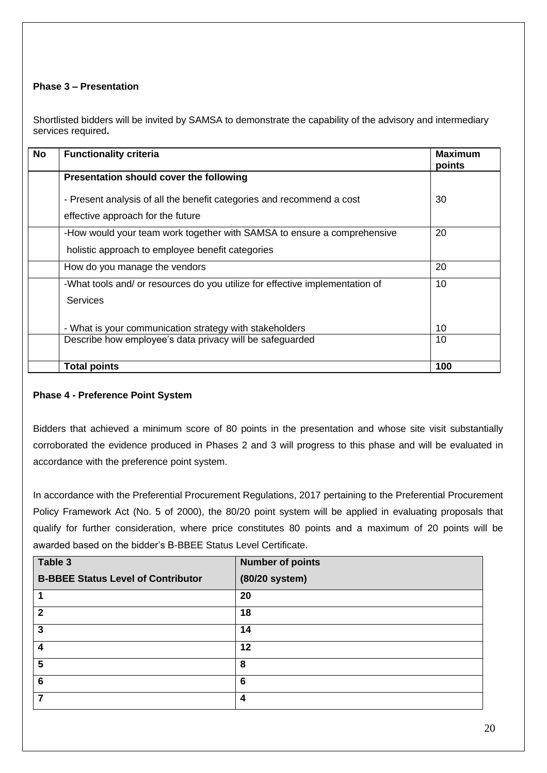## **Phase 3 – Presentation**

Shortlisted bidders will be invited by SAMSA to demonstrate the capability of the advisory and intermediary services required**.**

| <b>No</b> | <b>Functionality criteria</b>                                                                              | <b>Maximum</b><br>points |
|-----------|------------------------------------------------------------------------------------------------------------|--------------------------|
|           | Presentation should cover the following                                                                    |                          |
|           | - Present analysis of all the benefit categories and recommend a cost<br>effective approach for the future | 30                       |
|           | -How would your team work together with SAMSA to ensure a comprehensive                                    | 20                       |
|           | holistic approach to employee benefit categories                                                           |                          |
|           | How do you manage the vendors                                                                              | 20                       |
|           | -What tools and/ or resources do you utilize for effective implementation of                               | 10                       |
|           | <b>Services</b>                                                                                            |                          |
|           | - What is your communication strategy with stakeholders                                                    | 10                       |
|           | Describe how employee's data privacy will be safeguarded                                                   | 10                       |
|           |                                                                                                            |                          |
|           | <b>Total points</b>                                                                                        | 100                      |

## **Phase 4 - Preference Point System**

Bidders that achieved a minimum score of 80 points in the presentation and whose site visit substantially corroborated the evidence produced in Phases 2 and 3 will progress to this phase and will be evaluated in accordance with the preference point system.

In accordance with the Preferential Procurement Regulations, 2017 pertaining to the Preferential Procurement Policy Framework Act (No. 5 of 2000), the 80/20 point system will be applied in evaluating proposals that qualify for further consideration, where price constitutes 80 points and a maximum of 20 points will be awarded based on the bidder's B-BBEE Status Level Certificate.

| Table 3                                   | <b>Number of points</b> |
|-------------------------------------------|-------------------------|
| <b>B-BBEE Status Level of Contributor</b> | (80/20 system)          |
|                                           | 20                      |
| $\mathbf 2$                               | 18                      |
| 3                                         | 14                      |
| 4                                         | 12                      |
| 5                                         | 8                       |
| 6                                         | 6                       |
|                                           | 4                       |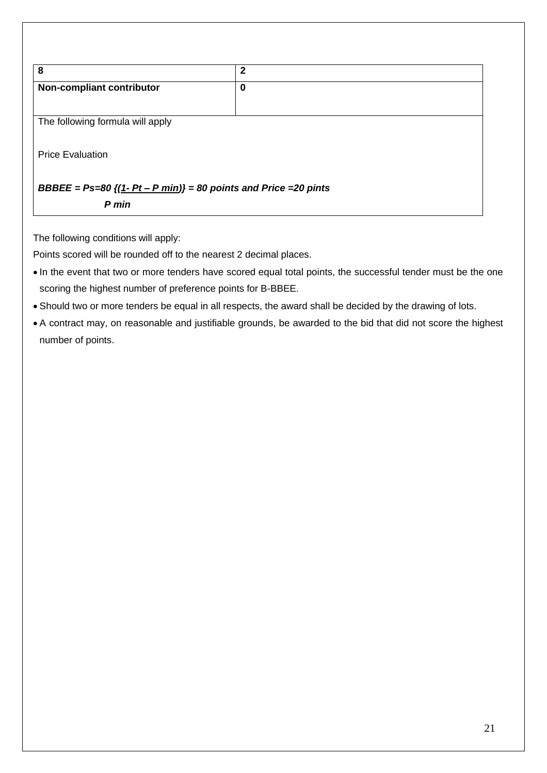| 8                                                                             | $\mathbf{2}$ |  |  |  |  |
|-------------------------------------------------------------------------------|--------------|--|--|--|--|
| Non-compliant contributor                                                     | 0            |  |  |  |  |
| The following formula will apply                                              |              |  |  |  |  |
| <b>Price Evaluation</b>                                                       |              |  |  |  |  |
| BBBEE = $Ps=80$ { $(1-Pt-Pmin)$ } = 80 points and Price = 20 pints<br>$P$ min |              |  |  |  |  |

The following conditions will apply:

Points scored will be rounded off to the nearest 2 decimal places.

- In the event that two or more tenders have scored equal total points, the successful tender must be the one scoring the highest number of preference points for B-BBEE.
- Should two or more tenders be equal in all respects, the award shall be decided by the drawing of lots.
- A contract may, on reasonable and justifiable grounds, be awarded to the bid that did not score the highest number of points.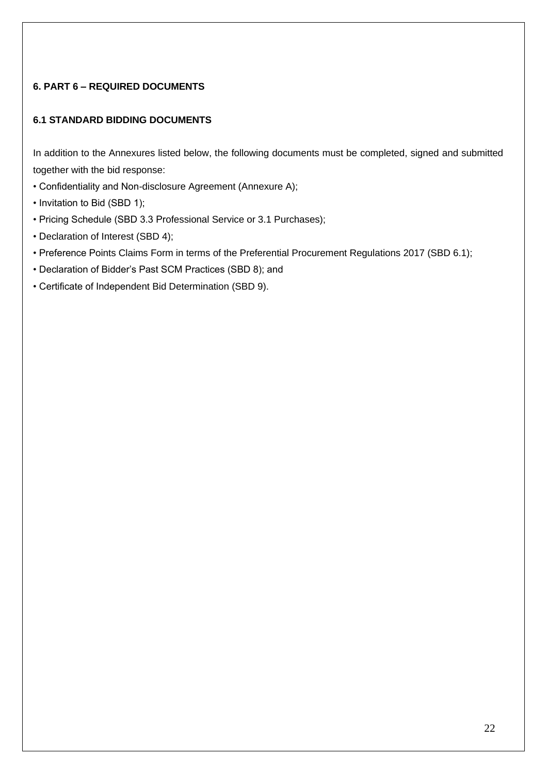## **6. PART 6 – REQUIRED DOCUMENTS**

## **6.1 STANDARD BIDDING DOCUMENTS**

In addition to the Annexures listed below, the following documents must be completed, signed and submitted together with the bid response:

- Confidentiality and Non-disclosure Agreement (Annexure A);
- Invitation to Bid (SBD 1);
- Pricing Schedule (SBD 3.3 Professional Service or 3.1 Purchases);
- Declaration of Interest (SBD 4);
- Preference Points Claims Form in terms of the Preferential Procurement Regulations 2017 (SBD 6.1);
- Declaration of Bidder's Past SCM Practices (SBD 8); and
- Certificate of Independent Bid Determination (SBD 9).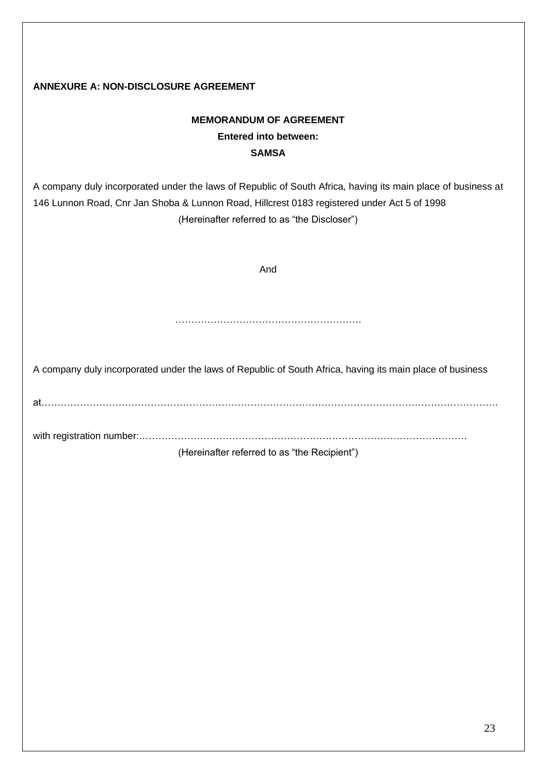## **ANNEXURE A: NON-DISCLOSURE AGREEMENT**

# **MEMORANDUM OF AGREEMENT Entered into between: SAMSA**

A company duly incorporated under the laws of Republic of South Africa, having its main place of business at 146 Lunnon Road, Cnr Jan Shoba & Lunnon Road, Hillcrest 0183 registered under Act 5 of 1998 (Hereinafter referred to as "the Discloser")

And

………………………………………………….

A company duly incorporated under the laws of Republic of South Africa, having its main place of business

at…………………………………………………………………………………………………………………………….

with registration number:…………………………………………………………………………………………

(Hereinafter referred to as "the Recipient")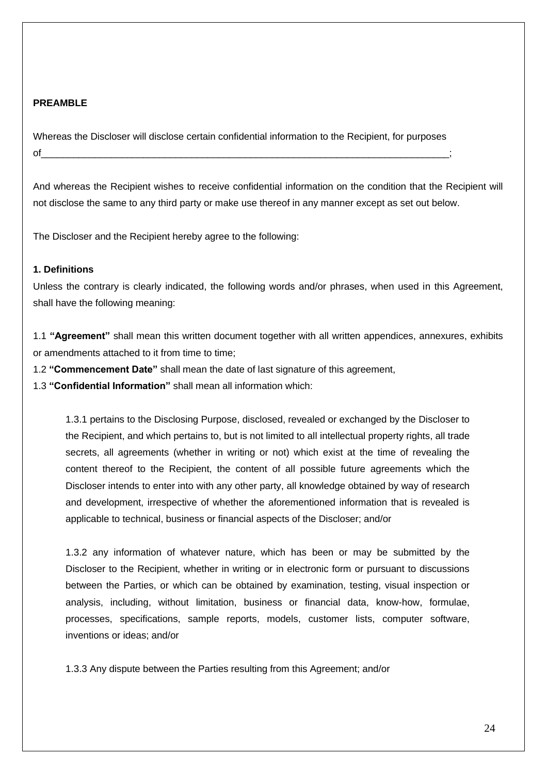#### **PREAMBLE**

Whereas the Discloser will disclose certain confidential information to the Recipient, for purposes of\_\_\_\_\_\_\_\_\_\_\_\_\_\_\_\_\_\_\_\_\_\_\_\_\_\_\_\_\_\_\_\_\_\_\_\_\_\_\_\_\_\_\_\_\_\_\_\_\_\_\_\_\_\_\_\_\_\_\_\_\_\_\_\_\_\_\_\_\_\_\_\_\_\_\_\_;

And whereas the Recipient wishes to receive confidential information on the condition that the Recipient will not disclose the same to any third party or make use thereof in any manner except as set out below.

The Discloser and the Recipient hereby agree to the following:

#### **1. Definitions**

Unless the contrary is clearly indicated, the following words and/or phrases, when used in this Agreement, shall have the following meaning:

1.1 **"Agreement"** shall mean this written document together with all written appendices, annexures, exhibits or amendments attached to it from time to time;

1.2 **"Commencement Date"** shall mean the date of last signature of this agreement,

1.3 **"Confidential Information"** shall mean all information which:

1.3.1 pertains to the Disclosing Purpose, disclosed, revealed or exchanged by the Discloser to the Recipient, and which pertains to, but is not limited to all intellectual property rights, all trade secrets, all agreements (whether in writing or not) which exist at the time of revealing the content thereof to the Recipient, the content of all possible future agreements which the Discloser intends to enter into with any other party, all knowledge obtained by way of research and development, irrespective of whether the aforementioned information that is revealed is applicable to technical, business or financial aspects of the Discloser; and/or

1.3.2 any information of whatever nature, which has been or may be submitted by the Discloser to the Recipient, whether in writing or in electronic form or pursuant to discussions between the Parties, or which can be obtained by examination, testing, visual inspection or analysis, including, without limitation, business or financial data, know-how, formulae, processes, specifications, sample reports, models, customer lists, computer software, inventions or ideas; and/or

1.3.3 Any dispute between the Parties resulting from this Agreement; and/or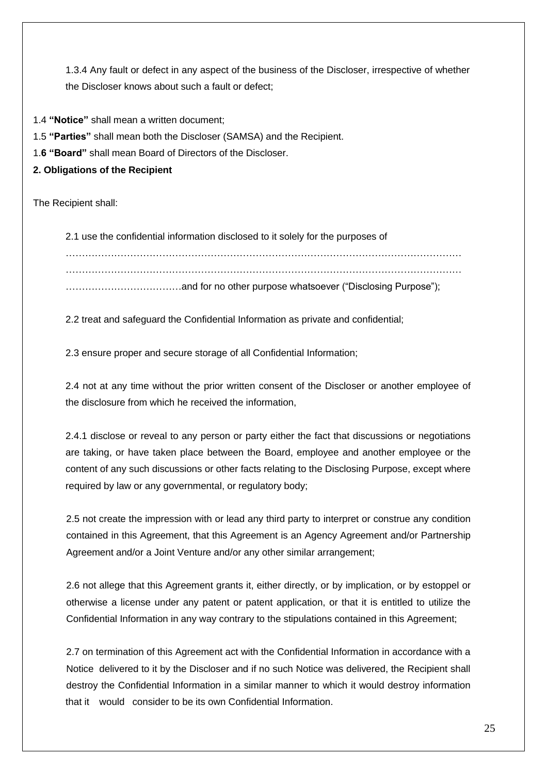1.3.4 Any fault or defect in any aspect of the business of the Discloser, irrespective of whether the Discloser knows about such a fault or defect;

1.4 **"Notice"** shall mean a written document;

1.5 **"Parties"** shall mean both the Discloser (SAMSA) and the Recipient.

1.**6 "Board"** shall mean Board of Directors of the Discloser.

**2. Obligations of the Recipient**

The Recipient shall:

2.1 use the confidential information disclosed to it solely for the purposes of . The contract of the contract of the contract of the contract of the contract of the contract of the contract of the contract of the contract of the contract of the contract of the contract of the contract of the contrac …………………………………………………………………………………………………………… ………………………………and for no other purpose whatsoever ("Disclosing Purpose");

2.2 treat and safeguard the Confidential Information as private and confidential;

2.3 ensure proper and secure storage of all Confidential Information;

2.4 not at any time without the prior written consent of the Discloser or another employee of the disclosure from which he received the information,

2.4.1 disclose or reveal to any person or party either the fact that discussions or negotiations are taking, or have taken place between the Board, employee and another employee or the content of any such discussions or other facts relating to the Disclosing Purpose, except where required by law or any governmental, or regulatory body;

2.5 not create the impression with or lead any third party to interpret or construe any condition contained in this Agreement, that this Agreement is an Agency Agreement and/or Partnership Agreement and/or a Joint Venture and/or any other similar arrangement;

2.6 not allege that this Agreement grants it, either directly, or by implication, or by estoppel or otherwise a license under any patent or patent application, or that it is entitled to utilize the Confidential Information in any way contrary to the stipulations contained in this Agreement;

2.7 on termination of this Agreement act with the Confidential Information in accordance with a Notice delivered to it by the Discloser and if no such Notice was delivered, the Recipient shall destroy the Confidential Information in a similar manner to which it would destroy information that it would consider to be its own Confidential Information.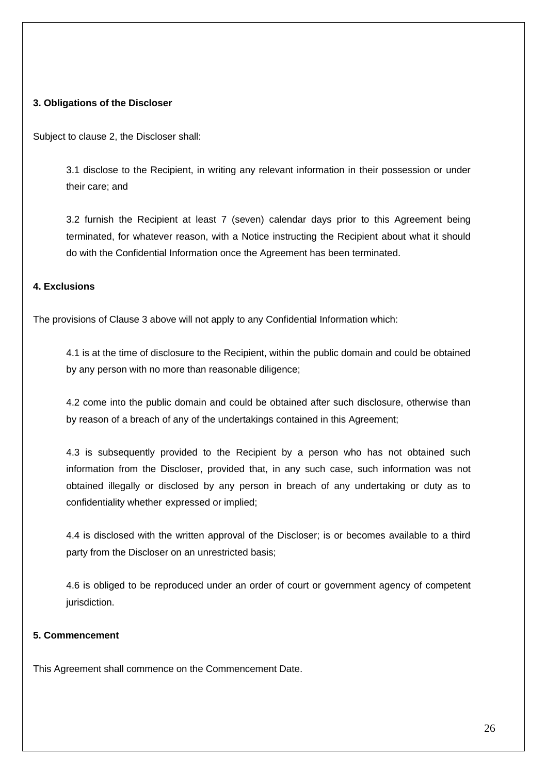#### **3. Obligations of the Discloser**

Subject to clause 2, the Discloser shall:

3.1 disclose to the Recipient, in writing any relevant information in their possession or under their care; and

3.2 furnish the Recipient at least 7 (seven) calendar days prior to this Agreement being terminated, for whatever reason, with a Notice instructing the Recipient about what it should do with the Confidential Information once the Agreement has been terminated.

#### **4. Exclusions**

The provisions of Clause 3 above will not apply to any Confidential Information which:

4.1 is at the time of disclosure to the Recipient, within the public domain and could be obtained by any person with no more than reasonable diligence;

4.2 come into the public domain and could be obtained after such disclosure, otherwise than by reason of a breach of any of the undertakings contained in this Agreement;

4.3 is subsequently provided to the Recipient by a person who has not obtained such information from the Discloser, provided that, in any such case, such information was not obtained illegally or disclosed by any person in breach of any undertaking or duty as to confidentiality whether expressed or implied;

4.4 is disclosed with the written approval of the Discloser; is or becomes available to a third party from the Discloser on an unrestricted basis;

4.6 is obliged to be reproduced under an order of court or government agency of competent jurisdiction.

#### **5. Commencement**

This Agreement shall commence on the Commencement Date.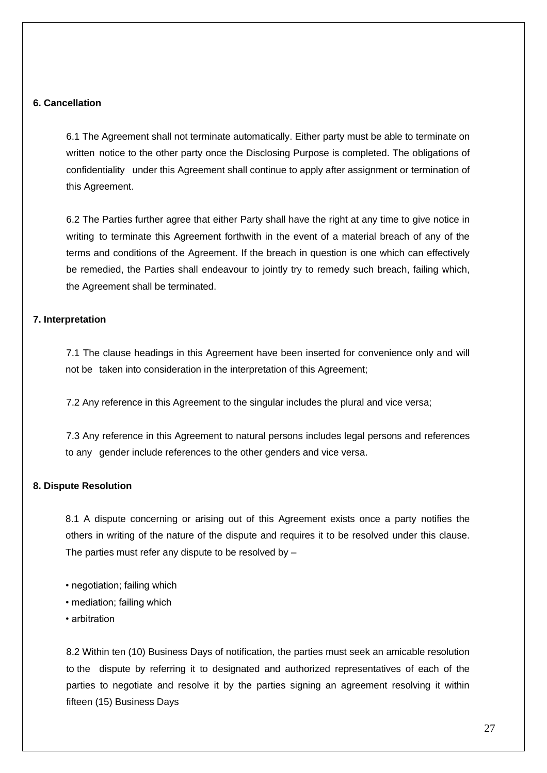#### **6. Cancellation**

6.1 The Agreement shall not terminate automatically. Either party must be able to terminate on written notice to the other party once the Disclosing Purpose is completed. The obligations of confidentiality under this Agreement shall continue to apply after assignment or termination of this Agreement.

6.2 The Parties further agree that either Party shall have the right at any time to give notice in writing to terminate this Agreement forthwith in the event of a material breach of any of the terms and conditions of the Agreement. If the breach in question is one which can effectively be remedied, the Parties shall endeavour to jointly try to remedy such breach, failing which, the Agreement shall be terminated.

#### **7. Interpretation**

7.1 The clause headings in this Agreement have been inserted for convenience only and will not be taken into consideration in the interpretation of this Agreement;

7.2 Any reference in this Agreement to the singular includes the plural and vice versa;

7.3 Any reference in this Agreement to natural persons includes legal persons and references to any gender include references to the other genders and vice versa.

#### **8. Dispute Resolution**

8.1 A dispute concerning or arising out of this Agreement exists once a party notifies the others in writing of the nature of the dispute and requires it to be resolved under this clause. The parties must refer any dispute to be resolved by –

- negotiation; failing which
- mediation; failing which
- arbitration

8.2 Within ten (10) Business Days of notification, the parties must seek an amicable resolution to the dispute by referring it to designated and authorized representatives of each of the parties to negotiate and resolve it by the parties signing an agreement resolving it within fifteen (15) Business Days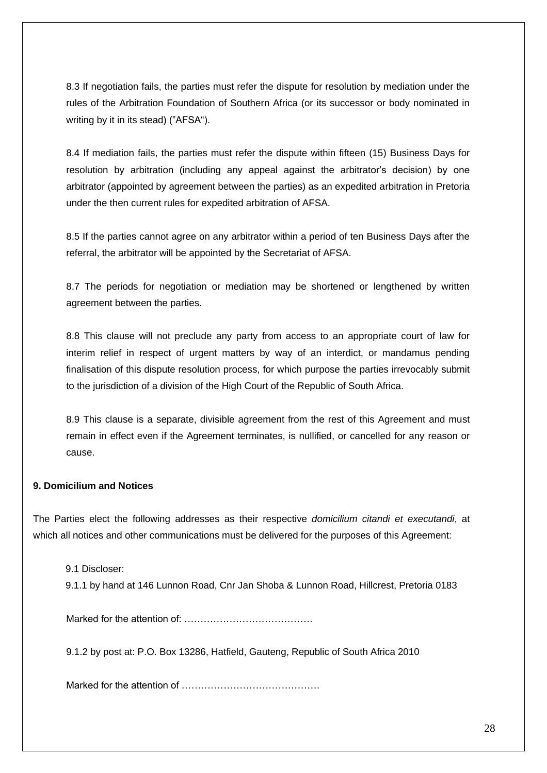8.3 If negotiation fails, the parties must refer the dispute for resolution by mediation under the rules of the Arbitration Foundation of Southern Africa (or its successor or body nominated in writing by it in its stead) ("AFSA").

8.4 If mediation fails, the parties must refer the dispute within fifteen (15) Business Days for resolution by arbitration (including any appeal against the arbitrator's decision) by one arbitrator (appointed by agreement between the parties) as an expedited arbitration in Pretoria under the then current rules for expedited arbitration of AFSA.

8.5 If the parties cannot agree on any arbitrator within a period of ten Business Days after the referral, the arbitrator will be appointed by the Secretariat of AFSA.

8.7 The periods for negotiation or mediation may be shortened or lengthened by written agreement between the parties.

8.8 This clause will not preclude any party from access to an appropriate court of law for interim relief in respect of urgent matters by way of an interdict, or mandamus pending finalisation of this dispute resolution process, for which purpose the parties irrevocably submit to the jurisdiction of a division of the High Court of the Republic of South Africa.

8.9 This clause is a separate, divisible agreement from the rest of this Agreement and must remain in effect even if the Agreement terminates, is nullified, or cancelled for any reason or cause.

## **9. Domicilium and Notices**

The Parties elect the following addresses as their respective *domicilium citandi et executandi*, at which all notices and other communications must be delivered for the purposes of this Agreement:

9.1 Discloser:

9.1.1 by hand at 146 Lunnon Road, Cnr Jan Shoba & Lunnon Road, Hillcrest, Pretoria 0183

Marked for the attention of: ………………………………….

9.1.2 by post at: P.O. Box 13286, Hatfield, Gauteng, Republic of South Africa 2010

Marked for the attention of …………………………………….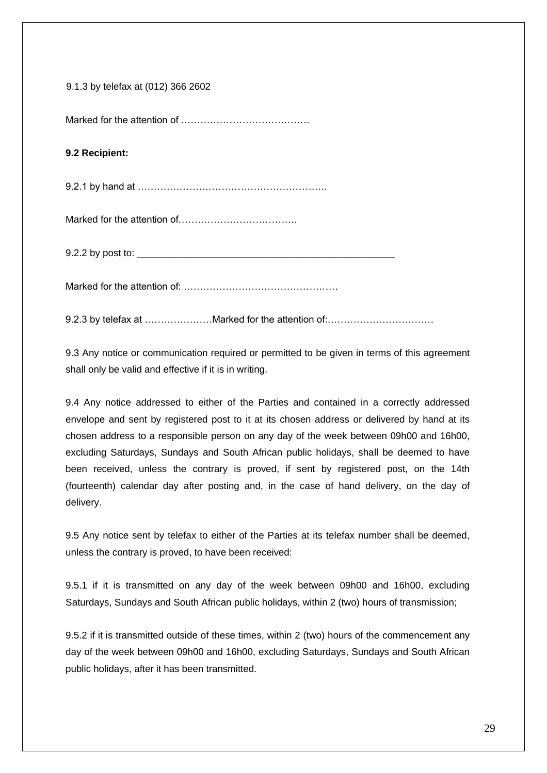| 9.1.3 by telefax at (012) 366 2602 |  |
|------------------------------------|--|
|------------------------------------|--|

Marked for the attention of ………………………………….

## **9.2 Recipient:**

9.2.1 by hand at …………………………………………………..

Marked for the attention of……………………………….

9.2.2 by post to:  $\frac{1}{2}$ 

Marked for the attention of: …………………………………………

9.2.3 by telefax at …………………Marked for the attention of:……………………………

9.3 Any notice or communication required or permitted to be given in terms of this agreement shall only be valid and effective if it is in writing.

9.4 Any notice addressed to either of the Parties and contained in a correctly addressed envelope and sent by registered post to it at its chosen address or delivered by hand at its chosen address to a responsible person on any day of the week between 09h00 and 16h00, excluding Saturdays, Sundays and South African public holidays, shall be deemed to have been received, unless the contrary is proved, if sent by registered post, on the 14th (fourteenth) calendar day after posting and, in the case of hand delivery, on the day of delivery.

9.5 Any notice sent by telefax to either of the Parties at its telefax number shall be deemed, unless the contrary is proved, to have been received:

9.5.1 if it is transmitted on any day of the week between 09h00 and 16h00, excluding Saturdays, Sundays and South African public holidays, within 2 (two) hours of transmission;

9.5.2 if it is transmitted outside of these times, within 2 (two) hours of the commencement any day of the week between 09h00 and 16h00, excluding Saturdays, Sundays and South African public holidays, after it has been transmitted.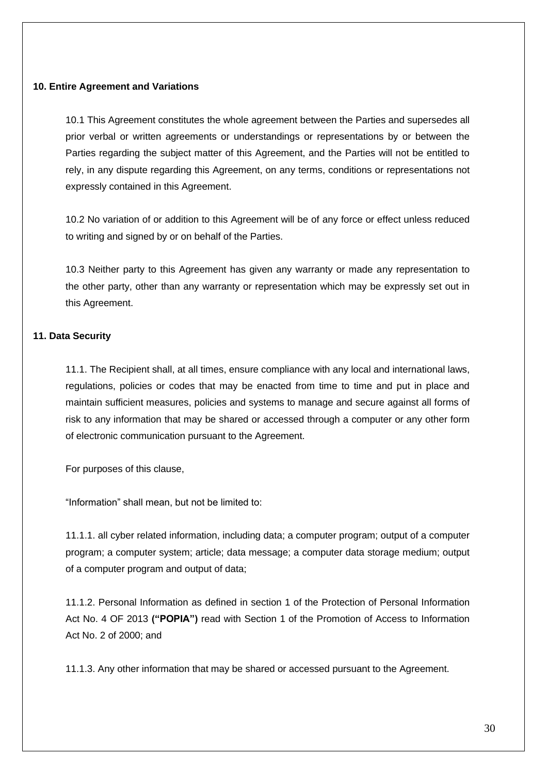#### **10. Entire Agreement and Variations**

10.1 This Agreement constitutes the whole agreement between the Parties and supersedes all prior verbal or written agreements or understandings or representations by or between the Parties regarding the subject matter of this Agreement, and the Parties will not be entitled to rely, in any dispute regarding this Agreement, on any terms, conditions or representations not expressly contained in this Agreement.

10.2 No variation of or addition to this Agreement will be of any force or effect unless reduced to writing and signed by or on behalf of the Parties.

10.3 Neither party to this Agreement has given any warranty or made any representation to the other party, other than any warranty or representation which may be expressly set out in this Agreement.

#### **11. Data Security**

11.1. The Recipient shall, at all times, ensure compliance with any local and international laws, regulations, policies or codes that may be enacted from time to time and put in place and maintain sufficient measures, policies and systems to manage and secure against all forms of risk to any information that may be shared or accessed through a computer or any other form of electronic communication pursuant to the Agreement.

For purposes of this clause,

"Information" shall mean, but not be limited to:

11.1.1. all cyber related information, including data; a computer program; output of a computer program; a computer system; article; data message; a computer data storage medium; output of a computer program and output of data;

11.1.2. Personal Information as defined in section 1 of the Protection of Personal Information Act No. 4 OF 2013 **("POPIA")** read with Section 1 of the Promotion of Access to Information Act No. 2 of 2000; and

11.1.3. Any other information that may be shared or accessed pursuant to the Agreement.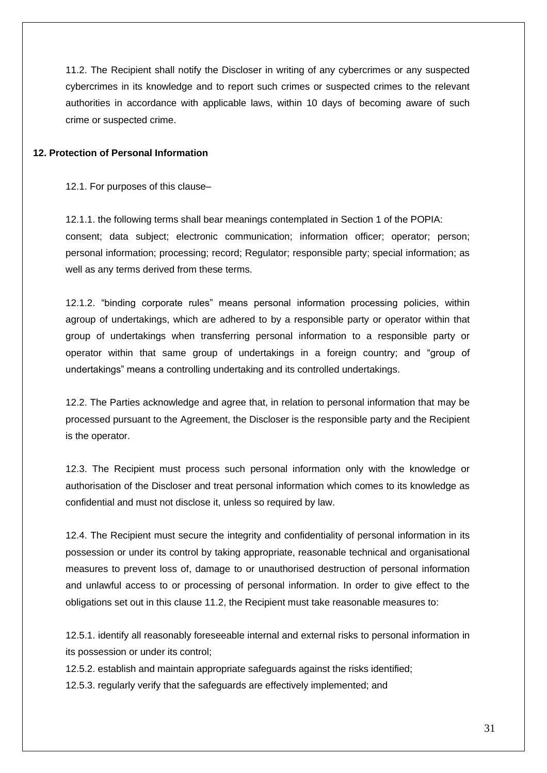11.2. The Recipient shall notify the Discloser in writing of any cybercrimes or any suspected cybercrimes in its knowledge and to report such crimes or suspected crimes to the relevant authorities in accordance with applicable laws, within 10 days of becoming aware of such crime or suspected crime.

#### **12. Protection of Personal Information**

12.1. For purposes of this clause–

12.1.1. the following terms shall bear meanings contemplated in Section 1 of the POPIA: consent; data subject; electronic communication; information officer; operator; person; personal information; processing; record; Regulator; responsible party; special information; as well as any terms derived from these terms.

12.1.2. "binding corporate rules" means personal information processing policies, within agroup of undertakings, which are adhered to by a responsible party or operator within that group of undertakings when transferring personal information to a responsible party or operator within that same group of undertakings in a foreign country; and "group of undertakings" means a controlling undertaking and its controlled undertakings.

12.2. The Parties acknowledge and agree that, in relation to personal information that may be processed pursuant to the Agreement, the Discloser is the responsible party and the Recipient is the operator.

12.3. The Recipient must process such personal information only with the knowledge or authorisation of the Discloser and treat personal information which comes to its knowledge as confidential and must not disclose it, unless so required by law.

12.4. The Recipient must secure the integrity and confidentiality of personal information in its possession or under its control by taking appropriate, reasonable technical and organisational measures to prevent loss of, damage to or unauthorised destruction of personal information and unlawful access to or processing of personal information. In order to give effect to the obligations set out in this clause 11.2, the Recipient must take reasonable measures to:

12.5.1. identify all reasonably foreseeable internal and external risks to personal information in its possession or under its control;

12.5.2. establish and maintain appropriate safeguards against the risks identified;

12.5.3. regularly verify that the safeguards are effectively implemented; and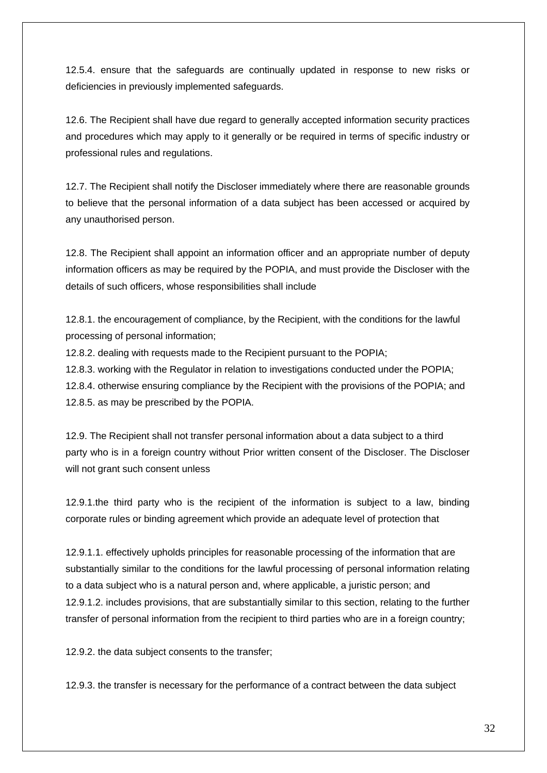12.5.4. ensure that the safeguards are continually updated in response to new risks or deficiencies in previously implemented safeguards.

12.6. The Recipient shall have due regard to generally accepted information security practices and procedures which may apply to it generally or be required in terms of specific industry or professional rules and regulations.

12.7. The Recipient shall notify the Discloser immediately where there are reasonable grounds to believe that the personal information of a data subject has been accessed or acquired by any unauthorised person.

12.8. The Recipient shall appoint an information officer and an appropriate number of deputy information officers as may be required by the POPIA, and must provide the Discloser with the details of such officers, whose responsibilities shall include

12.8.1. the encouragement of compliance, by the Recipient, with the conditions for the lawful processing of personal information;

12.8.2. dealing with requests made to the Recipient pursuant to the POPIA;

12.8.3. working with the Regulator in relation to investigations conducted under the POPIA;

12.8.4. otherwise ensuring compliance by the Recipient with the provisions of the POPIA; and 12.8.5. as may be prescribed by the POPIA.

12.9. The Recipient shall not transfer personal information about a data subject to a third party who is in a foreign country without Prior written consent of the Discloser. The Discloser will not grant such consent unless

12.9.1.the third party who is the recipient of the information is subject to a law, binding corporate rules or binding agreement which provide an adequate level of protection that

12.9.1.1. effectively upholds principles for reasonable processing of the information that are substantially similar to the conditions for the lawful processing of personal information relating to a data subject who is a natural person and, where applicable, a juristic person; and 12.9.1.2. includes provisions, that are substantially similar to this section, relating to the further transfer of personal information from the recipient to third parties who are in a foreign country;

12.9.2. the data subject consents to the transfer;

12.9.3. the transfer is necessary for the performance of a contract between the data subject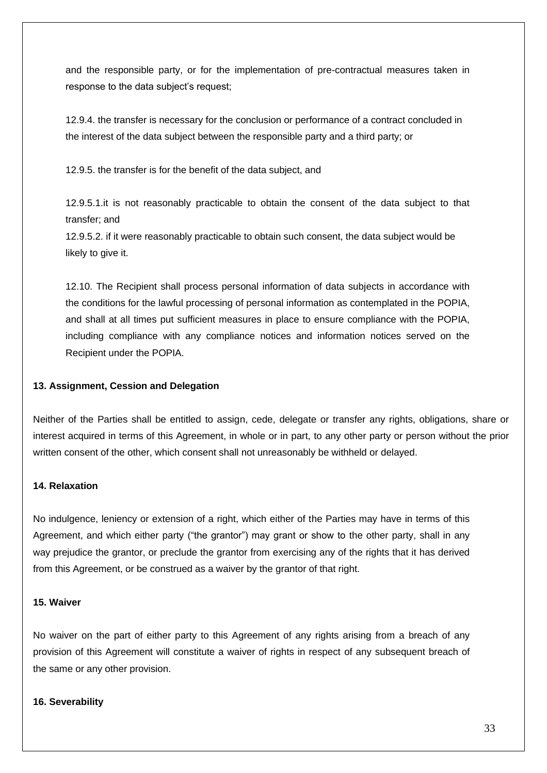and the responsible party, or for the implementation of pre-contractual measures taken in response to the data subject's request;

12.9.4. the transfer is necessary for the conclusion or performance of a contract concluded in the interest of the data subject between the responsible party and a third party; or

12.9.5. the transfer is for the benefit of the data subject, and

12.9.5.1.it is not reasonably practicable to obtain the consent of the data subject to that transfer; and

12.9.5.2. if it were reasonably practicable to obtain such consent, the data subject would be likely to give it.

12.10. The Recipient shall process personal information of data subjects in accordance with the conditions for the lawful processing of personal information as contemplated in the POPIA, and shall at all times put sufficient measures in place to ensure compliance with the POPIA, including compliance with any compliance notices and information notices served on the Recipient under the POPIA.

#### **13. Assignment, Cession and Delegation**

Neither of the Parties shall be entitled to assign, cede, delegate or transfer any rights, obligations, share or interest acquired in terms of this Agreement, in whole or in part, to any other party or person without the prior written consent of the other, which consent shall not unreasonably be withheld or delayed.

#### **14. Relaxation**

No indulgence, leniency or extension of a right, which either of the Parties may have in terms of this Agreement, and which either party ("the grantor") may grant or show to the other party, shall in any way prejudice the grantor, or preclude the grantor from exercising any of the rights that it has derived from this Agreement, or be construed as a waiver by the grantor of that right.

#### **15. Waiver**

No waiver on the part of either party to this Agreement of any rights arising from a breach of any provision of this Agreement will constitute a waiver of rights in respect of any subsequent breach of the same or any other provision.

#### **16. Severability**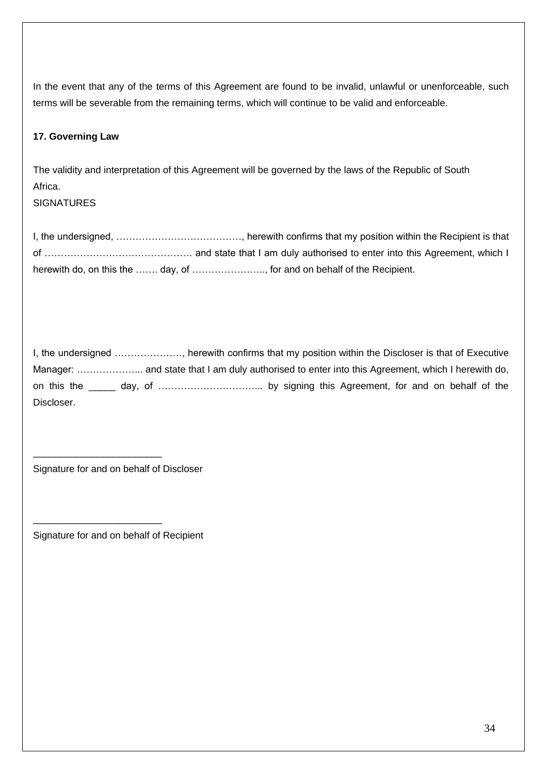In the event that any of the terms of this Agreement are found to be invalid, unlawful or unenforceable, such terms will be severable from the remaining terms, which will continue to be valid and enforceable.

## **17. Governing Law**

The validity and interpretation of this Agreement will be governed by the laws of the Republic of South Africa.

**SIGNATURES** 

I, the undersigned, …………………………………, herewith confirms that my position within the Recipient is that of ………………………………………. and state that I am duly authorised to enter into this Agreement, which I herewith do, on this the ……. day, of ………………………., for and on behalf of the Recipient.

I, the undersigned …………………, herewith confirms that my position within the Discloser is that of Executive Manager: ………………... and state that I am duly authorised to enter into this Agreement, which I herewith do, on this the \_\_\_\_\_ day, of …………………………... by signing this Agreement, for and on behalf of the Discloser.

Signature for and on behalf of Discloser

\_\_\_\_\_\_\_\_\_\_\_\_\_\_\_\_\_\_\_\_\_\_\_\_

\_\_\_\_\_\_\_\_\_\_\_\_\_\_\_\_\_\_\_\_\_\_\_\_

Signature for and on behalf of Recipient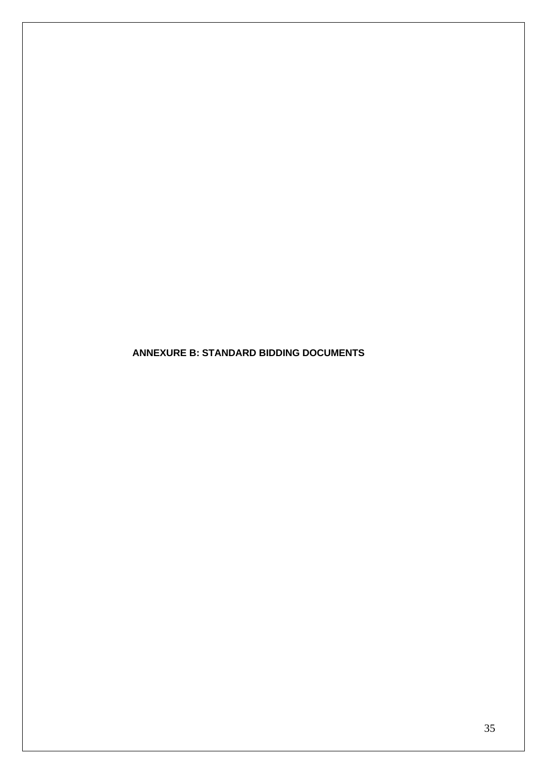**ANNEXURE B: STANDARD BIDDING DOCUMENTS**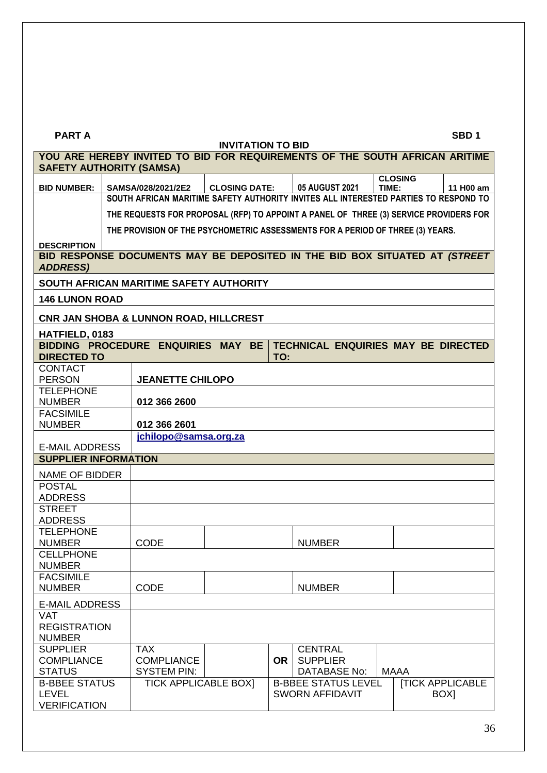#### **PART A SBD 1**

|                                                                             |                                                                                |                                                                                                                                                                            | <b>INVITATION TO BID</b> |           |                                                                        |                |                         |  |  |  |
|-----------------------------------------------------------------------------|--------------------------------------------------------------------------------|----------------------------------------------------------------------------------------------------------------------------------------------------------------------------|--------------------------|-----------|------------------------------------------------------------------------|----------------|-------------------------|--|--|--|
| YOU ARE HEREBY INVITED TO BID FOR REQUIREMENTS OF THE SOUTH AFRICAN ARITIME |                                                                                |                                                                                                                                                                            |                          |           |                                                                        |                |                         |  |  |  |
| <b>SAFETY AUTHORITY (SAMSA)</b>                                             |                                                                                |                                                                                                                                                                            |                          |           |                                                                        |                |                         |  |  |  |
| <b>BID NUMBER:</b>                                                          |                                                                                |                                                                                                                                                                            |                          |           |                                                                        | <b>CLOSING</b> |                         |  |  |  |
|                                                                             |                                                                                | 05 AUGUST 2021<br>TIME:<br><b>CLOSING DATE:</b><br>SAMSA/028/2021/2E2<br>11 H00 am<br>SOUTH AFRICAN MARITIME SAFETY AUTHORITY INVITES ALL INTERESTED PARTIES TO RESPOND TO |                          |           |                                                                        |                |                         |  |  |  |
|                                                                             |                                                                                |                                                                                                                                                                            |                          |           |                                                                        |                |                         |  |  |  |
|                                                                             |                                                                                | THE REQUESTS FOR PROPOSAL (RFP) TO APPOINT A PANEL OF THREE (3) SERVICE PROVIDERS FOR                                                                                      |                          |           |                                                                        |                |                         |  |  |  |
|                                                                             | THE PROVISION OF THE PSYCHOMETRIC ASSESSMENTS FOR A PERIOD OF THREE (3) YEARS. |                                                                                                                                                                            |                          |           |                                                                        |                |                         |  |  |  |
| <b>DESCRIPTION</b>                                                          |                                                                                |                                                                                                                                                                            |                          |           |                                                                        |                |                         |  |  |  |
| BID RESPONSE DOCUMENTS MAY BE DEPOSITED IN THE BID BOX SITUATED AT (STREET  |                                                                                |                                                                                                                                                                            |                          |           |                                                                        |                |                         |  |  |  |
| <b>ADDRESS)</b>                                                             |                                                                                |                                                                                                                                                                            |                          |           |                                                                        |                |                         |  |  |  |
| SOUTH AFRICAN MARITIME SAFETY AUTHORITY                                     |                                                                                |                                                                                                                                                                            |                          |           |                                                                        |                |                         |  |  |  |
|                                                                             |                                                                                |                                                                                                                                                                            |                          |           |                                                                        |                |                         |  |  |  |
| <b>146 LUNON ROAD</b>                                                       |                                                                                |                                                                                                                                                                            |                          |           |                                                                        |                |                         |  |  |  |
| CNR JAN SHOBA & LUNNON ROAD, HILLCREST                                      |                                                                                |                                                                                                                                                                            |                          |           |                                                                        |                |                         |  |  |  |
| HATFIELD, 0183                                                              |                                                                                |                                                                                                                                                                            |                          |           |                                                                        |                |                         |  |  |  |
|                                                                             |                                                                                |                                                                                                                                                                            |                          |           | BIDDING PROCEDURE ENQUIRIES MAY BE TECHNICAL ENQUIRIES MAY BE DIRECTED |                |                         |  |  |  |
| <b>DIRECTED TO</b>                                                          |                                                                                |                                                                                                                                                                            |                          | TO:       |                                                                        |                |                         |  |  |  |
| <b>CONTACT</b>                                                              |                                                                                |                                                                                                                                                                            |                          |           |                                                                        |                |                         |  |  |  |
| <b>PERSON</b>                                                               |                                                                                | <b>JEANETTE CHILOPO</b>                                                                                                                                                    |                          |           |                                                                        |                |                         |  |  |  |
| <b>TELEPHONE</b><br><b>NUMBER</b>                                           |                                                                                | 012 366 2600                                                                                                                                                               |                          |           |                                                                        |                |                         |  |  |  |
| <b>FACSIMILE</b>                                                            |                                                                                |                                                                                                                                                                            |                          |           |                                                                        |                |                         |  |  |  |
| <b>NUMBER</b>                                                               |                                                                                | 012 366 2601                                                                                                                                                               |                          |           |                                                                        |                |                         |  |  |  |
|                                                                             |                                                                                | jchilopo@samsa.org.za                                                                                                                                                      |                          |           |                                                                        |                |                         |  |  |  |
| <b>E-MAIL ADDRESS</b>                                                       |                                                                                |                                                                                                                                                                            |                          |           |                                                                        |                |                         |  |  |  |
| <b>SUPPLIER INFORMATION</b>                                                 |                                                                                |                                                                                                                                                                            |                          |           |                                                                        |                |                         |  |  |  |
| <b>NAME OF BIDDER</b>                                                       |                                                                                |                                                                                                                                                                            |                          |           |                                                                        |                |                         |  |  |  |
| <b>POSTAL</b>                                                               |                                                                                |                                                                                                                                                                            |                          |           |                                                                        |                |                         |  |  |  |
| <b>ADDRESS</b>                                                              |                                                                                |                                                                                                                                                                            |                          |           |                                                                        |                |                         |  |  |  |
| <b>STREET</b>                                                               |                                                                                |                                                                                                                                                                            |                          |           |                                                                        |                |                         |  |  |  |
| <b>ADDRESS</b>                                                              |                                                                                |                                                                                                                                                                            |                          |           |                                                                        |                |                         |  |  |  |
| <b>TELEPHONE</b>                                                            |                                                                                |                                                                                                                                                                            |                          |           |                                                                        |                |                         |  |  |  |
| <b>NUMBER</b><br><b>CELLPHONE</b>                                           |                                                                                | CODE                                                                                                                                                                       |                          |           | <b>NUMBER</b>                                                          |                |                         |  |  |  |
| <b>NUMBER</b>                                                               |                                                                                |                                                                                                                                                                            |                          |           |                                                                        |                |                         |  |  |  |
| <b>FACSIMILE</b>                                                            |                                                                                |                                                                                                                                                                            |                          |           |                                                                        |                |                         |  |  |  |
| <b>NUMBER</b>                                                               |                                                                                | <b>CODE</b>                                                                                                                                                                |                          |           | <b>NUMBER</b>                                                          |                |                         |  |  |  |
| <b>E-MAIL ADDRESS</b>                                                       |                                                                                |                                                                                                                                                                            |                          |           |                                                                        |                |                         |  |  |  |
| <b>VAT</b>                                                                  |                                                                                |                                                                                                                                                                            |                          |           |                                                                        |                |                         |  |  |  |
| <b>REGISTRATION</b>                                                         |                                                                                |                                                                                                                                                                            |                          |           |                                                                        |                |                         |  |  |  |
| <b>NUMBER</b>                                                               |                                                                                |                                                                                                                                                                            |                          |           |                                                                        |                |                         |  |  |  |
| <b>SUPPLIER</b>                                                             |                                                                                | <b>TAX</b>                                                                                                                                                                 |                          |           | <b>CENTRAL</b>                                                         |                |                         |  |  |  |
| <b>COMPLIANCE</b>                                                           |                                                                                | <b>COMPLIANCE</b>                                                                                                                                                          |                          | <b>OR</b> | <b>SUPPLIER</b>                                                        |                |                         |  |  |  |
| <b>STATUS</b>                                                               |                                                                                | <b>SYSTEM PIN:</b>                                                                                                                                                         |                          |           | DATABASE No:                                                           | <b>MAAA</b>    |                         |  |  |  |
| <b>B-BBEE STATUS</b>                                                        |                                                                                | <b>TICK APPLICABLE BOX]</b>                                                                                                                                                |                          |           | <b>B-BBEE STATUS LEVEL</b>                                             |                | <b>[TICK APPLICABLE</b> |  |  |  |
| <b>LEVEL</b>                                                                |                                                                                |                                                                                                                                                                            |                          |           | <b>SWORN AFFIDAVIT</b>                                                 |                | BOX]                    |  |  |  |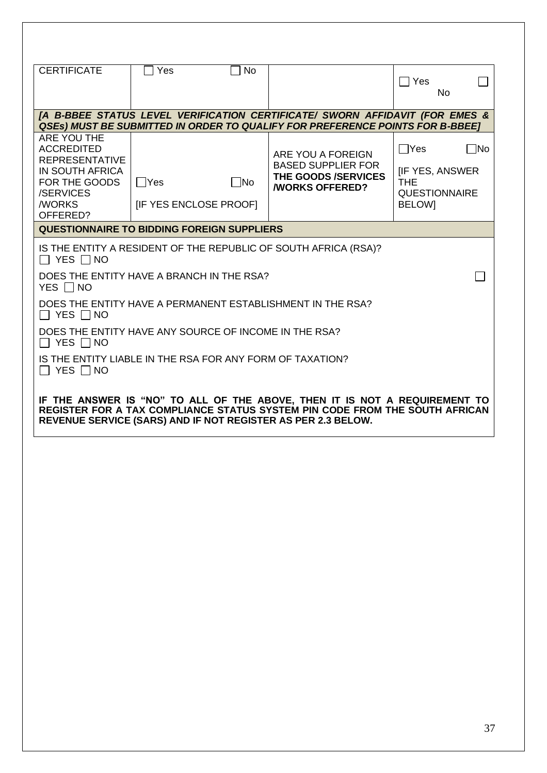| <b>CERTIFICATE</b>                                                                                                                                                                                                        | Yes                                        | No    |                                                                                                                                                                      | $\Box$ Yes                                                                                 | No        |
|---------------------------------------------------------------------------------------------------------------------------------------------------------------------------------------------------------------------------|--------------------------------------------|-------|----------------------------------------------------------------------------------------------------------------------------------------------------------------------|--------------------------------------------------------------------------------------------|-----------|
|                                                                                                                                                                                                                           |                                            |       | [A B-BBEE STATUS LEVEL VERIFICATION CERTIFICATE/ SWORN AFFIDAVIT (FOR EMES &<br><b>QSES) MUST BE SUBMITTED IN ORDER TO QUALIFY FOR PREFERENCE POINTS FOR B-BBEET</b> |                                                                                            |           |
| ARE YOU THE<br><b>ACCREDITED</b><br><b>REPRESENTATIVE</b><br>IN SOUTH AFRICA<br>FOR THE GOODS<br>/SERVICES<br><b>/WORKS</b><br>OFFERED?                                                                                   | $\Box$ Yes<br><b>IF YES ENCLOSE PROOFI</b> | - INo | ARE YOU A FOREIGN<br><b>BASED SUPPLIER FOR</b><br>THE GOODS /SERVICES<br><b><i>NORKS OFFERED?</i></b>                                                                | $\Box$ Yes<br><b>IF YES, ANSWER</b><br><b>THE</b><br><b>QUESTIONNAIRE</b><br><b>BELOWI</b> | $\Box$ No |
| QUESTIONNAIRE TO BIDDING FOREIGN SUPPLIERS                                                                                                                                                                                |                                            |       |                                                                                                                                                                      |                                                                                            |           |
| IS THE ENTITY A RESIDENT OF THE REPUBLIC OF SOUTH AFRICA (RSA)?<br>$\Box$ Yes $\Box$ No<br>DOES THE ENTITY HAVE A BRANCH IN THE RSA?<br>YES INO                                                                           |                                            |       |                                                                                                                                                                      |                                                                                            |           |
| DOES THE ENTITY HAVE A PERMANENT ESTABLISHMENT IN THE RSA?<br>$\Box$ YES $\Box$ NO                                                                                                                                        |                                            |       |                                                                                                                                                                      |                                                                                            |           |
| DOES THE ENTITY HAVE ANY SOURCE OF INCOME IN THE RSA?<br>YES $\Box$ NO                                                                                                                                                    |                                            |       |                                                                                                                                                                      |                                                                                            |           |
| IS THE ENTITY LIABLE IN THE RSA FOR ANY FORM OF TAXATION?<br>$\Box$ YES $\Box$ NO                                                                                                                                         |                                            |       |                                                                                                                                                                      |                                                                                            |           |
| IF THE ANSWER IS "NO" TO ALL OF THE ABOVE, THEN IT IS NOT A REQUIREMENT TO<br>REGISTER FOR A TAX COMPLIANCE STATUS SYSTEM PIN CODE FROM THE SOUTH AFRICAN<br>REVENUE SERVICE (SARS) AND IF NOT REGISTER AS PER 2.3 BELOW. |                                            |       |                                                                                                                                                                      |                                                                                            |           |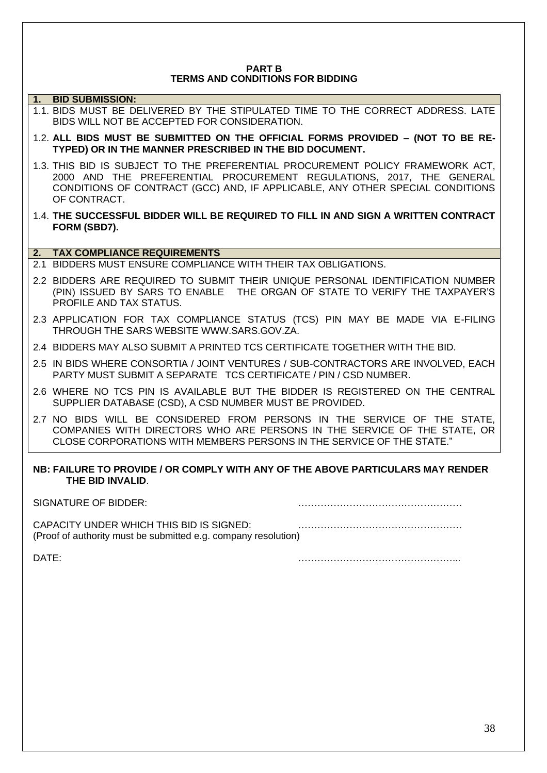#### **PART B TERMS AND CONDITIONS FOR BIDDING**

### **1. BID SUBMISSION:**

- 1.1. BIDS MUST BE DELIVERED BY THE STIPULATED TIME TO THE CORRECT ADDRESS. LATE BIDS WILL NOT BE ACCEPTED FOR CONSIDERATION.
- 1.2. **ALL BIDS MUST BE SUBMITTED ON THE OFFICIAL FORMS PROVIDED – (NOT TO BE RE-TYPED) OR IN THE MANNER PRESCRIBED IN THE BID DOCUMENT.**
- 1.3. THIS BID IS SUBJECT TO THE PREFERENTIAL PROCUREMENT POLICY FRAMEWORK ACT, 2000 AND THE PREFERENTIAL PROCUREMENT REGULATIONS, 2017, THE GENERAL CONDITIONS OF CONTRACT (GCC) AND, IF APPLICABLE, ANY OTHER SPECIAL CONDITIONS OF CONTRACT.
- 1.4. **THE SUCCESSFUL BIDDER WILL BE REQUIRED TO FILL IN AND SIGN A WRITTEN CONTRACT FORM (SBD7).**

#### **2. TAX COMPLIANCE REQUIREMENTS**

- 2.1 BIDDERS MUST ENSURE COMPLIANCE WITH THEIR TAX OBLIGATIONS.
- 2.2 BIDDERS ARE REQUIRED TO SUBMIT THEIR UNIQUE PERSONAL IDENTIFICATION NUMBER (PIN) ISSUED BY SARS TO ENABLE THE ORGAN OF STATE TO VERIFY THE TAXPAYER'S PROFILE AND TAX STATUS.
- 2.3 APPLICATION FOR TAX COMPLIANCE STATUS (TCS) PIN MAY BE MADE VIA E-FILING THROUGH THE SARS WEBSITE [WWW.SARS.GOV.ZA.](http://www.sars.gov.za/)
- 2.4 BIDDERS MAY ALSO SUBMIT A PRINTED TCS CERTIFICATE TOGETHER WITH THE BID.
- 2.5 IN BIDS WHERE CONSORTIA / JOINT VENTURES / SUB-CONTRACTORS ARE INVOLVED, EACH PARTY MUST SUBMIT A SEPARATE TCS CERTIFICATE / PIN / CSD NUMBER.
- 2.6 WHERE NO TCS PIN IS AVAILABLE BUT THE BIDDER IS REGISTERED ON THE CENTRAL SUPPLIER DATABASE (CSD), A CSD NUMBER MUST BE PROVIDED.
- 2.7 NO BIDS WILL BE CONSIDERED FROM PERSONS IN THE SERVICE OF THE STATE, COMPANIES WITH DIRECTORS WHO ARE PERSONS IN THE SERVICE OF THE STATE, OR CLOSE CORPORATIONS WITH MEMBERS PERSONS IN THE SERVICE OF THE STATE."

#### **NB: FAILURE TO PROVIDE / OR COMPLY WITH ANY OF THE ABOVE PARTICULARS MAY RENDER THE BID INVALID**.

SIGNATURE OF BIDDER: CAPACITY UNDER WHICH THIS BID IS SIGNED: …………………………………………… (Proof of authority must be submitted e.g. company resolution)

DATE: …………………………………………...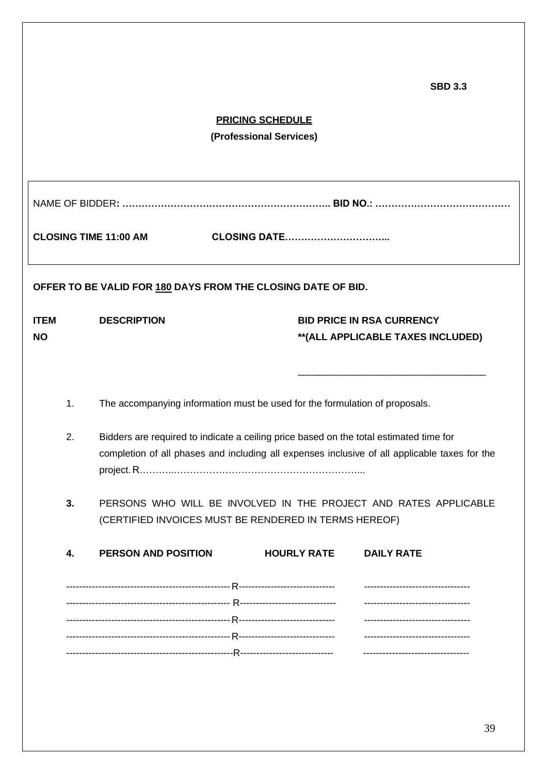|            |                                                                                        |                                                    |                     | <b>SBD 3.3</b>                                                                                                                                     |
|------------|----------------------------------------------------------------------------------------|----------------------------------------------------|---------------------|----------------------------------------------------------------------------------------------------------------------------------------------------|
|            |                                                                                        | <b>PRICING SCHEDULE</b><br>(Professional Services) |                     |                                                                                                                                                    |
|            |                                                                                        |                                                    |                     |                                                                                                                                                    |
|            | <b>CLOSING TIME 11:00 AM</b>                                                           |                                                    | <b>CLOSING DATE</b> |                                                                                                                                                    |
|            | OFFER TO BE VALID FOR 180 DAYS FROM THE CLOSING DATE OF BID.                           |                                                    |                     |                                                                                                                                                    |
| ITEM<br>ΝO | <b>DESCRIPTION</b>                                                                     |                                                    |                     | <b>BID PRICE IN RSA CURRENCY</b><br>**(ALL APPLICABLE TAXES INCLUDED)                                                                              |
| 1.         | The accompanying information must be used for the formulation of proposals.            |                                                    |                     |                                                                                                                                                    |
| 2.         | Bidders are required to indicate a ceiling price based on the total estimated time for |                                                    |                     | completion of all phases and including all expenses inclusive of all applicable taxes for the                                                      |
| 3.         | (CERTIFIED INVOICES MUST BE RENDERED IN TERMS HEREOF)                                  |                                                    |                     | PERSONS WHO WILL BE INVOLVED IN THE PROJECT AND RATES APPLICABLE                                                                                   |
| 4.         | <b>PERSON AND POSITION</b>                                                             |                                                    | <b>HOURLY RATE</b>  | <b>DAILY RATE</b>                                                                                                                                  |
|            |                                                                                        |                                                    |                     | ---------------------------------<br>----------------------------------<br>----------------------------------<br>--------------------------------- |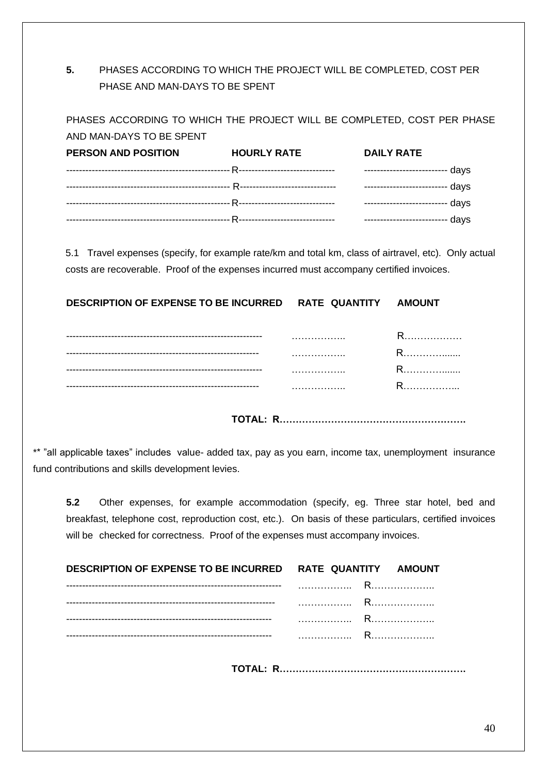# **5.** PHASES ACCORDING TO WHICH THE PROJECT WILL BE COMPLETED, COST PER PHASE AND MAN-DAYS TO BE SPENT

PHASES ACCORDING TO WHICH THE PROJECT WILL BE COMPLETED, COST PER PHASE

| AND MAN-DAYS TO BE SPENT   |                    |                   |
|----------------------------|--------------------|-------------------|
| <b>PERSON AND POSITION</b> | <b>HOURLY RATE</b> | <b>DAILY RATE</b> |
|                            |                    |                   |
|                            |                    |                   |
|                            |                    |                   |
|                            |                    |                   |

5.1 Travel expenses (specify, for example rate/km and total km, class of airtravel, etc). Only actual costs are recoverable. Proof of the expenses incurred must accompany certified invoices.

**DESCRIPTION OF EXPENSE TO BE INCURRED RATE QUANTITY AMOUNT**

| -----------------------   | . | ≺.                    |
|---------------------------|---|-----------------------|
| ------------------------- | . | ,,,,,,,,,,,,,,,,,,,,, |
| ------------------------  | . | ,,,,,,,,,,,,,,,,,,,,, |
| -----------------------   | . | ,,,,,,,,,,,,,,,,,,,,  |
|                           |   |                       |

**TOTAL: R………………………………………………….**

\*\* "all applicable taxes" includes value- added tax, pay as you earn, income tax, unemployment insurance fund contributions and skills development levies.

**5.2** Other expenses, for example accommodation (specify, eg. Three star hotel, bed and breakfast, telephone cost, reproduction cost, etc.). On basis of these particulars, certified invoices will be checked for correctness. Proof of the expenses must accompany invoices.

| DESCRIPTION OF EXPENSE TO BE INCURRED RATE QUANTITY AMOUNT |  |
|------------------------------------------------------------|--|
|                                                            |  |
|                                                            |  |
|                                                            |  |
|                                                            |  |
|                                                            |  |

**TOTAL: R………………………………………………….**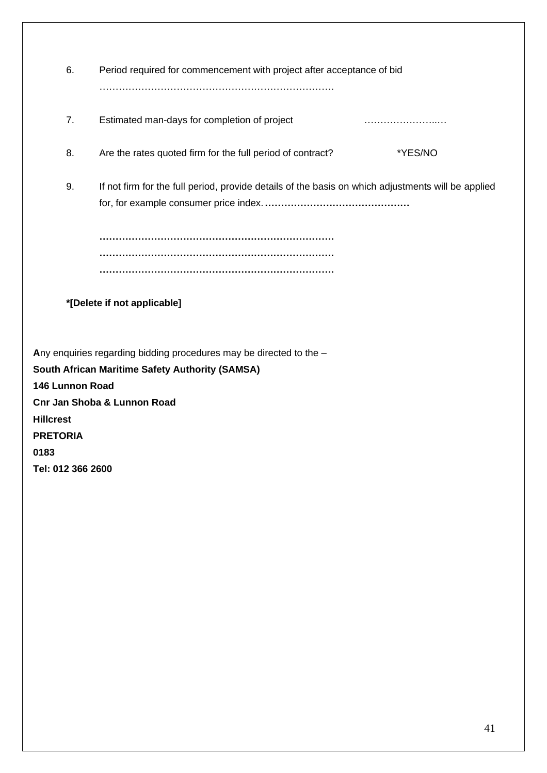| 6.                                                                  | Period required for commencement with project after acceptance of bid                              |  |  |  |
|---------------------------------------------------------------------|----------------------------------------------------------------------------------------------------|--|--|--|
| 7.                                                                  | Estimated man-days for completion of project                                                       |  |  |  |
| 8.                                                                  | Are the rates quoted firm for the full period of contract?<br>*YES/NO                              |  |  |  |
| 9.                                                                  | If not firm for the full period, provide details of the basis on which adjustments will be applied |  |  |  |
|                                                                     |                                                                                                    |  |  |  |
| *[Delete if not applicable]                                         |                                                                                                    |  |  |  |
| Any enquiries regarding bidding procedures may be directed to the - |                                                                                                    |  |  |  |
|                                                                     | <b>South African Maritime Safety Authority (SAMSA)</b>                                             |  |  |  |
| 146 Lunnon Road                                                     |                                                                                                    |  |  |  |
|                                                                     | <b>Cnr Jan Shoba &amp; Lunnon Road</b>                                                             |  |  |  |
| <b>Hillcrest</b>                                                    |                                                                                                    |  |  |  |

**PRETORIA**

**0183**

**Tel: 012 366 2600**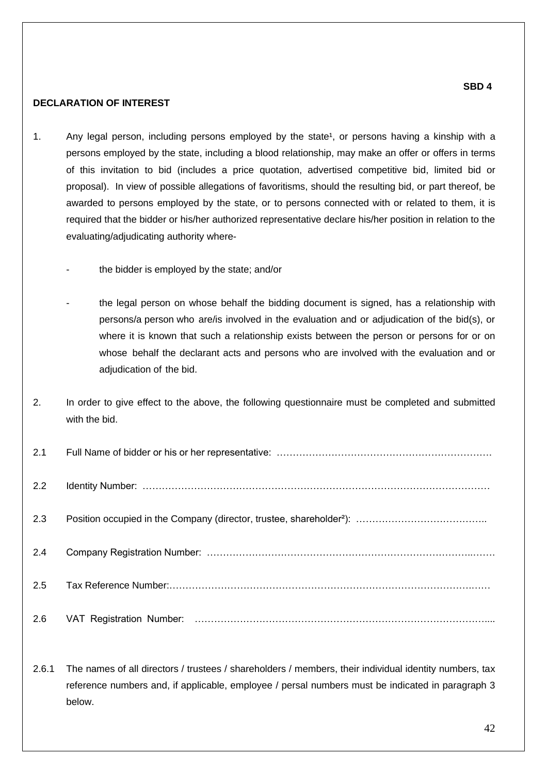#### **DECLARATION OF INTEREST**

- 1. Any legal person, including persons employed by the state<sup>1</sup>, or persons having a kinship with a persons employed by the state, including a blood relationship, may make an offer or offers in terms of this invitation to bid (includes a price quotation, advertised competitive bid, limited bid or proposal). In view of possible allegations of favoritisms, should the resulting bid, or part thereof, be awarded to persons employed by the state, or to persons connected with or related to them, it is required that the bidder or his/her authorized representative declare his/her position in relation to the evaluating/adjudicating authority where
	- the bidder is employed by the state; and/or
	- the legal person on whose behalf the bidding document is signed, has a relationship with persons/a person who are/is involved in the evaluation and or adjudication of the bid(s), or where it is known that such a relationship exists between the person or persons for or on whose behalf the declarant acts and persons who are involved with the evaluation and or adjudication of the bid.
- 2. In order to give effect to the above, the following questionnaire must be completed and submitted with the bid.

| 2.1 |  |
|-----|--|
| 2.2 |  |
| 2.3 |  |
| 2.4 |  |
| 2.5 |  |
| 2.6 |  |

2.6.1 The names of all directors / trustees / shareholders / members, their individual identity numbers, tax reference numbers and, if applicable, employee / persal numbers must be indicated in paragraph 3 below.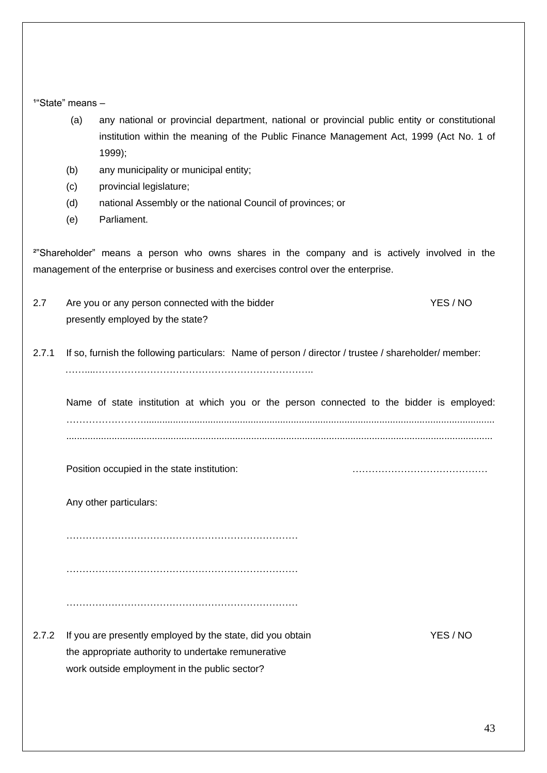$1^{\circ}$ State" means  $-$ 

- (a) any national or provincial department, national or provincial public entity or constitutional institution within the meaning of the Public Finance Management Act, 1999 (Act No. 1 of 1999);
- (b) any municipality or municipal entity;
- (c) provincial legislature;
- (d) national Assembly or the national Council of provinces; or
- (e) Parliament.

²"Shareholder" means a person who owns shares in the company and is actively involved in the management of the enterprise or business and exercises control over the enterprise.

- 2.7 Are you or any person connected with the bidder YES / NO presently employed by the state?
- 2.7.1 If so, furnish the following particulars: Name of person / director / trustee / shareholder/ member: ……....…………………………………………………………..

Name of state institution at which you or the person connected to the bidder is employed: ……………………................................................................................................................................... ...............................................................................................................................................................

Position occupied in the state institution: with the state institution:

Any other particulars:

……………………………………………………………… ………………………………………………………………

………………………………………………………………

2.7.2 If you are presently employed by the state, did you obtain YES / NO the appropriate authority to undertake remunerative work outside employment in the public sector?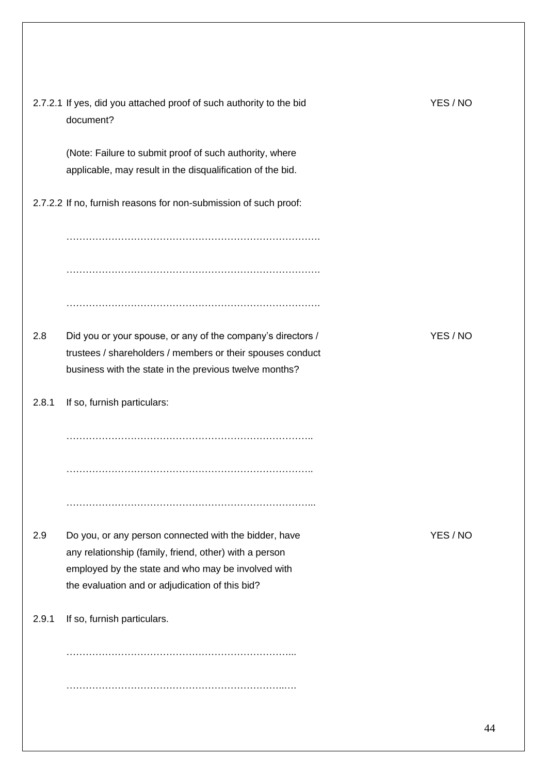|       | 2.7.2.1 If yes, did you attached proof of such authority to the bid<br>document?                                                                                                                                         | YES / NO |
|-------|--------------------------------------------------------------------------------------------------------------------------------------------------------------------------------------------------------------------------|----------|
|       | (Note: Failure to submit proof of such authority, where<br>applicable, may result in the disqualification of the bid.                                                                                                    |          |
|       | 2.7.2.2 If no, furnish reasons for non-submission of such proof:                                                                                                                                                         |          |
|       |                                                                                                                                                                                                                          |          |
|       |                                                                                                                                                                                                                          |          |
|       |                                                                                                                                                                                                                          |          |
| 2.8   | Did you or your spouse, or any of the company's directors /<br>trustees / shareholders / members or their spouses conduct<br>business with the state in the previous twelve months?                                      | YES/NO   |
| 2.8.1 | If so, furnish particulars:                                                                                                                                                                                              |          |
|       |                                                                                                                                                                                                                          |          |
|       |                                                                                                                                                                                                                          |          |
|       |                                                                                                                                                                                                                          |          |
| 2.9   | Do you, or any person connected with the bidder, have<br>any relationship (family, friend, other) with a person<br>employed by the state and who may be involved with<br>the evaluation and or adjudication of this bid? | YES/NO   |
| 2.9.1 | If so, furnish particulars.                                                                                                                                                                                              |          |
|       |                                                                                                                                                                                                                          |          |
|       |                                                                                                                                                                                                                          |          |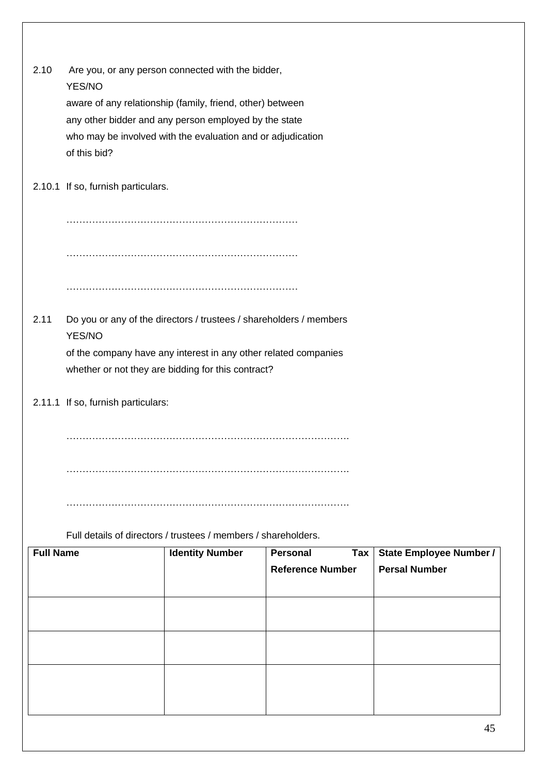|                  |                                    |                                                                                                                       | <b>Reference Number</b> | <b>Persal Number</b>    |
|------------------|------------------------------------|-----------------------------------------------------------------------------------------------------------------------|-------------------------|-------------------------|
| <b>Full Name</b> |                                    | <b>Identity Number</b>                                                                                                | <b>Personal</b><br>Tax  | State Employee Number / |
|                  |                                    | Full details of directors / trustees / members / shareholders.                                                        |                         |                         |
|                  |                                    |                                                                                                                       |                         |                         |
|                  |                                    |                                                                                                                       |                         |                         |
|                  |                                    |                                                                                                                       |                         |                         |
|                  |                                    |                                                                                                                       |                         |                         |
|                  | 2.11.1 If so, furnish particulars: |                                                                                                                       |                         |                         |
|                  |                                    | of the company have any interest in any other related companies<br>whether or not they are bidding for this contract? |                         |                         |
|                  | YES/NO                             |                                                                                                                       |                         |                         |
| 2.11             |                                    | Do you or any of the directors / trustees / shareholders / members                                                    |                         |                         |
|                  |                                    |                                                                                                                       |                         |                         |
|                  |                                    |                                                                                                                       |                         |                         |
|                  |                                    |                                                                                                                       |                         |                         |
|                  | 2.10.1 If so, furnish particulars. |                                                                                                                       |                         |                         |
|                  | of this bid?                       | who may be involved with the evaluation and or adjudication                                                           |                         |                         |
|                  |                                    | any other bidder and any person employed by the state                                                                 |                         |                         |
|                  |                                    | aware of any relationship (family, friend, other) between                                                             |                         |                         |
|                  | YES/NO                             |                                                                                                                       |                         |                         |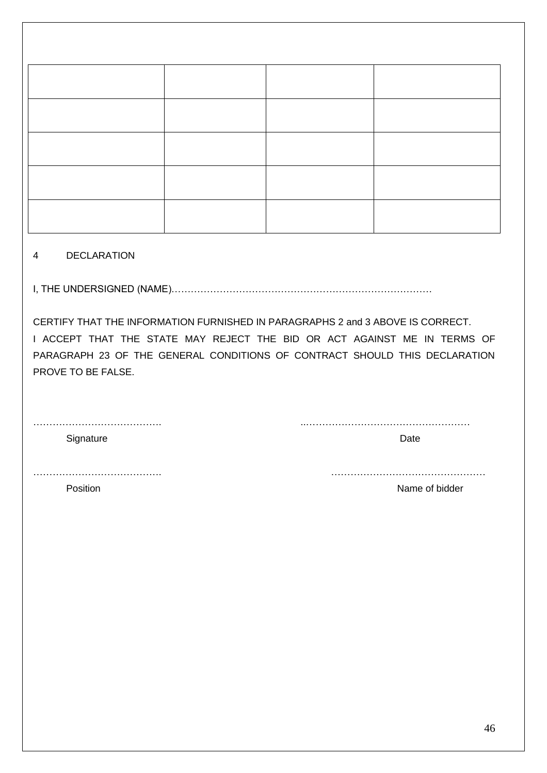#### 4 DECLARATION

I, THE UNDERSIGNED (NAME)………………………………………………………………………

CERTIFY THAT THE INFORMATION FURNISHED IN PARAGRAPHS 2 and 3 ABOVE IS CORRECT. I ACCEPT THAT THE STATE MAY REJECT THE BID OR ACT AGAINST ME IN TERMS OF PARAGRAPH 23 OF THE GENERAL CONDITIONS OF CONTRACT SHOULD THIS DECLARATION PROVE TO BE FALSE.

| Signature | Date |
|-----------|------|
|           |      |
|           |      |

Position Name of bidder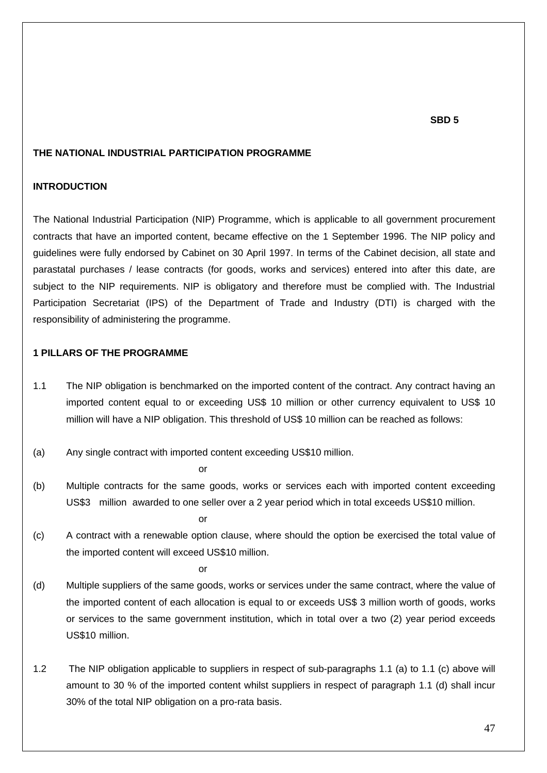#### **SBD 5**

#### **THE NATIONAL INDUSTRIAL PARTICIPATION PROGRAMME**

#### **INTRODUCTION**

The National Industrial Participation (NIP) Programme, which is applicable to all government procurement contracts that have an imported content, became effective on the 1 September 1996. The NIP policy and guidelines were fully endorsed by Cabinet on 30 April 1997. In terms of the Cabinet decision, all state and parastatal purchases / lease contracts (for goods, works and services) entered into after this date, are subject to the NIP requirements. NIP is obligatory and therefore must be complied with. The Industrial Participation Secretariat (IPS) of the Department of Trade and Industry (DTI) is charged with the responsibility of administering the programme.

#### **1 PILLARS OF THE PROGRAMME**

- 1.1 The NIP obligation is benchmarked on the imported content of the contract. Any contract having an imported content equal to or exceeding US\$ 10 million or other currency equivalent to US\$ 10 million will have a NIP obligation. This threshold of US\$ 10 million can be reached as follows:
- (a) Any single contract with imported content exceeding US\$10 million.

or

(b) Multiple contracts for the same goods, works or services each with imported content exceeding US\$3 million awarded to one seller over a 2 year period which in total exceeds US\$10 million.

or

(c) A contract with a renewable option clause, where should the option be exercised the total value of the imported content will exceed US\$10 million.

or

- (d) Multiple suppliers of the same goods, works or services under the same contract, where the value of the imported content of each allocation is equal to or exceeds US\$ 3 million worth of goods, works or services to the same government institution, which in total over a two (2) year period exceeds US\$10 million.
- 1.2 The NIP obligation applicable to suppliers in respect of sub-paragraphs 1.1 (a) to 1.1 (c) above will amount to 30 % of the imported content whilst suppliers in respect of paragraph 1.1 (d) shall incur 30% of the total NIP obligation on a pro-rata basis.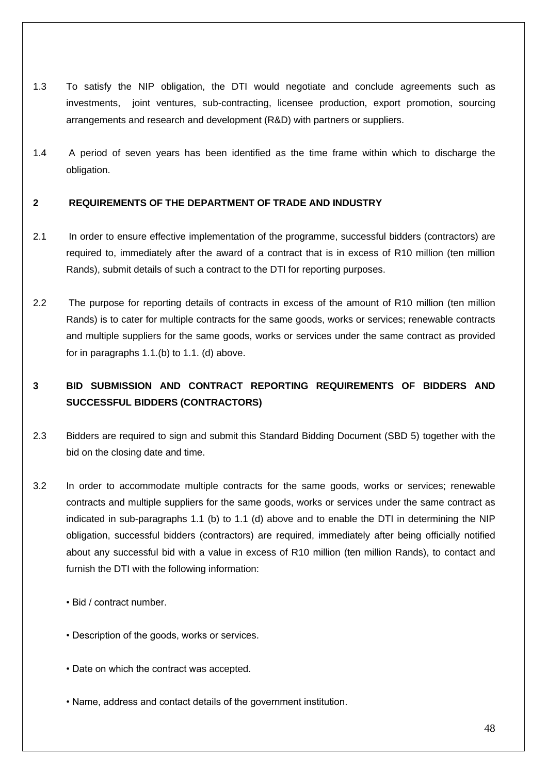- 1.3 To satisfy the NIP obligation, the DTI would negotiate and conclude agreements such as investments, joint ventures, sub-contracting, licensee production, export promotion, sourcing arrangements and research and development (R&D) with partners or suppliers.
- 1.4 A period of seven years has been identified as the time frame within which to discharge the obligation.

## **2 REQUIREMENTS OF THE DEPARTMENT OF TRADE AND INDUSTRY**

- 2.1 In order to ensure effective implementation of the programme, successful bidders (contractors) are required to, immediately after the award of a contract that is in excess of R10 million (ten million Rands), submit details of such a contract to the DTI for reporting purposes.
- 2.2 The purpose for reporting details of contracts in excess of the amount of R10 million (ten million Rands) is to cater for multiple contracts for the same goods, works or services; renewable contracts and multiple suppliers for the same goods, works or services under the same contract as provided for in paragraphs 1.1.(b) to 1.1. (d) above.

# **3 BID SUBMISSION AND CONTRACT REPORTING REQUIREMENTS OF BIDDERS AND SUCCESSFUL BIDDERS (CONTRACTORS)**

- 2.3 Bidders are required to sign and submit this Standard Bidding Document (SBD 5) together with the bid on the closing date and time.
- 3.2 In order to accommodate multiple contracts for the same goods, works or services; renewable contracts and multiple suppliers for the same goods, works or services under the same contract as indicated in sub-paragraphs 1.1 (b) to 1.1 (d) above and to enable the DTI in determining the NIP obligation, successful bidders (contractors) are required, immediately after being officially notified about any successful bid with a value in excess of R10 million (ten million Rands), to contact and furnish the DTI with the following information:
	- Bid / contract number.
	- Description of the goods, works or services.
	- Date on which the contract was accepted.
	- Name, address and contact details of the government institution.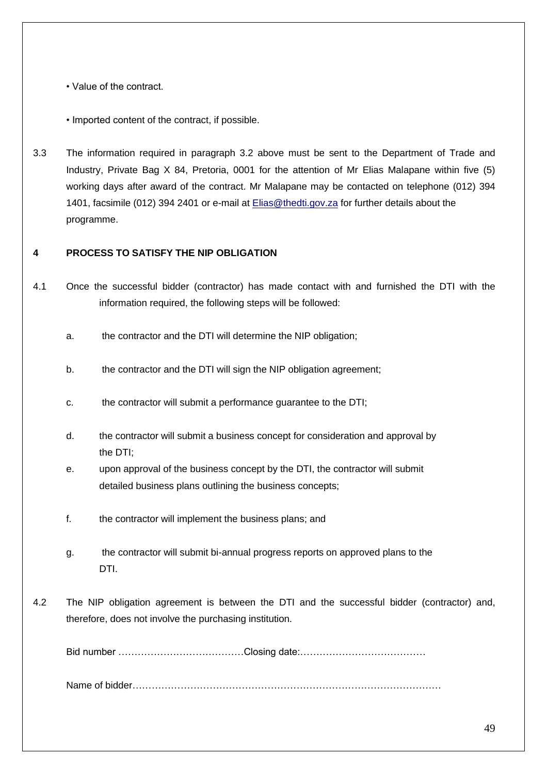• Value of the contract.

- Imported content of the contract, if possible.
- 3.3 The information required in paragraph 3.2 above must be sent to the Department of Trade and Industry, Private Bag X 84, Pretoria, 0001 for the attention of Mr Elias Malapane within five (5) working days after award of the contract. Mr Malapane may be contacted on telephone (012) 394 1401, facsimile (012) 394 2401 or e-mail at [Elias@thedti.gov.za](mailto:Elias@thedti.gov.za) for further details about the programme.

## **4 PROCESS TO SATISFY THE NIP OBLIGATION**

- 4.1 Once the successful bidder (contractor) has made contact with and furnished the DTI with the information required, the following steps will be followed:
	- a. the contractor and the DTI will determine the NIP obligation;
	- b. the contractor and the DTI will sign the NIP obligation agreement;
	- c. the contractor will submit a performance guarantee to the DTI;
	- d. the contractor will submit a business concept for consideration and approval by the DTI;
	- e. upon approval of the business concept by the DTI, the contractor will submit detailed business plans outlining the business concepts;
	- f. the contractor will implement the business plans; and
	- g. the contractor will submit bi-annual progress reports on approved plans to the DTI.
- 4.2 The NIP obligation agreement is between the DTI and the successful bidder (contractor) and, therefore, does not involve the purchasing institution.

Bid number …………………………………Closing date:…………………………………

Name of bidder……………………………………………………………………………………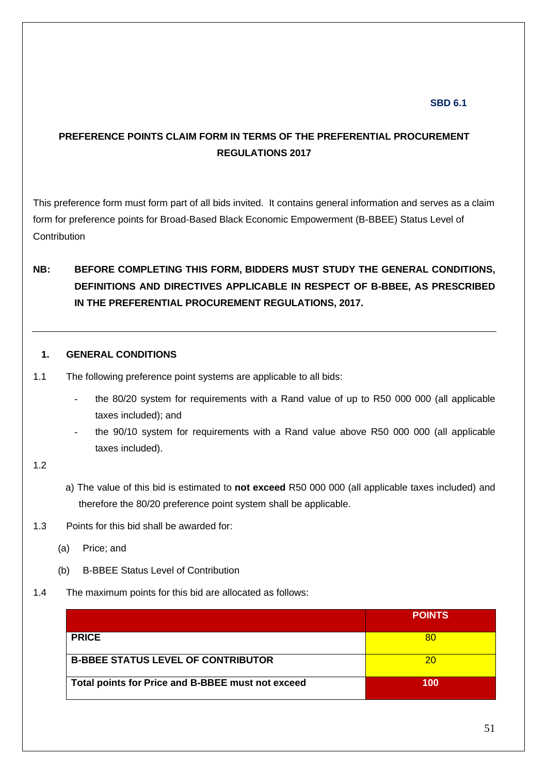## **SBD 6.1**

# **PREFERENCE POINTS CLAIM FORM IN TERMS OF THE PREFERENTIAL PROCUREMENT REGULATIONS 2017**

This preference form must form part of all bids invited. It contains general information and serves as a claim form for preference points for Broad-Based Black Economic Empowerment (B-BBEE) Status Level of **Contribution** 

# **NB: BEFORE COMPLETING THIS FORM, BIDDERS MUST STUDY THE GENERAL CONDITIONS, DEFINITIONS AND DIRECTIVES APPLICABLE IN RESPECT OF B-BBEE, AS PRESCRIBED IN THE PREFERENTIAL PROCUREMENT REGULATIONS, 2017.**

#### **1. GENERAL CONDITIONS**

- 1.1 The following preference point systems are applicable to all bids:
	- the 80/20 system for requirements with a Rand value of up to R50 000 000 (all applicable taxes included); and
	- the 90/10 system for requirements with a Rand value above R50 000 000 (all applicable taxes included).
- 1.2
- a) The value of this bid is estimated to **not exceed** R50 000 000 (all applicable taxes included) and therefore the 80/20 preference point system shall be applicable.
- 1.3 Points for this bid shall be awarded for:
	- (a) Price; and
	- (b) B-BBEE Status Level of Contribution
- 1.4 The maximum points for this bid are allocated as follows:

|                                                   | <b>POINTS</b> |
|---------------------------------------------------|---------------|
| <b>PRICE</b>                                      | 80            |
| <b>B-BBEE STATUS LEVEL OF CONTRIBUTOR</b>         | 20            |
| Total points for Price and B-BBEE must not exceed | 100           |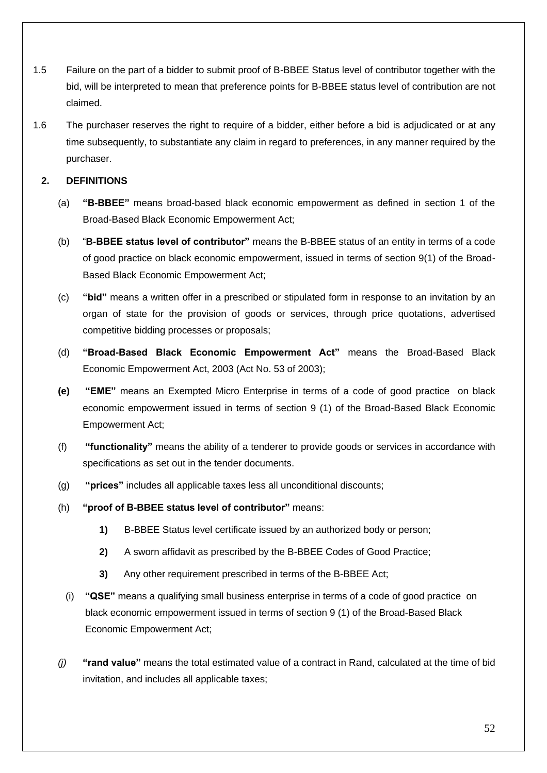- 1.5 Failure on the part of a bidder to submit proof of B-BBEE Status level of contributor together with the bid, will be interpreted to mean that preference points for B-BBEE status level of contribution are not claimed.
- 1.6 The purchaser reserves the right to require of a bidder, either before a bid is adjudicated or at any time subsequently, to substantiate any claim in regard to preferences, in any manner required by the purchaser.

## **2. DEFINITIONS**

- (a) **"B-BBEE"** means broad-based black economic empowerment as defined in section 1 of the Broad-Based Black Economic Empowerment Act;
- (b) "**B-BBEE status level of contributor"** means the B-BBEE status of an entity in terms of a code of good practice on black economic empowerment, issued in terms of section 9(1) of the Broad-Based Black Economic Empowerment Act;
- (c) **"bid"** means a written offer in a prescribed or stipulated form in response to an invitation by an organ of state for the provision of goods or services, through price quotations, advertised competitive bidding processes or proposals;
- (d) **"Broad-Based Black Economic Empowerment Act"** means the Broad-Based Black Economic Empowerment Act, 2003 (Act No. 53 of 2003);
- **(e) "EME"** means an Exempted Micro Enterprise in terms of a code of good practice on black economic empowerment issued in terms of section 9 (1) of the Broad-Based Black Economic Empowerment Act;
- (f) **"functionality"** means the ability of a tenderer to provide goods or services in accordance with specifications as set out in the tender documents.
- (g) **"prices"** includes all applicable taxes less all unconditional discounts;
- (h) **"proof of B-BBEE status level of contributor"** means:
	- **1)** B-BBEE Status level certificate issued by an authorized body or person;
	- **2)** A sworn affidavit as prescribed by the B-BBEE Codes of Good Practice;
	- **3)** Any other requirement prescribed in terms of the B-BBEE Act;
	- (i) **"QSE"** means a qualifying small business enterprise in terms of a code of good practice on black economic empowerment issued in terms of section 9 (1) of the Broad-Based Black Economic Empowerment Act;
- *(j)* **"rand value"** means the total estimated value of a contract in Rand, calculated at the time of bid invitation, and includes all applicable taxes;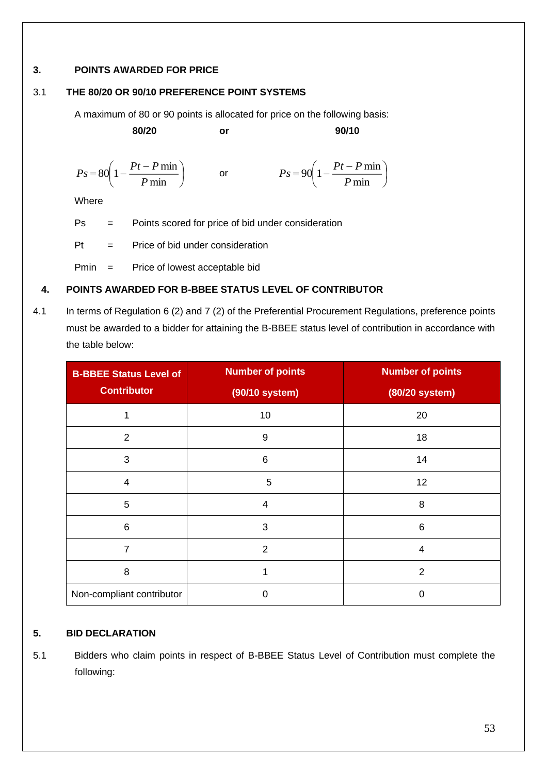## **3. POINTS AWARDED FOR PRICE**

## 3.1 **THE 80/20 OR 90/10 PREFERENCE POINT SYSTEMS**

A maximum of 80 or 90 points is allocated for price on the following basis:

**80/20 or 90/10**

I

$$
Ps = 80\left(1 - \frac{Pt - P \min P}{ \min}\right) \qquad \text{or} \qquad \qquad Ps = 90\left(1 - \frac{Pt - P \min P}{ \min}\right)
$$

Where

Ps = Points scored for price of bid under consideration

 $Pt =$  Price of bid under consideration

Pmin = Price of lowest acceptable bid

## **4. POINTS AWARDED FOR B-BBEE STATUS LEVEL OF CONTRIBUTOR**

4.1 In terms of Regulation 6 (2) and 7 (2) of the Preferential Procurement Regulations, preference points must be awarded to a bidder for attaining the B-BBEE status level of contribution in accordance with the table below:

| <b>B-BBEE Status Level of</b> | <b>Number of points</b> | <b>Number of points</b> |
|-------------------------------|-------------------------|-------------------------|
| <b>Contributor</b>            | (90/10 system)          | (80/20 system)          |
| 1                             | 10                      | 20                      |
| $\overline{2}$                | 9                       | 18                      |
| 3                             | 6                       | 14                      |
| 4                             | 5                       | 12                      |
| 5                             | 4                       | 8                       |
| 6                             | 3                       | 6                       |
| $\overline{7}$                | $\overline{2}$          | $\overline{4}$          |
| 8                             |                         | 2                       |
| Non-compliant contributor     | 0                       | 0                       |

## **5. BID DECLARATION**

5.1 Bidders who claim points in respect of B-BBEE Status Level of Contribution must complete the following: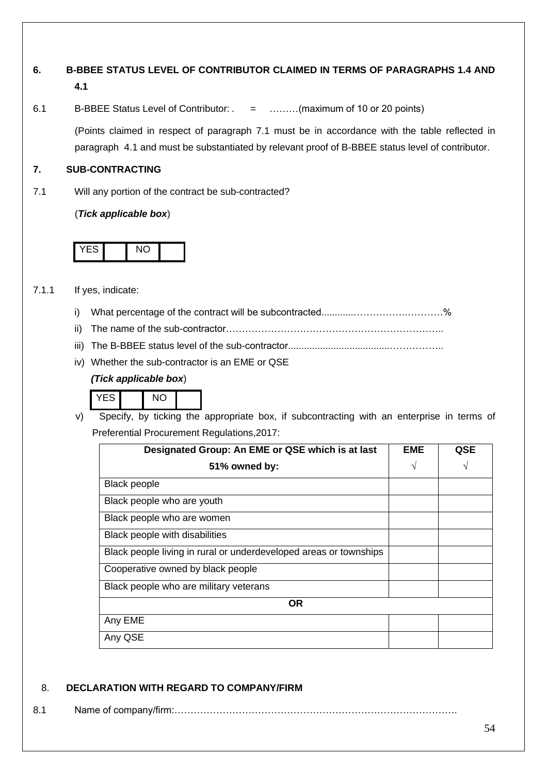# **6. B-BBEE STATUS LEVEL OF CONTRIBUTOR CLAIMED IN TERMS OF PARAGRAPHS 1.4 AND 4.1**

6.1 B-BBEE Status Level of Contributor: . = ………(maximum of 10 or 20 points)

(Points claimed in respect of paragraph 7.1 must be in accordance with the table reflected in paragraph 4.1 and must be substantiated by relevant proof of B-BBEE status level of contributor.

## **7. SUB-CONTRACTING**

7.1 Will any portion of the contract be sub-contracted?

(*Tick applicable box*)



## 7.1.1 If yes, indicate:

- i) What percentage of the contract will be subcontracted............…………….…………%
- ii) The name of the sub-contractor…………………………………………………………..
- iii) The B-BBEE status level of the sub-contractor......................................……………..
- iv) Whether the sub-contractor is an EME or QSE

## *(Tick applicable box*)



v) Specify, by ticking the appropriate box, if subcontracting with an enterprise in terms of Preferential Procurement Regulations,2017:

| Designated Group: An EME or QSE which is at last                  | EME | QSE |
|-------------------------------------------------------------------|-----|-----|
| 51% owned by:                                                     | V   |     |
| <b>Black people</b>                                               |     |     |
| Black people who are youth                                        |     |     |
| Black people who are women                                        |     |     |
| Black people with disabilities                                    |     |     |
| Black people living in rural or underdeveloped areas or townships |     |     |
| Cooperative owned by black people                                 |     |     |
| Black people who are military veterans                            |     |     |
| <b>OR</b>                                                         |     |     |
| Any EME                                                           |     |     |
| Any QSE                                                           |     |     |

## 8. **DECLARATION WITH REGARD TO COMPANY/FIRM**

8.1 Name of company/firm:…………………………………………………………………………….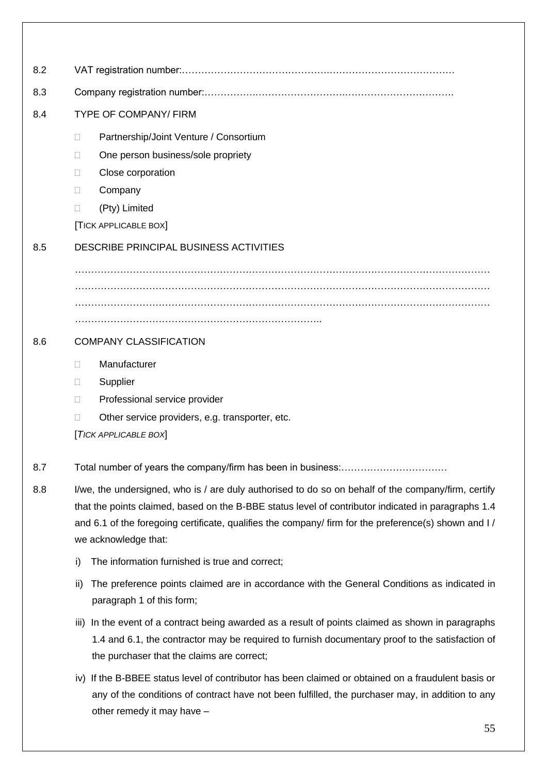| 8.2 |                                                                                                                                                                                                                                                                                                                                            |  |  |
|-----|--------------------------------------------------------------------------------------------------------------------------------------------------------------------------------------------------------------------------------------------------------------------------------------------------------------------------------------------|--|--|
| 8.3 |                                                                                                                                                                                                                                                                                                                                            |  |  |
| 8.4 | <b>TYPE OF COMPANY/ FIRM</b>                                                                                                                                                                                                                                                                                                               |  |  |
|     | Partnership/Joint Venture / Consortium<br>O<br>One person business/sole propriety<br>П<br>Close corporation<br>П<br>Company<br>$\Box$<br>(Pty) Limited<br>$\Box$<br>[TICK APPLICABLE BOX]                                                                                                                                                  |  |  |
| 8.5 | DESCRIBE PRINCIPAL BUSINESS ACTIVITIES                                                                                                                                                                                                                                                                                                     |  |  |
| 8.6 | <b>COMPANY CLASSIFICATION</b>                                                                                                                                                                                                                                                                                                              |  |  |
|     | Manufacturer<br>$\Box$<br>Supplier<br>O<br>Professional service provider<br>$\Box$<br>Other service providers, e.g. transporter, etc.<br>$\Box$<br>[TICK APPLICABLE BOX]                                                                                                                                                                   |  |  |
| 8.7 | Total number of years the company/firm has been in business:.                                                                                                                                                                                                                                                                              |  |  |
| 8.8 | I/we, the undersigned, who is / are duly authorised to do so on behalf of the company/firm, certify<br>that the points claimed, based on the B-BBE status level of contributor indicated in paragraphs 1.4<br>and 6.1 of the foregoing certificate, qualifies the company/ firm for the preference(s) shown and I/<br>we acknowledge that: |  |  |
|     | The information furnished is true and correct;<br>i)                                                                                                                                                                                                                                                                                       |  |  |
|     | The preference points claimed are in accordance with the General Conditions as indicated in<br>ii)<br>paragraph 1 of this form;                                                                                                                                                                                                            |  |  |
|     | iii) In the event of a contract being awarded as a result of points claimed as shown in paragraphs<br>1.4 and 6.1, the contractor may be required to furnish documentary proof to the satisfaction of<br>the purchaser that the claims are correct;                                                                                        |  |  |
|     | iv) If the B-BBEE status level of contributor has been claimed or obtained on a fraudulent basis or<br>any of the conditions of contract have not been fulfilled, the purchaser may, in addition to any<br>other remedy it may have -                                                                                                      |  |  |
|     | 55                                                                                                                                                                                                                                                                                                                                         |  |  |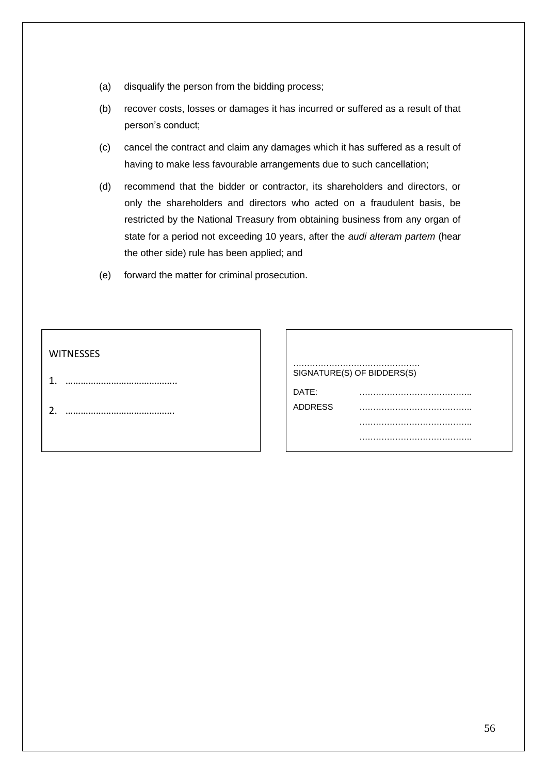- (a) disqualify the person from the bidding process;
- (b) recover costs, losses or damages it has incurred or suffered as a result of that person's conduct;
- (c) cancel the contract and claim any damages which it has suffered as a result of having to make less favourable arrangements due to such cancellation;
- (d) recommend that the bidder or contractor, its shareholders and directors, or only the shareholders and directors who acted on a fraudulent basis, be restricted by the National Treasury from obtaining business from any organ of state for a period not exceeding 10 years, after the *audi alteram partem* (hear the other side) rule has been applied; and
- (e) forward the matter for criminal prosecution.

## **WITNESSES**

- 1. ……………………………………..
- 2. …………………………………….

| SIGNATURE(S) OF BIDDERS(S) |   |  |  |
|----------------------------|---|--|--|
| DATE:                      |   |  |  |
| <b>ADDRESS</b>             | . |  |  |
|                            |   |  |  |
|                            | . |  |  |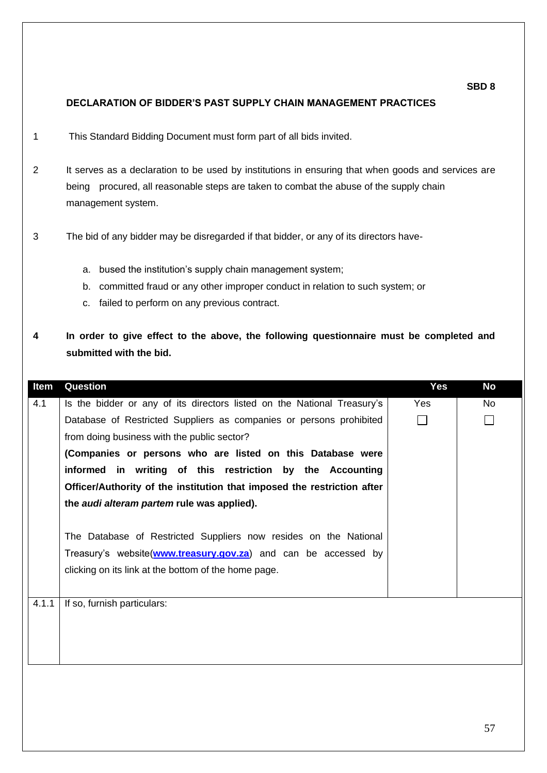## **DECLARATION OF BIDDER'S PAST SUPPLY CHAIN MANAGEMENT PRACTICES**

- 1 This Standard Bidding Document must form part of all bids invited.
- 2 It serves as a declaration to be used by institutions in ensuring that when goods and services are being procured, all reasonable steps are taken to combat the abuse of the supply chain management system.
- 3 The bid of any bidder may be disregarded if that bidder, or any of its directors have
	- a. bused the institution's supply chain management system;
	- b. committed fraud or any other improper conduct in relation to such system; or
	- c. failed to perform on any previous contract.
- **4 In order to give effect to the above, the following questionnaire must be completed and submitted with the bid.**

| Item  | Question                                                                | <b>Yes</b> | <b>No</b> |
|-------|-------------------------------------------------------------------------|------------|-----------|
| 4.1   | Is the bidder or any of its directors listed on the National Treasury's | <b>Yes</b> | <b>No</b> |
|       | Database of Restricted Suppliers as companies or persons prohibited     |            |           |
|       | from doing business with the public sector?                             |            |           |
|       | (Companies or persons who are listed on this Database were              |            |           |
|       | informed in writing of this restriction by the Accounting               |            |           |
|       | Officer/Authority of the institution that imposed the restriction after |            |           |
|       | the <i>audi alteram partem</i> rule was applied).                       |            |           |
|       |                                                                         |            |           |
|       | The Database of Restricted Suppliers now resides on the National        |            |           |
|       | Treasury's website(www.treasury.gov.za) and can be accessed by          |            |           |
|       | clicking on its link at the bottom of the home page.                    |            |           |
|       |                                                                         |            |           |
| 4.1.1 | If so, furnish particulars:                                             |            |           |
|       |                                                                         |            |           |
|       |                                                                         |            |           |
|       |                                                                         |            |           |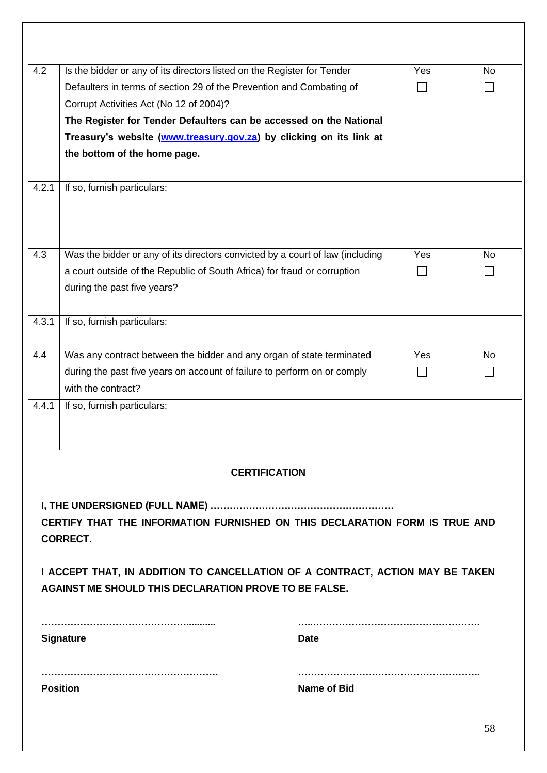| 4.2                                                                           | Is the bidder or any of its directors listed on the Register for Tender       | Yes | No        |
|-------------------------------------------------------------------------------|-------------------------------------------------------------------------------|-----|-----------|
|                                                                               | Defaulters in terms of section 29 of the Prevention and Combating of          |     |           |
|                                                                               | Corrupt Activities Act (No 12 of 2004)?                                       |     |           |
|                                                                               | The Register for Tender Defaulters can be accessed on the National            |     |           |
|                                                                               | Treasury's website (www.treasury.gov.za) by clicking on its link at           |     |           |
|                                                                               | the bottom of the home page.                                                  |     |           |
|                                                                               |                                                                               |     |           |
| 4.2.1                                                                         | If so, furnish particulars:                                                   |     |           |
|                                                                               |                                                                               |     |           |
|                                                                               |                                                                               |     |           |
|                                                                               |                                                                               |     |           |
| 4.3                                                                           | Was the bidder or any of its directors convicted by a court of law (including | Yes | <b>No</b> |
|                                                                               | a court outside of the Republic of South Africa) for fraud or corruption      |     |           |
|                                                                               | during the past five years?                                                   |     |           |
|                                                                               |                                                                               |     |           |
| 4.3.1                                                                         | If so, furnish particulars:                                                   |     |           |
|                                                                               |                                                                               |     |           |
| 4.4                                                                           | Was any contract between the bidder and any organ of state terminated         | Yes | <b>No</b> |
|                                                                               | during the past five years on account of failure to perform on or comply      |     |           |
|                                                                               | with the contract?                                                            |     |           |
| 4.4.1                                                                         | If so, furnish particulars:                                                   |     |           |
|                                                                               |                                                                               |     |           |
|                                                                               |                                                                               |     |           |
|                                                                               |                                                                               |     |           |
|                                                                               | <b>CERTIFICATION</b>                                                          |     |           |
|                                                                               |                                                                               |     |           |
|                                                                               |                                                                               |     |           |
| CERTIFY THAT THE INFORMATION FURNISHED ON THIS DECLARATION FORM IS TRUE AND   |                                                                               |     |           |
| <b>CORRECT.</b>                                                               |                                                                               |     |           |
| I ACCEPT THAT, IN ADDITION TO CANCELLATION OF A CONTRACT, ACTION MAY BE TAKEN |                                                                               |     |           |
|                                                                               | <b>AGAINST ME SHOULD THIS DECLARATION PROVE TO BE FALSE.</b>                  |     |           |
|                                                                               |                                                                               |     |           |

| <b>Signature</b> | <b>Date</b> |
|------------------|-------------|
|                  |             |
| <b>Position</b>  | Name of Bid |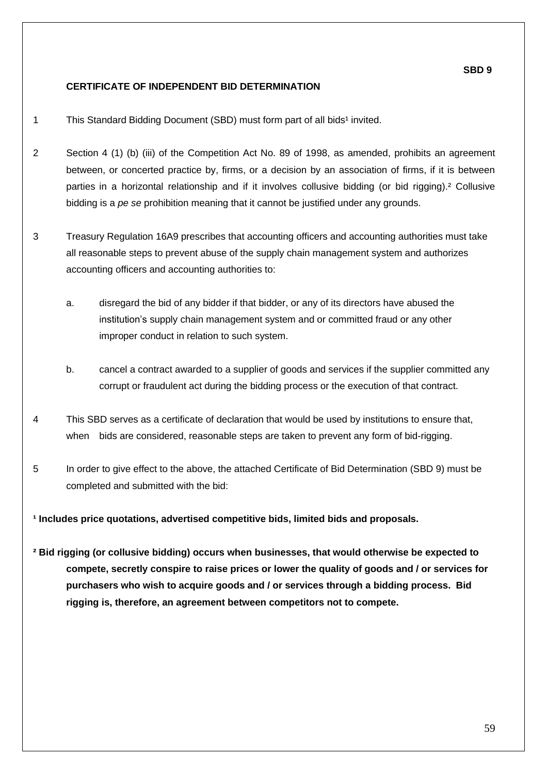## **CERTIFICATE OF INDEPENDENT BID DETERMINATION**

- 1 This Standard Bidding Document (SBD) must form part of all bids<sup>1</sup> invited.
- 2 Section 4 (1) (b) (iii) of the Competition Act No. 89 of 1998, as amended, prohibits an agreement between, or concerted practice by, firms, or a decision by an association of firms, if it is between parties in a horizontal relationship and if it involves collusive bidding (or bid rigging).² Collusive bidding is a *pe se* prohibition meaning that it cannot be justified under any grounds.
- 3 Treasury Regulation 16A9 prescribes that accounting officers and accounting authorities must take all reasonable steps to prevent abuse of the supply chain management system and authorizes accounting officers and accounting authorities to:
	- a. disregard the bid of any bidder if that bidder, or any of its directors have abused the institution's supply chain management system and or committed fraud or any other improper conduct in relation to such system.
	- b. cancel a contract awarded to a supplier of goods and services if the supplier committed any corrupt or fraudulent act during the bidding process or the execution of that contract.
- 4 This SBD serves as a certificate of declaration that would be used by institutions to ensure that, when bids are considered, reasonable steps are taken to prevent any form of bid-rigging.
- 5 In order to give effect to the above, the attached Certificate of Bid Determination (SBD 9) must be completed and submitted with the bid:

**¹ Includes price quotations, advertised competitive bids, limited bids and proposals.**

**² Bid rigging (or collusive bidding) occurs when businesses, that would otherwise be expected to compete, secretly conspire to raise prices or lower the quality of goods and / or services for purchasers who wish to acquire goods and / or services through a bidding process. Bid rigging is, therefore, an agreement between competitors not to compete.**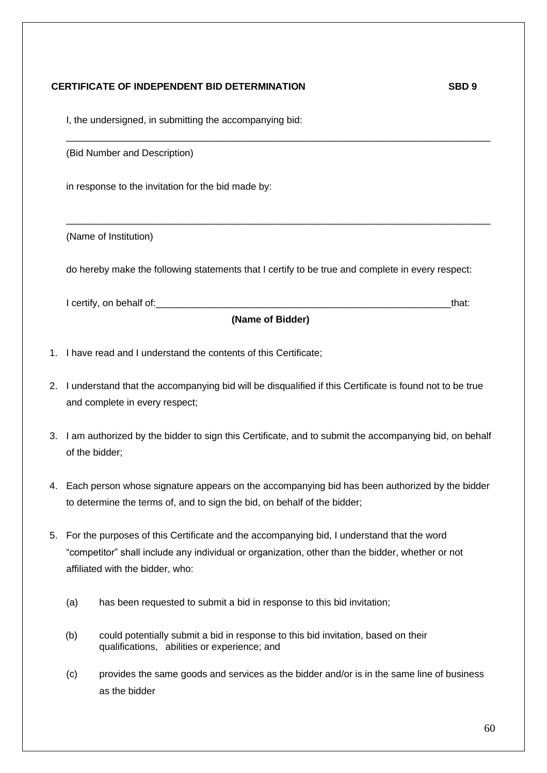## **CERTIFICATE OF INDEPENDENT BID DETERMINATION SBD 9**

I, the undersigned, in submitting the accompanying bid:

(Bid Number and Description)

in response to the invitation for the bid made by:

(Name of Institution)

do hereby make the following statements that I certify to be true and complete in every respect:

 $\mathcal{L}_\mathcal{L} = \{ \mathcal{L}_\mathcal{L} = \{ \mathcal{L}_\mathcal{L} = \{ \mathcal{L}_\mathcal{L} = \{ \mathcal{L}_\mathcal{L} = \{ \mathcal{L}_\mathcal{L} = \{ \mathcal{L}_\mathcal{L} = \{ \mathcal{L}_\mathcal{L} = \{ \mathcal{L}_\mathcal{L} = \{ \mathcal{L}_\mathcal{L} = \{ \mathcal{L}_\mathcal{L} = \{ \mathcal{L}_\mathcal{L} = \{ \mathcal{L}_\mathcal{L} = \{ \mathcal{L}_\mathcal{L} = \{ \mathcal{L}_\mathcal{$ 

 $\_$  ,  $\_$  ,  $\_$  ,  $\_$  ,  $\_$  ,  $\_$  ,  $\_$  ,  $\_$  ,  $\_$  ,  $\_$  ,  $\_$  ,  $\_$  ,  $\_$  ,  $\_$  ,  $\_$  ,  $\_$  ,  $\_$  ,  $\_$  ,  $\_$  ,  $\_$  ,  $\_$  ,  $\_$  ,  $\_$  ,  $\_$  ,  $\_$  ,  $\_$  ,  $\_$  ,  $\_$  ,  $\_$  ,  $\_$  ,  $\_$  ,  $\_$  ,  $\_$  ,  $\_$  ,  $\_$  ,  $\_$  ,  $\_$  ,

I certify, on behalf of:\_\_\_\_\_\_\_\_\_\_\_\_\_\_\_\_\_\_\_\_\_\_\_\_\_\_\_\_\_\_\_\_\_\_\_\_\_\_\_\_\_\_\_\_\_\_\_\_\_\_\_\_\_\_\_that:

**(Name of Bidder)**

- 1. I have read and I understand the contents of this Certificate;
- 2. I understand that the accompanying bid will be disqualified if this Certificate is found not to be true and complete in every respect;
- 3. I am authorized by the bidder to sign this Certificate, and to submit the accompanying bid, on behalf of the bidder;
- 4. Each person whose signature appears on the accompanying bid has been authorized by the bidder to determine the terms of, and to sign the bid, on behalf of the bidder;
- 5. For the purposes of this Certificate and the accompanying bid, I understand that the word "competitor" shall include any individual or organization, other than the bidder, whether or not affiliated with the bidder, who:
	- (a) has been requested to submit a bid in response to this bid invitation;
	- (b) could potentially submit a bid in response to this bid invitation, based on their qualifications, abilities or experience; and
	- (c) provides the same goods and services as the bidder and/or is in the same line of business as the bidder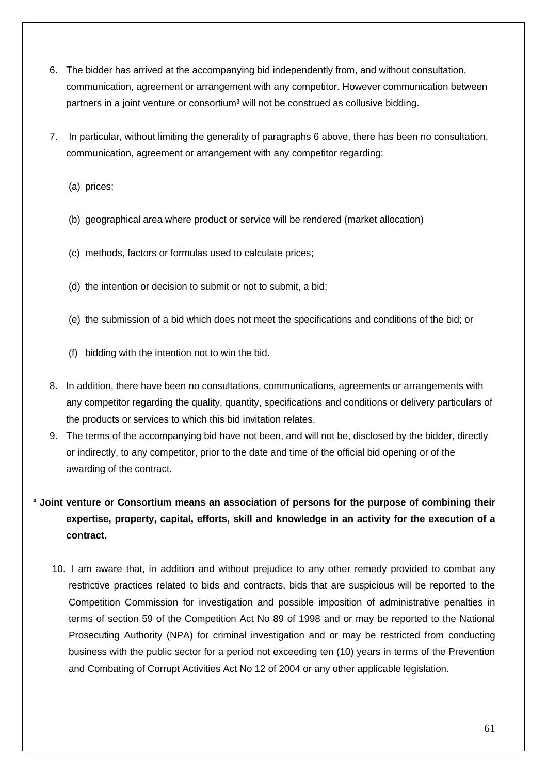- 6. The bidder has arrived at the accompanying bid independently from, and without consultation, communication, agreement or arrangement with any competitor. However communication between partners in a joint venture or consortium<sup>3</sup> will not be construed as collusive bidding.
- 7. In particular, without limiting the generality of paragraphs 6 above, there has been no consultation, communication, agreement or arrangement with any competitor regarding:
	- (a) prices;
	- (b) geographical area where product or service will be rendered (market allocation)
	- (c) methods, factors or formulas used to calculate prices;
	- (d) the intention or decision to submit or not to submit, a bid;
	- (e) the submission of a bid which does not meet the specifications and conditions of the bid; or
	- (f) bidding with the intention not to win the bid.
- 8. In addition, there have been no consultations, communications, agreements or arrangements with any competitor regarding the quality, quantity, specifications and conditions or delivery particulars of the products or services to which this bid invitation relates.
- 9. The terms of the accompanying bid have not been, and will not be, disclosed by the bidder, directly or indirectly, to any competitor, prior to the date and time of the official bid opening or of the awarding of the contract.
- **³ Joint venture or Consortium means an association of persons for the purpose of combining their expertise, property, capital, efforts, skill and knowledge in an activity for the execution of a contract.**
	- 10. I am aware that, in addition and without prejudice to any other remedy provided to combat any restrictive practices related to bids and contracts, bids that are suspicious will be reported to the Competition Commission for investigation and possible imposition of administrative penalties in terms of section 59 of the Competition Act No 89 of 1998 and or may be reported to the National Prosecuting Authority (NPA) for criminal investigation and or may be restricted from conducting business with the public sector for a period not exceeding ten (10) years in terms of the Prevention and Combating of Corrupt Activities Act No 12 of 2004 or any other applicable legislation.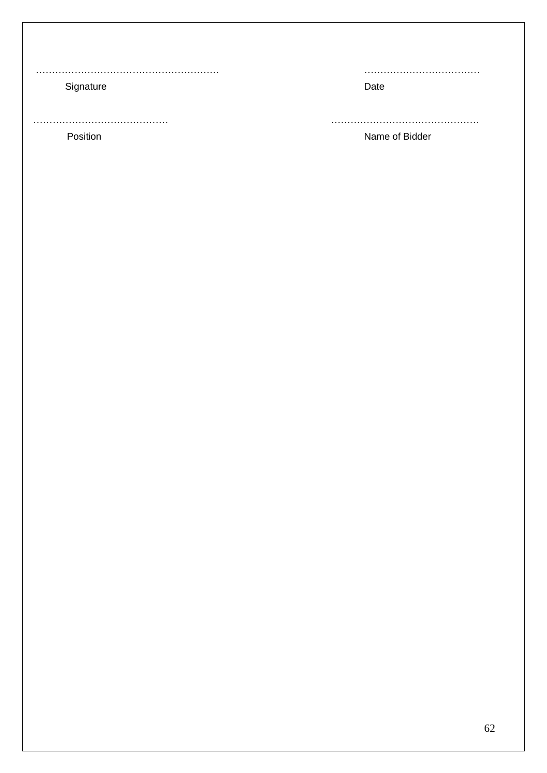………………………………………………… ………………………………

Signature Date

…………………………………… ………………………………………. Position **Name of Bidder**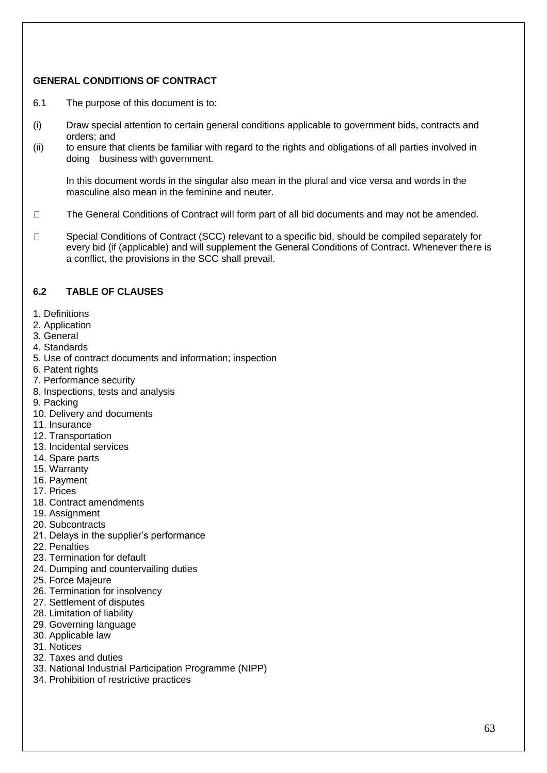## **GENERAL CONDITIONS OF CONTRACT**

- 6.1 The purpose of this document is to:
- (i) Draw special attention to certain general conditions applicable to government bids, contracts and orders; and
- (ii) to ensure that clients be familiar with regard to the rights and obligations of all parties involved in doing business with government.

In this document words in the singular also mean in the plural and vice versa and words in the masculine also mean in the feminine and neuter.

- $\Box$ The General Conditions of Contract will form part of all bid documents and may not be amended.
- Special Conditions of Contract (SCC) relevant to a specific bid, should be compiled separately for  $\Box$ every bid (if (applicable) and will supplement the General Conditions of Contract. Whenever there is a conflict, the provisions in the SCC shall prevail.

## **6.2 TABLE OF CLAUSES**

- 1. Definitions
- 2. Application
- 3. General
- 4. Standards
- 5. Use of contract documents and information; inspection
- 6. Patent rights
- 7. Performance security
- 8. Inspections, tests and analysis
- 9. Packing
- 10. Delivery and documents
- 11. Insurance
- 12. Transportation
- 13. Incidental services
- 14. Spare parts
- 15. Warranty
- 16. Payment
- 17. Prices
- 18. Contract amendments
- 19. Assignment
- 20. Subcontracts
- 21. Delays in the supplier's performance
- 22. Penalties
- 23. Termination for default
- 24. Dumping and countervailing duties
- 25. Force Majeure
- 26. Termination for insolvency
- 27. Settlement of disputes
- 28. Limitation of liability
- 29. Governing language
- 30. Applicable law
- 31. Notices
- 32. Taxes and duties
- 33. National Industrial Participation Programme (NIPP)
- 34. Prohibition of restrictive practices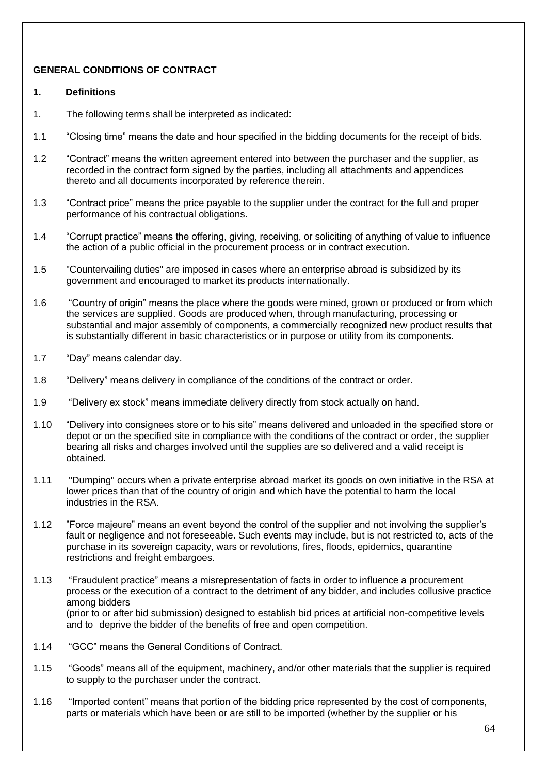## **GENERAL CONDITIONS OF CONTRACT**

#### **1. Definitions**

- 1. The following terms shall be interpreted as indicated:
- 1.1 "Closing time" means the date and hour specified in the bidding documents for the receipt of bids.
- 1.2 "Contract" means the written agreement entered into between the purchaser and the supplier, as recorded in the contract form signed by the parties, including all attachments and appendices thereto and all documents incorporated by reference therein.
- 1.3 "Contract price" means the price payable to the supplier under the contract for the full and proper performance of his contractual obligations.
- 1.4 "Corrupt practice" means the offering, giving, receiving, or soliciting of anything of value to influence the action of a public official in the procurement process or in contract execution.
- 1.5 "Countervailing duties" are imposed in cases where an enterprise abroad is subsidized by its government and encouraged to market its products internationally.
- 1.6 "Country of origin" means the place where the goods were mined, grown or produced or from which the services are supplied. Goods are produced when, through manufacturing, processing or substantial and major assembly of components, a commercially recognized new product results that is substantially different in basic characteristics or in purpose or utility from its components.
- 1.7 "Day" means calendar day.
- 1.8 "Delivery" means delivery in compliance of the conditions of the contract or order.
- 1.9 "Delivery ex stock" means immediate delivery directly from stock actually on hand.
- 1.10 "Delivery into consignees store or to his site" means delivered and unloaded in the specified store or depot or on the specified site in compliance with the conditions of the contract or order, the supplier bearing all risks and charges involved until the supplies are so delivered and a valid receipt is obtained.
- 1.11 "Dumping" occurs when a private enterprise abroad market its goods on own initiative in the RSA at lower prices than that of the country of origin and which have the potential to harm the local industries in the RSA.
- 1.12 "Force majeure" means an event beyond the control of the supplier and not involving the supplier's fault or negligence and not foreseeable. Such events may include, but is not restricted to, acts of the purchase in its sovereign capacity, wars or revolutions, fires, floods, epidemics, quarantine restrictions and freight embargoes.
- 1.13 "Fraudulent practice" means a misrepresentation of facts in order to influence a procurement process or the execution of a contract to the detriment of any bidder, and includes collusive practice among bidders (prior to or after bid submission) designed to establish bid prices at artificial non-competitive levels and to deprive the bidder of the benefits of free and open competition.
- 1.14 "GCC" means the General Conditions of Contract.
- 1.15 "Goods" means all of the equipment, machinery, and/or other materials that the supplier is required to supply to the purchaser under the contract.
- 1.16 "Imported content" means that portion of the bidding price represented by the cost of components, parts or materials which have been or are still to be imported (whether by the supplier or his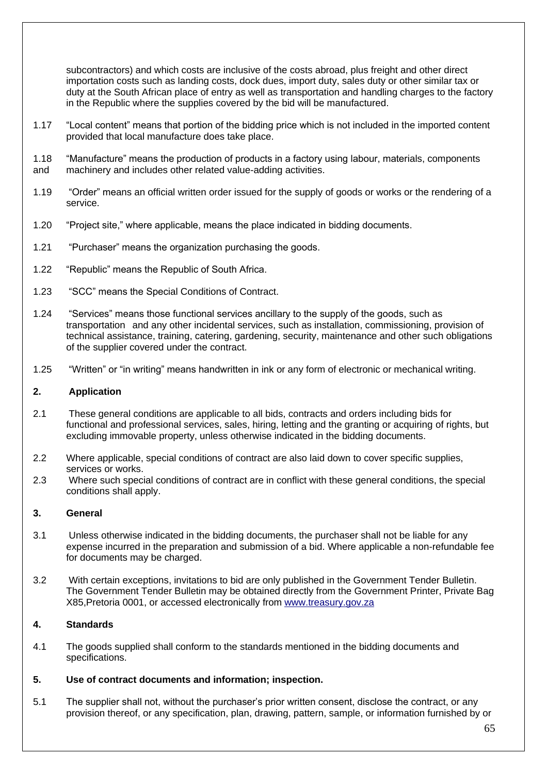subcontractors) and which costs are inclusive of the costs abroad, plus freight and other direct importation costs such as landing costs, dock dues, import duty, sales duty or other similar tax or duty at the South African place of entry as well as transportation and handling charges to the factory in the Republic where the supplies covered by the bid will be manufactured.

- 1.17 "Local content" means that portion of the bidding price which is not included in the imported content provided that local manufacture does take place.
- 1.18 "Manufacture" means the production of products in a factory using labour, materials, components
- and machinery and includes other related value-adding activities.
- 1.19 "Order" means an official written order issued for the supply of goods or works or the rendering of a service.
- 1.20 "Project site," where applicable, means the place indicated in bidding documents.
- 1.21 "Purchaser" means the organization purchasing the goods.
- 1.22 "Republic" means the Republic of South Africa.
- 1.23 "SCC" means the Special Conditions of Contract.
- 1.24 "Services" means those functional services ancillary to the supply of the goods, such as transportation and any other incidental services, such as installation, commissioning, provision of technical assistance, training, catering, gardening, security, maintenance and other such obligations of the supplier covered under the contract.
- 1.25 "Written" or "in writing" means handwritten in ink or any form of electronic or mechanical writing.

#### **2. Application**

- 2.1 These general conditions are applicable to all bids, contracts and orders including bids for functional and professional services, sales, hiring, letting and the granting or acquiring of rights, but excluding immovable property, unless otherwise indicated in the bidding documents.
- 2.2 Where applicable, special conditions of contract are also laid down to cover specific supplies, services or works.
- 2.3 Where such special conditions of contract are in conflict with these general conditions, the special conditions shall apply.

#### **3. General**

- 3.1 Unless otherwise indicated in the bidding documents, the purchaser shall not be liable for any expense incurred in the preparation and submission of a bid. Where applicable a non-refundable fee for documents may be charged.
- 3.2 With certain exceptions, invitations to bid are only published in the Government Tender Bulletin. The Government Tender Bulletin may be obtained directly from the Government Printer, Private Bag X85,Pretoria 0001, or accessed electronically from [www.treasury.gov.za](http://www.treasury.gov.za/)

## **4. Standards**

4.1 The goods supplied shall conform to the standards mentioned in the bidding documents and specifications.

#### **5. Use of contract documents and information; inspection.**

5.1 The supplier shall not, without the purchaser's prior written consent, disclose the contract, or any provision thereof, or any specification, plan, drawing, pattern, sample, or information furnished by or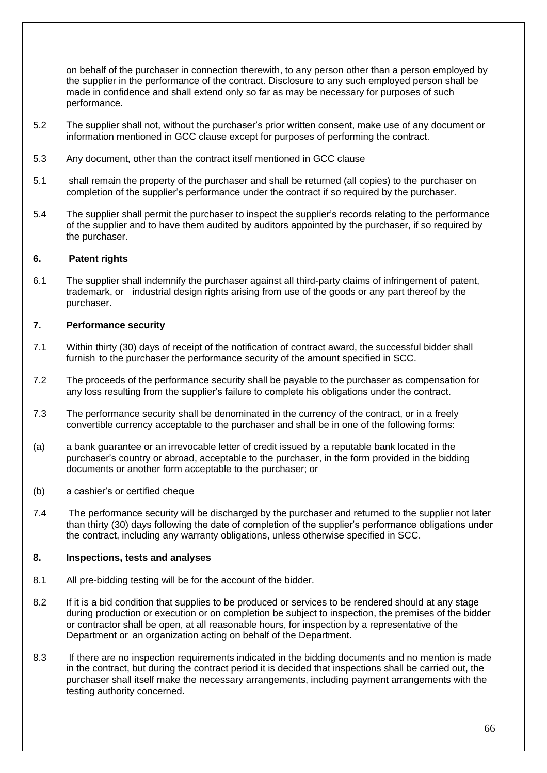on behalf of the purchaser in connection therewith, to any person other than a person employed by the supplier in the performance of the contract. Disclosure to any such employed person shall be made in confidence and shall extend only so far as may be necessary for purposes of such performance.

- 5.2 The supplier shall not, without the purchaser's prior written consent, make use of any document or information mentioned in GCC clause except for purposes of performing the contract.
- 5.3 Any document, other than the contract itself mentioned in GCC clause
- 5.1 shall remain the property of the purchaser and shall be returned (all copies) to the purchaser on completion of the supplier's performance under the contract if so required by the purchaser.
- 5.4 The supplier shall permit the purchaser to inspect the supplier's records relating to the performance of the supplier and to have them audited by auditors appointed by the purchaser, if so required by the purchaser.

#### **6. Patent rights**

6.1 The supplier shall indemnify the purchaser against all third-party claims of infringement of patent, trademark, or industrial design rights arising from use of the goods or any part thereof by the purchaser.

#### **7. Performance security**

- 7.1 Within thirty (30) days of receipt of the notification of contract award, the successful bidder shall furnish to the purchaser the performance security of the amount specified in SCC.
- 7.2 The proceeds of the performance security shall be payable to the purchaser as compensation for any loss resulting from the supplier's failure to complete his obligations under the contract.
- 7.3 The performance security shall be denominated in the currency of the contract, or in a freely convertible currency acceptable to the purchaser and shall be in one of the following forms:
- (a) a bank guarantee or an irrevocable letter of credit issued by a reputable bank located in the purchaser's country or abroad, acceptable to the purchaser, in the form provided in the bidding documents or another form acceptable to the purchaser; or
- (b) a cashier's or certified cheque
- 7.4 The performance security will be discharged by the purchaser and returned to the supplier not later than thirty (30) days following the date of completion of the supplier's performance obligations under the contract, including any warranty obligations, unless otherwise specified in SCC.

#### **8. Inspections, tests and analyses**

- 8.1 All pre-bidding testing will be for the account of the bidder.
- 8.2 If it is a bid condition that supplies to be produced or services to be rendered should at any stage during production or execution or on completion be subject to inspection, the premises of the bidder or contractor shall be open, at all reasonable hours, for inspection by a representative of the Department or an organization acting on behalf of the Department.
- 8.3 If there are no inspection requirements indicated in the bidding documents and no mention is made in the contract, but during the contract period it is decided that inspections shall be carried out, the purchaser shall itself make the necessary arrangements, including payment arrangements with the testing authority concerned.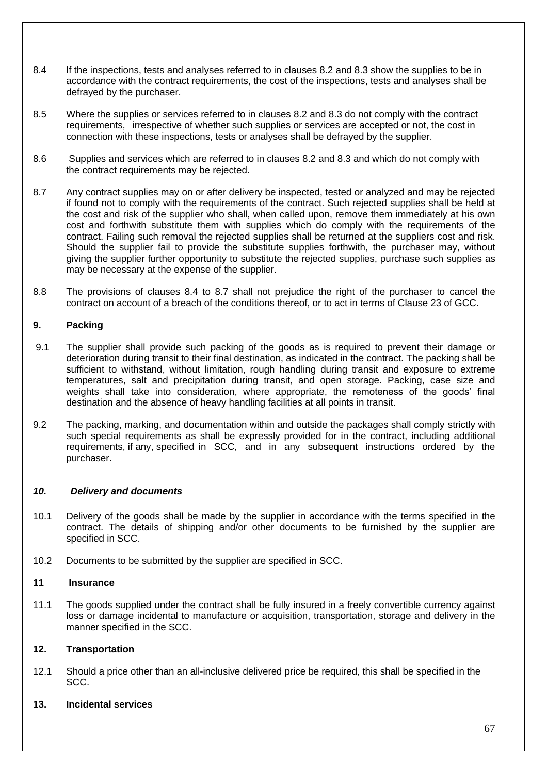- 8.4 If the inspections, tests and analyses referred to in clauses 8.2 and 8.3 show the supplies to be in accordance with the contract requirements, the cost of the inspections, tests and analyses shall be defrayed by the purchaser.
- 8.5 Where the supplies or services referred to in clauses 8.2 and 8.3 do not comply with the contract requirements, irrespective of whether such supplies or services are accepted or not, the cost in connection with these inspections, tests or analyses shall be defrayed by the supplier.
- 8.6 Supplies and services which are referred to in clauses 8.2 and 8.3 and which do not comply with the contract requirements may be rejected.
- 8.7 Any contract supplies may on or after delivery be inspected, tested or analyzed and may be rejected if found not to comply with the requirements of the contract. Such rejected supplies shall be held at the cost and risk of the supplier who shall, when called upon, remove them immediately at his own cost and forthwith substitute them with supplies which do comply with the requirements of the contract. Failing such removal the rejected supplies shall be returned at the suppliers cost and risk. Should the supplier fail to provide the substitute supplies forthwith, the purchaser may, without giving the supplier further opportunity to substitute the rejected supplies, purchase such supplies as may be necessary at the expense of the supplier.
- 8.8 The provisions of clauses 8.4 to 8.7 shall not prejudice the right of the purchaser to cancel the contract on account of a breach of the conditions thereof, or to act in terms of Clause 23 of GCC.

#### **9. Packing**

- 9.1 The supplier shall provide such packing of the goods as is required to prevent their damage or deterioration during transit to their final destination, as indicated in the contract. The packing shall be sufficient to withstand, without limitation, rough handling during transit and exposure to extreme temperatures, salt and precipitation during transit, and open storage. Packing, case size and weights shall take into consideration, where appropriate, the remoteness of the goods' final destination and the absence of heavy handling facilities at all points in transit.
- 9.2 The packing, marking, and documentation within and outside the packages shall comply strictly with such special requirements as shall be expressly provided for in the contract, including additional requirements, if any, specified in SCC, and in any subsequent instructions ordered by the purchaser.

#### *10. Delivery and documents*

- 10.1 Delivery of the goods shall be made by the supplier in accordance with the terms specified in the contract. The details of shipping and/or other documents to be furnished by the supplier are specified in SCC.
- 10.2 Documents to be submitted by the supplier are specified in SCC.

#### **11 Insurance**

11.1 The goods supplied under the contract shall be fully insured in a freely convertible currency against loss or damage incidental to manufacture or acquisition, transportation, storage and delivery in the manner specified in the SCC.

#### **12. Transportation**

12.1 Should a price other than an all-inclusive delivered price be required, this shall be specified in the SCC.

#### **13. Incidental services**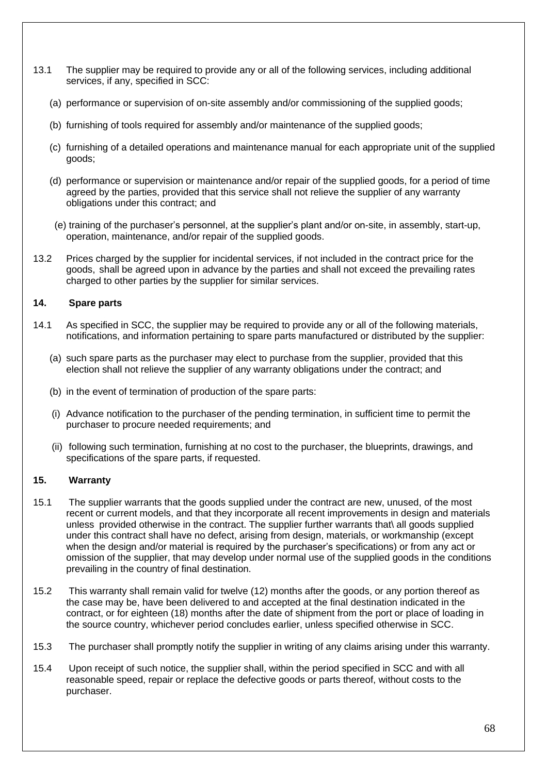- 13.1 The supplier may be required to provide any or all of the following services, including additional services, if any, specified in SCC:
	- (a) performance or supervision of on-site assembly and/or commissioning of the supplied goods;
	- (b) furnishing of tools required for assembly and/or maintenance of the supplied goods;
	- (c) furnishing of a detailed operations and maintenance manual for each appropriate unit of the supplied goods;
	- (d) performance or supervision or maintenance and/or repair of the supplied goods, for a period of time agreed by the parties, provided that this service shall not relieve the supplier of any warranty obligations under this contract; and
	- (e) training of the purchaser's personnel, at the supplier's plant and/or on-site, in assembly, start-up, operation, maintenance, and/or repair of the supplied goods.
- 13.2 Prices charged by the supplier for incidental services, if not included in the contract price for the goods, shall be agreed upon in advance by the parties and shall not exceed the prevailing rates charged to other parties by the supplier for similar services.

#### **14. Spare parts**

- 14.1 As specified in SCC, the supplier may be required to provide any or all of the following materials, notifications, and information pertaining to spare parts manufactured or distributed by the supplier:
	- (a) such spare parts as the purchaser may elect to purchase from the supplier, provided that this election shall not relieve the supplier of any warranty obligations under the contract; and
	- (b) in the event of termination of production of the spare parts:
	- (i) Advance notification to the purchaser of the pending termination, in sufficient time to permit the purchaser to procure needed requirements; and
	- (ii) following such termination, furnishing at no cost to the purchaser, the blueprints, drawings, and specifications of the spare parts, if requested.

#### **15. Warranty**

- 15.1 The supplier warrants that the goods supplied under the contract are new, unused, of the most recent or current models, and that they incorporate all recent improvements in design and materials unless provided otherwise in the contract. The supplier further warrants that\ all goods supplied under this contract shall have no defect, arising from design, materials, or workmanship (except when the design and/or material is required by the purchaser's specifications) or from any act or omission of the supplier, that may develop under normal use of the supplied goods in the conditions prevailing in the country of final destination.
- 15.2 This warranty shall remain valid for twelve (12) months after the goods, or any portion thereof as the case may be, have been delivered to and accepted at the final destination indicated in the contract, or for eighteen (18) months after the date of shipment from the port or place of loading in the source country, whichever period concludes earlier, unless specified otherwise in SCC.
- 15.3 The purchaser shall promptly notify the supplier in writing of any claims arising under this warranty.
- 15.4 Upon receipt of such notice, the supplier shall, within the period specified in SCC and with all reasonable speed, repair or replace the defective goods or parts thereof, without costs to the purchaser.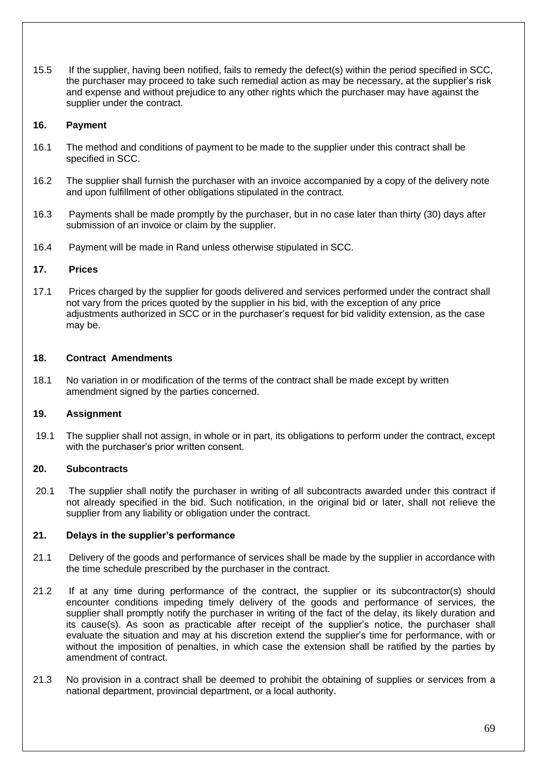15.5 If the supplier, having been notified, fails to remedy the defect(s) within the period specified in SCC, the purchaser may proceed to take such remedial action as may be necessary, at the supplier's risk and expense and without prejudice to any other rights which the purchaser may have against the supplier under the contract.

#### **16. Payment**

- 16.1 The method and conditions of payment to be made to the supplier under this contract shall be specified in SCC.
- 16.2 The supplier shall furnish the purchaser with an invoice accompanied by a copy of the delivery note and upon fulfillment of other obligations stipulated in the contract.
- 16.3 Payments shall be made promptly by the purchaser, but in no case later than thirty (30) days after submission of an invoice or claim by the supplier.
- 16.4 Payment will be made in Rand unless otherwise stipulated in SCC.

### **17. Prices**

17.1 Prices charged by the supplier for goods delivered and services performed under the contract shall not vary from the prices quoted by the supplier in his bid, with the exception of any price adjustments authorized in SCC or in the purchaser's request for bid validity extension, as the case may be.

#### **18. Contract Amendments**

18.1 No variation in or modification of the terms of the contract shall be made except by written amendment signed by the parties concerned.

## **19. Assignment**

19.1 The supplier shall not assign, in whole or in part, its obligations to perform under the contract, except with the purchaser's prior written consent.

## **20. Subcontracts**

20.1 The supplier shall notify the purchaser in writing of all subcontracts awarded under this contract if not already specified in the bid. Such notification, in the original bid or later, shall not relieve the supplier from any liability or obligation under the contract.

#### **21. Delays in the supplier's performance**

- 21.1 Delivery of the goods and performance of services shall be made by the supplier in accordance with the time schedule prescribed by the purchaser in the contract.
- 21.2 If at any time during performance of the contract, the supplier or its subcontractor(s) should encounter conditions impeding timely delivery of the goods and performance of services, the supplier shall promptly notify the purchaser in writing of the fact of the delay, its likely duration and its cause(s). As soon as practicable after receipt of the supplier's notice, the purchaser shall evaluate the situation and may at his discretion extend the supplier's time for performance, with or without the imposition of penalties, in which case the extension shall be ratified by the parties by amendment of contract.
- 21.3 No provision in a contract shall be deemed to prohibit the obtaining of supplies or services from a national department, provincial department, or a local authority.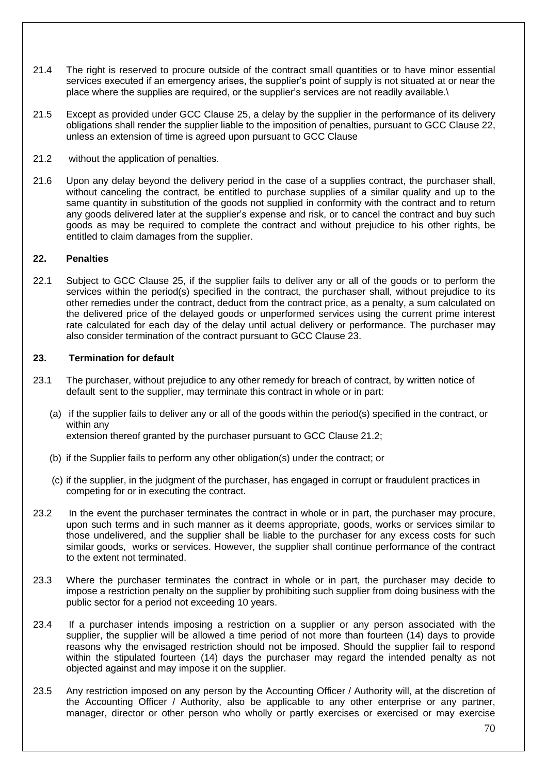- 21.4 The right is reserved to procure outside of the contract small quantities or to have minor essential services executed if an emergency arises, the supplier's point of supply is not situated at or near the place where the supplies are required, or the supplier's services are not readily available.\
- 21.5 Except as provided under GCC Clause 25, a delay by the supplier in the performance of its delivery obligations shall render the supplier liable to the imposition of penalties, pursuant to GCC Clause 22, unless an extension of time is agreed upon pursuant to GCC Clause
- 21.2 without the application of penalties.
- 21.6 Upon any delay beyond the delivery period in the case of a supplies contract, the purchaser shall, without canceling the contract, be entitled to purchase supplies of a similar quality and up to the same quantity in substitution of the goods not supplied in conformity with the contract and to return any goods delivered later at the supplier's expense and risk, or to cancel the contract and buy such goods as may be required to complete the contract and without prejudice to his other rights, be entitled to claim damages from the supplier.

#### **22. Penalties**

22.1 Subject to GCC Clause 25, if the supplier fails to deliver any or all of the goods or to perform the services within the period(s) specified in the contract, the purchaser shall, without prejudice to its other remedies under the contract, deduct from the contract price, as a penalty, a sum calculated on the delivered price of the delayed goods or unperformed services using the current prime interest rate calculated for each day of the delay until actual delivery or performance. The purchaser may also consider termination of the contract pursuant to GCC Clause 23.

#### **23. Termination for default**

- 23.1 The purchaser, without prejudice to any other remedy for breach of contract, by written notice of default sent to the supplier, may terminate this contract in whole or in part:
	- (a) if the supplier fails to deliver any or all of the goods within the period(s) specified in the contract, or within any extension thereof granted by the purchaser pursuant to GCC Clause 21.2;
	- (b) if the Supplier fails to perform any other obligation(s) under the contract; or
	- (c) if the supplier, in the judgment of the purchaser, has engaged in corrupt or fraudulent practices in competing for or in executing the contract.
- 23.2 In the event the purchaser terminates the contract in whole or in part, the purchaser may procure, upon such terms and in such manner as it deems appropriate, goods, works or services similar to those undelivered, and the supplier shall be liable to the purchaser for any excess costs for such similar goods, works or services. However, the supplier shall continue performance of the contract to the extent not terminated.
- 23.3 Where the purchaser terminates the contract in whole or in part, the purchaser may decide to impose a restriction penalty on the supplier by prohibiting such supplier from doing business with the public sector for a period not exceeding 10 years.
- 23.4 If a purchaser intends imposing a restriction on a supplier or any person associated with the supplier, the supplier will be allowed a time period of not more than fourteen (14) days to provide reasons why the envisaged restriction should not be imposed. Should the supplier fail to respond within the stipulated fourteen (14) days the purchaser may regard the intended penalty as not objected against and may impose it on the supplier.
- 23.5 Any restriction imposed on any person by the Accounting Officer / Authority will, at the discretion of the Accounting Officer / Authority, also be applicable to any other enterprise or any partner, manager, director or other person who wholly or partly exercises or exercised or may exercise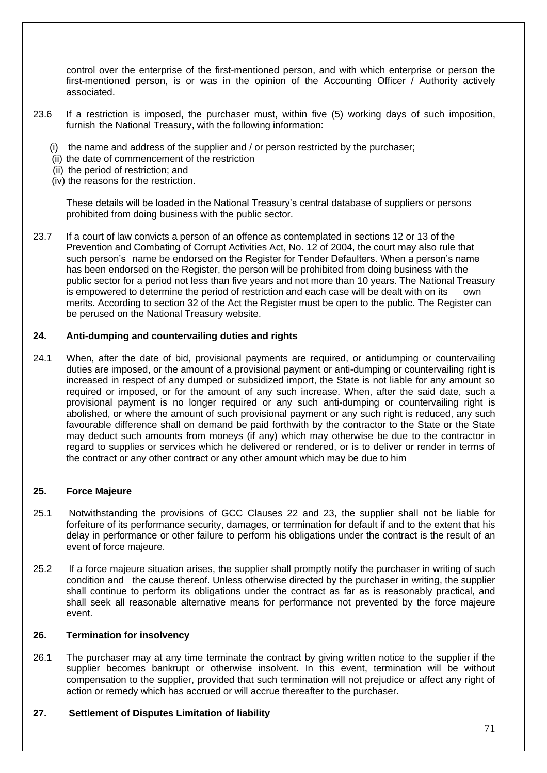control over the enterprise of the first-mentioned person, and with which enterprise or person the first-mentioned person, is or was in the opinion of the Accounting Officer / Authority actively associated.

- 23.6 If a restriction is imposed, the purchaser must, within five (5) working days of such imposition, furnish the National Treasury, with the following information:
	- (i) the name and address of the supplier and / or person restricted by the purchaser;
	- (ii) the date of commencement of the restriction
	- (ii) the period of restriction; and
	- (iv) the reasons for the restriction.

These details will be loaded in the National Treasury's central database of suppliers or persons prohibited from doing business with the public sector.

23.7 If a court of law convicts a person of an offence as contemplated in sections 12 or 13 of the Prevention and Combating of Corrupt Activities Act, No. 12 of 2004, the court may also rule that such person's name be endorsed on the Register for Tender Defaulters. When a person's name has been endorsed on the Register, the person will be prohibited from doing business with the public sector for a period not less than five years and not more than 10 years. The National Treasury is empowered to determine the period of restriction and each case will be dealt with on its own merits. According to section 32 of the Act the Register must be open to the public. The Register can be perused on the National Treasury website.

#### **24. Anti-dumping and countervailing duties and rights**

24.1 When, after the date of bid, provisional payments are required, or antidumping or countervailing duties are imposed, or the amount of a provisional payment or anti-dumping or countervailing right is increased in respect of any dumped or subsidized import, the State is not liable for any amount so required or imposed, or for the amount of any such increase. When, after the said date, such a provisional payment is no longer required or any such anti-dumping or countervailing right is abolished, or where the amount of such provisional payment or any such right is reduced, any such favourable difference shall on demand be paid forthwith by the contractor to the State or the State may deduct such amounts from moneys (if any) which may otherwise be due to the contractor in regard to supplies or services which he delivered or rendered, or is to deliver or render in terms of the contract or any other contract or any other amount which may be due to him

#### **25. Force Majeure**

- 25.1 Notwithstanding the provisions of GCC Clauses 22 and 23, the supplier shall not be liable for forfeiture of its performance security, damages, or termination for default if and to the extent that his delay in performance or other failure to perform his obligations under the contract is the result of an event of force majeure.
- 25.2 If a force majeure situation arises, the supplier shall promptly notify the purchaser in writing of such condition and the cause thereof. Unless otherwise directed by the purchaser in writing, the supplier shall continue to perform its obligations under the contract as far as is reasonably practical, and shall seek all reasonable alternative means for performance not prevented by the force majeure event.

#### **26. Termination for insolvency**

26.1 The purchaser may at any time terminate the contract by giving written notice to the supplier if the supplier becomes bankrupt or otherwise insolvent. In this event, termination will be without compensation to the supplier, provided that such termination will not prejudice or affect any right of action or remedy which has accrued or will accrue thereafter to the purchaser.

#### **27. Settlement of Disputes Limitation of liability**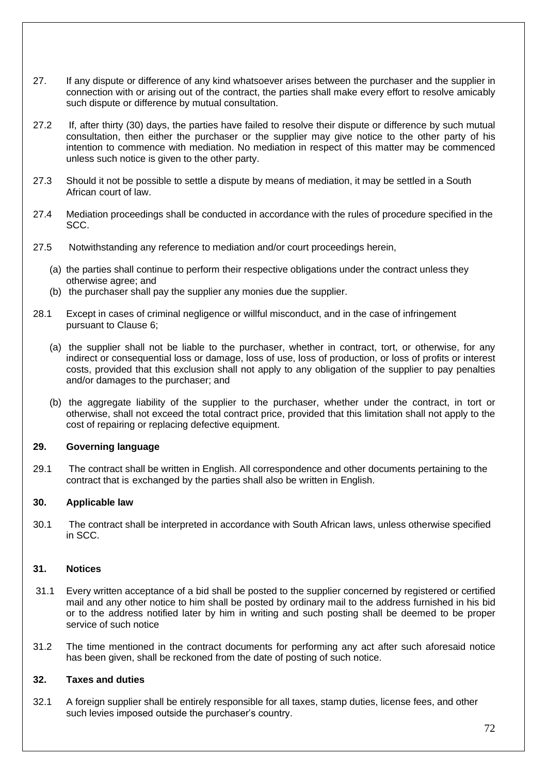- 27. If any dispute or difference of any kind whatsoever arises between the purchaser and the supplier in connection with or arising out of the contract, the parties shall make every effort to resolve amicably such dispute or difference by mutual consultation.
- 27.2 If, after thirty (30) days, the parties have failed to resolve their dispute or difference by such mutual consultation, then either the purchaser or the supplier may give notice to the other party of his intention to commence with mediation. No mediation in respect of this matter may be commenced unless such notice is given to the other party.
- 27.3 Should it not be possible to settle a dispute by means of mediation, it may be settled in a South African court of law.
- 27.4 Mediation proceedings shall be conducted in accordance with the rules of procedure specified in the SCC.
- 27.5 Notwithstanding any reference to mediation and/or court proceedings herein,
	- (a) the parties shall continue to perform their respective obligations under the contract unless they otherwise agree; and
	- (b) the purchaser shall pay the supplier any monies due the supplier.
- 28.1 Except in cases of criminal negligence or willful misconduct, and in the case of infringement pursuant to Clause 6;
	- (a) the supplier shall not be liable to the purchaser, whether in contract, tort, or otherwise, for any indirect or consequential loss or damage, loss of use, loss of production, or loss of profits or interest costs, provided that this exclusion shall not apply to any obligation of the supplier to pay penalties and/or damages to the purchaser; and
	- (b) the aggregate liability of the supplier to the purchaser, whether under the contract, in tort or otherwise, shall not exceed the total contract price, provided that this limitation shall not apply to the cost of repairing or replacing defective equipment.

#### **29. Governing language**

29.1 The contract shall be written in English. All correspondence and other documents pertaining to the contract that is exchanged by the parties shall also be written in English.

#### **30. Applicable law**

30.1 The contract shall be interpreted in accordance with South African laws, unless otherwise specified in SCC.

#### **31. Notices**

- 31.1 Every written acceptance of a bid shall be posted to the supplier concerned by registered or certified mail and any other notice to him shall be posted by ordinary mail to the address furnished in his bid or to the address notified later by him in writing and such posting shall be deemed to be proper service of such notice
- 31.2 The time mentioned in the contract documents for performing any act after such aforesaid notice has been given, shall be reckoned from the date of posting of such notice.

## **32. Taxes and duties**

32.1 A foreign supplier shall be entirely responsible for all taxes, stamp duties, license fees, and other such levies imposed outside the purchaser's country.